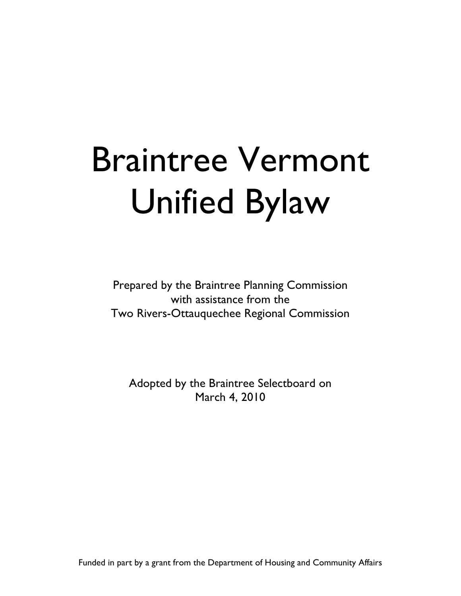# Braintree Vermont Unified Bylaw

Prepared by the Braintree Planning Commission with assistance from the Two Rivers-Ottauquechee Regional Commission

Adopted by the Braintree Selectboard on March 4, 2010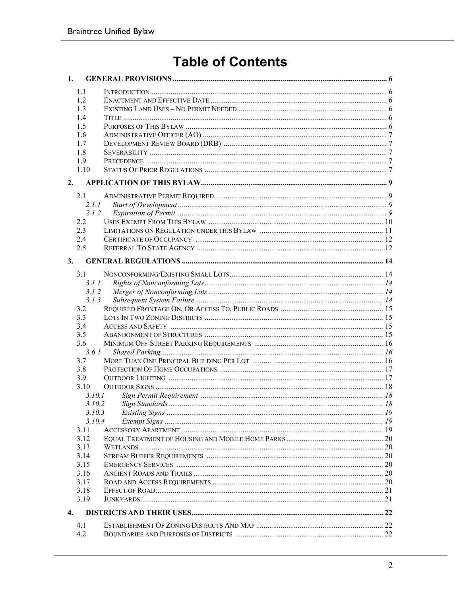# **Table of Contents**

| 1.             |        |  |
|----------------|--------|--|
|                | 1.1    |  |
|                | 12     |  |
|                | 1.3    |  |
|                | 1.4    |  |
|                | 1.5    |  |
|                | 1.6    |  |
|                | 1.7    |  |
|                | 1.8    |  |
|                | 1.9    |  |
|                | 1.10   |  |
| 2.             |        |  |
|                | 2.1    |  |
|                | 2.1.1  |  |
|                | 2.1.2  |  |
|                | 2.2    |  |
|                | 2.3    |  |
|                | 2.4    |  |
|                | 2.5    |  |
| 3.             |        |  |
|                | 3.1    |  |
|                | 3.1.1  |  |
|                | 3.1.2  |  |
|                | 3.1.3  |  |
|                | 3.2    |  |
|                | 3.3    |  |
|                | 3.4    |  |
|                | 3.5    |  |
|                | 3.6    |  |
|                | 3.6.1  |  |
|                | 3.7    |  |
|                | 3.8    |  |
|                | 3.9    |  |
|                | 3.10   |  |
|                | 3.10.1 |  |
|                | 3.10.2 |  |
|                | 3.10.3 |  |
|                | 3.10.4 |  |
|                | 3.11   |  |
|                | 3.12   |  |
|                | 3.13   |  |
|                | 3.14   |  |
|                | 3.15   |  |
|                | 3.16   |  |
|                | 3.17   |  |
|                | 3.18   |  |
|                | 3.19   |  |
| $\mathbf{4}$ . |        |  |
|                | 4.1    |  |
|                | 4.2    |  |
|                |        |  |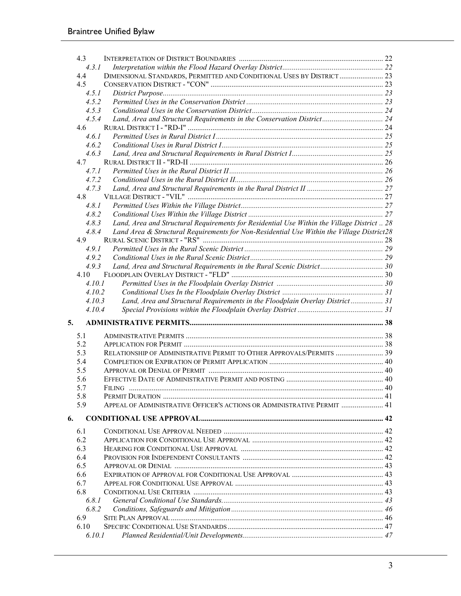|    | 4.3    |                                                                                            |  |
|----|--------|--------------------------------------------------------------------------------------------|--|
|    | 4.3.1  |                                                                                            |  |
|    | 4.4    | DIMENSIONAL STANDARDS, PERMITTED AND CONDITIONAL USES BY DISTRICT  23                      |  |
|    | 4.5    |                                                                                            |  |
|    | 4.5.1  |                                                                                            |  |
|    | 4.5.2  |                                                                                            |  |
|    | 4.5.3  |                                                                                            |  |
|    | 4.5.4  | Land, Area and Structural Requirements in the Conservation District 24                     |  |
|    | 4.6    |                                                                                            |  |
|    | 4.6.1  |                                                                                            |  |
|    | 4.6.2  |                                                                                            |  |
|    | 4.6.3  |                                                                                            |  |
|    | 4.7    |                                                                                            |  |
|    | 4.7.1  |                                                                                            |  |
|    | 4.7.2  |                                                                                            |  |
|    | 4.7.3  |                                                                                            |  |
|    | 4.8    |                                                                                            |  |
|    | 4.8.1  |                                                                                            |  |
|    | 4.8.2  |                                                                                            |  |
|    | 4.8.3  | Land, Area and Structural Requirements for Residential Use Within the Village District  28 |  |
|    | 4.8.4  | Land Area & Structural Requirements for Non-Residential Use Within the Village District28  |  |
|    | 4.9    |                                                                                            |  |
|    | 4.9.1  |                                                                                            |  |
|    | 4.9.2  |                                                                                            |  |
|    | 4.9.3  | Land, Area and Structural Requirements in the Rural Scenic District 30                     |  |
|    | 4.10   |                                                                                            |  |
|    | 4.10.1 |                                                                                            |  |
|    | 4.10.2 |                                                                                            |  |
|    | 4.10.3 | Land, Area and Structural Requirements in the Floodplain Overlay District 31               |  |
|    | 4.10.4 |                                                                                            |  |
| 5. |        |                                                                                            |  |
|    | 5.1    |                                                                                            |  |
|    | 5.2    |                                                                                            |  |
|    | 5.3    | RELATIONSHIP OF ADMINISTRATIVE PERMIT TO OTHER APPROVALS/PERMITS  39                       |  |
|    | 5.4    |                                                                                            |  |
|    | 5.5    |                                                                                            |  |
|    | 5.6    |                                                                                            |  |
|    | 5.7    | <b>FILING</b>                                                                              |  |
|    | 5.8    |                                                                                            |  |
|    | 5.9    | APPEAL OF ADMINISTRATIVE OFFICER'S ACTIONS OR ADMINISTRATIVE PERMIT  41                    |  |
|    |        |                                                                                            |  |
| 6. |        |                                                                                            |  |
|    | 6.1    |                                                                                            |  |
|    | 6.2    |                                                                                            |  |
|    | 6.3    |                                                                                            |  |
|    | 6.4    |                                                                                            |  |
|    | 6.5    |                                                                                            |  |
|    | 6.6    |                                                                                            |  |
|    | 6.7    |                                                                                            |  |
|    | 6.8    |                                                                                            |  |
|    | 6.8.1  |                                                                                            |  |
|    |        |                                                                                            |  |
|    | 6.8.2  |                                                                                            |  |
|    | 6.9    |                                                                                            |  |
|    | 6.10   |                                                                                            |  |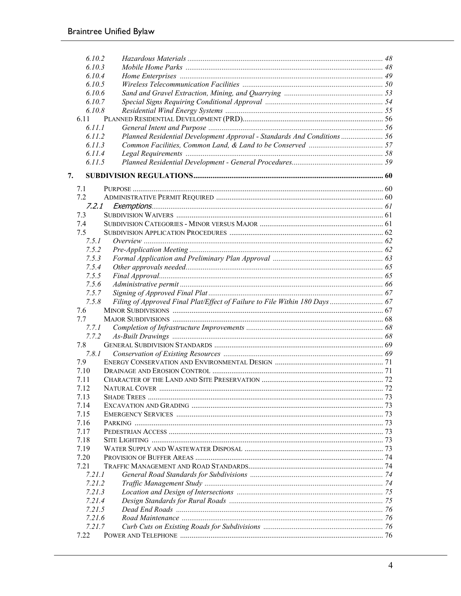|    | 6.10.2 |                                                                            |  |
|----|--------|----------------------------------------------------------------------------|--|
|    | 6.10.3 |                                                                            |  |
|    | 6.10.4 |                                                                            |  |
|    | 6.10.5 |                                                                            |  |
|    | 6.10.6 |                                                                            |  |
|    | 6.10.7 |                                                                            |  |
|    | 6.10.8 |                                                                            |  |
|    | 6.11   |                                                                            |  |
|    | 6.11.1 |                                                                            |  |
|    | 6.11.2 | Planned Residential Development Approval - Standards And Conditions  56    |  |
|    | 6.11.3 |                                                                            |  |
|    | 6.11.4 |                                                                            |  |
|    | 6.11.5 |                                                                            |  |
|    |        |                                                                            |  |
| 7. |        |                                                                            |  |
|    | 7.1    |                                                                            |  |
|    | 7.2    |                                                                            |  |
|    | 7.2.1  |                                                                            |  |
|    | 7.3    |                                                                            |  |
|    | 7.4    |                                                                            |  |
|    | 7.5    |                                                                            |  |
|    | 7.5.1  |                                                                            |  |
|    | 7.5.2  |                                                                            |  |
|    | 7.5.3  |                                                                            |  |
|    | 7.5.4  |                                                                            |  |
|    | 7.5.5  |                                                                            |  |
|    | 7.5.6  |                                                                            |  |
|    | 7.5.7  |                                                                            |  |
|    | 7.5.8  | Filing of Approved Final Plat/Effect of Failure to File Within 180 Days 67 |  |
|    | 7.6    |                                                                            |  |
|    | 7.7    |                                                                            |  |
|    | 7.7.1  |                                                                            |  |
|    | 7.7.2  |                                                                            |  |
|    | 7.8    |                                                                            |  |
|    | 7.8.1  |                                                                            |  |
|    | 7.9    |                                                                            |  |
|    | 7.10   |                                                                            |  |
|    | 7.11   |                                                                            |  |
|    | 7.12   |                                                                            |  |
|    | 7.13   |                                                                            |  |
|    | 7.14   |                                                                            |  |
|    | 7.15   |                                                                            |  |
|    | 7.16   |                                                                            |  |
|    | 7.17   |                                                                            |  |
|    | 7.18   |                                                                            |  |
|    | 7.19   |                                                                            |  |
|    | 7.20   |                                                                            |  |
|    | 7.21   |                                                                            |  |
|    | 7.21.1 |                                                                            |  |
|    | 7.21.2 |                                                                            |  |
|    | 7.21.3 |                                                                            |  |
|    | 7.21.4 |                                                                            |  |
|    | 7.21.5 |                                                                            |  |
|    | 7.21.6 |                                                                            |  |
|    | 7.21.7 |                                                                            |  |
|    | 7.22   |                                                                            |  |
|    |        |                                                                            |  |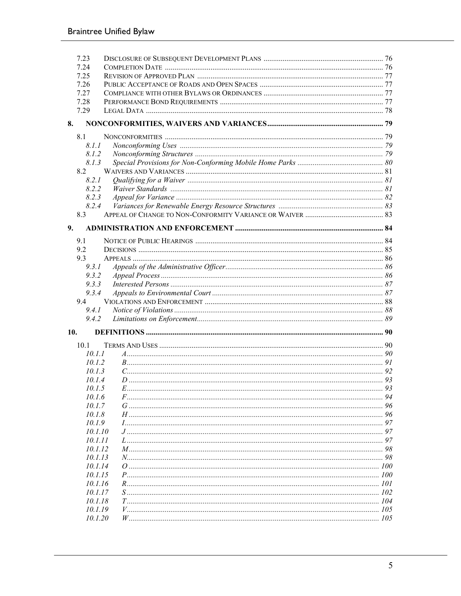| 7.23         |                         |     |
|--------------|-------------------------|-----|
| 7.24         |                         |     |
| 7.25         |                         |     |
| 7.26<br>7.27 |                         |     |
| 7.28         |                         |     |
| 7.29         |                         |     |
| 8.           |                         |     |
|              |                         |     |
| 8.1          | 8.1.1                   |     |
|              | 8.1.2                   |     |
|              | 8.1.3                   |     |
| 8.2          |                         |     |
|              | 8.2.1                   |     |
|              | 8.2.2                   |     |
|              | 8.2.3                   |     |
|              | 8.2.4                   |     |
| 8.3          |                         |     |
|              |                         |     |
| 9.           |                         |     |
| 9.1          |                         |     |
| 9.2          |                         |     |
| 9.3          |                         |     |
|              | 9.3.1                   |     |
|              | 9.3.2                   |     |
|              | 9.3.3                   |     |
|              | 9.3.4                   |     |
| 9.4          |                         |     |
|              | 9.4.1<br>9.4.2          |     |
|              |                         |     |
| 10.          |                         |     |
| 10.1         |                         |     |
|              | 10.1.1                  |     |
|              | 10.1.2                  |     |
|              | 1013                    |     |
|              | 10.1.4                  |     |
|              | 10.1.5                  |     |
|              | 10.1.6                  | 94  |
|              | 10.1.7                  |     |
|              | 10.1.8                  |     |
|              | 10.1.9                  |     |
|              | 10.1.10                 |     |
|              | 10.1.11                 |     |
|              | 10.1.12<br>$N$ and $98$ |     |
|              | 10.1.13<br>10.1.14      |     |
|              | 10.1.15                 |     |
|              | 10.1.16<br>$R_{\odot}$  |     |
|              | 10.1.17                 |     |
|              | 10.1.18                 |     |
|              | 10.1.19                 | 105 |
|              | 10.1.20                 |     |
|              |                         |     |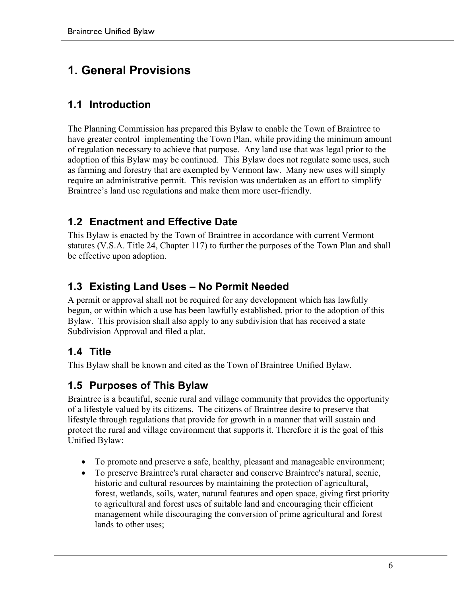# **1. General Provisions**

## **1.1 Introduction**

The Planning Commission has prepared this Bylaw to enable the Town of Braintree to have greater control implementing the Town Plan, while providing the minimum amount of regulation necessary to achieve that purpose. Any land use that was legal prior to the adoption of this Bylaw may be continued. This Bylaw does not regulate some uses, such as farming and forestry that are exempted by Vermont law. Many new uses will simply require an administrative permit. This revision was undertaken as an effort to simplify Braintree's land use regulations and make them more user-friendly.

## **1.2 Enactment and Effective Date**

This Bylaw is enacted by the Town of Braintree in accordance with current Vermont statutes (V.S.A. Title 24, Chapter 117) to further the purposes of the Town Plan and shall be effective upon adoption.

## **1.3 Existing Land Uses – No Permit Needed**

A permit or approval shall not be required for any development which has lawfully begun, or within which a use has been lawfully established, prior to the adoption of this Bylaw. This provision shall also apply to any subdivision that has received a state Subdivision Approval and filed a plat.

## **1.4 Title**

This Bylaw shall be known and cited as the Town of Braintree Unified Bylaw.

#### **1.5 Purposes of This Bylaw**

Braintree is a beautiful, scenic rural and village community that provides the opportunity of a lifestyle valued by its citizens. The citizens of Braintree desire to preserve that lifestyle through regulations that provide for growth in a manner that will sustain and protect the rural and village environment that supports it. Therefore it is the goal of this Unified Bylaw:

- To promote and preserve a safe, healthy, pleasant and manageable environment;
- To preserve Braintree's rural character and conserve Braintree's natural, scenic, historic and cultural resources by maintaining the protection of agricultural, forest, wetlands, soils, water, natural features and open space, giving first priority to agricultural and forest uses of suitable land and encouraging their efficient management while discouraging the conversion of prime agricultural and forest lands to other uses;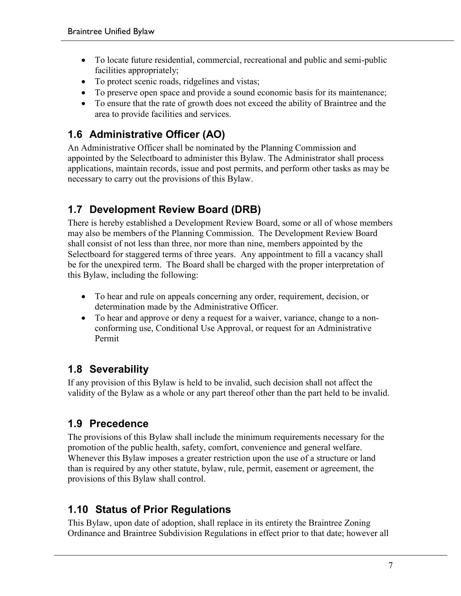- To locate future residential, commercial, recreational and public and semi-public facilities appropriately;
- To protect scenic roads, ridgelines and vistas;
- To preserve open space and provide a sound economic basis for its maintenance;
- To ensure that the rate of growth does not exceed the ability of Braintree and the area to provide facilities and services.

## **1.6 Administrative Officer (AO)**

An Administrative Officer shall be nominated by the Planning Commission and appointed by the Selectboard to administer this Bylaw. The Administrator shall process applications, maintain records, issue and post permits, and perform other tasks as may be necessary to carry out the provisions of this Bylaw.

## **1.7 Development Review Board (DRB)**

There is hereby established a Development Review Board, some or all of whose members may also be members of the Planning Commission. The Development Review Board shall consist of not less than three, nor more than nine, members appointed by the Selectboard for staggered terms of three years. Any appointment to fill a vacancy shall be for the unexpired term. The Board shall be charged with the proper interpretation of this Bylaw, including the following:

- To hear and rule on appeals concerning any order, requirement, decision, or determination made by the Administrative Officer.
- To hear and approve or deny a request for a waiver, variance, change to a nonconforming use, Conditional Use Approval, or request for an Administrative Permit

## **1.8 Severability**

If any provision of this Bylaw is held to be invalid, such decision shall not affect the validity of the Bylaw as a whole or any part thereof other than the part held to be invalid.

## **1.9 Precedence**

The provisions of this Bylaw shall include the minimum requirements necessary for the promotion of the public health, safety, comfort, convenience and general welfare. Whenever this Bylaw imposes a greater restriction upon the use of a structure or land than is required by any other statute, bylaw, rule, permit, easement or agreement, the provisions of this Bylaw shall control.

## **1.10 Status of Prior Regulations**

This Bylaw, upon date of adoption, shall replace in its entirety the Braintree Zoning Ordinance and Braintree Subdivision Regulations in effect prior to that date; however all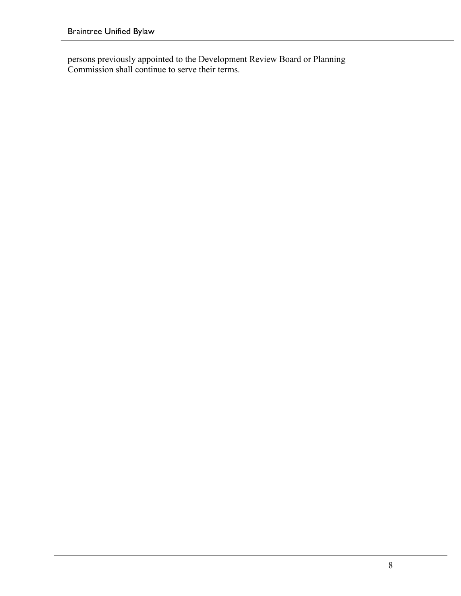persons previously appointed to the Development Review Board or Planning Commission shall continue to serve their terms.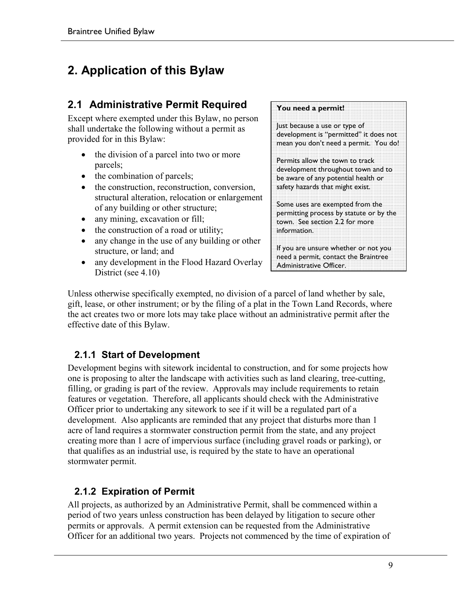# **2. Application of this Bylaw**

## **2.1 Administrative Permit Required**

Except where exempted under this Bylaw, no person shall undertake the following without a permit as provided for in this Bylaw:

- the division of a parcel into two or more parcels;
- the combination of parcels;
- the construction, reconstruction, conversion, structural alteration, relocation or enlargement of any building or other structure;
- any mining, excavation or fill;
- the construction of a road or utility;
- any change in the use of any building or other structure, or land; and
- any development in the Flood Hazard Overlay District (see 4.10)

#### **You need a permit!**

Just because a use or type of development is "permitted" it does not mean you don't need a permit. You do!

Permits allow the town to track development throughout town and to be aware of any potential health or safety hazards that might exist.

Some uses are exempted from the permitting process by statute or by the town. See section 2.2 for more information.

If you are unsure whether or not you need a permit, contact the Braintree Administrative Officer.

Unless otherwise specifically exempted, no division of a parcel of land whether by sale, gift, lease, or other instrument; or by the filing of a plat in the Town Land Records, where the act creates two or more lots may take place without an administrative permit after the effective date of this Bylaw.

#### **2.1.1 Start of Development**

Development begins with sitework incidental to construction, and for some projects how one is proposing to alter the landscape with activities such as land clearing, tree-cutting, filling, or grading is part of the review. Approvals may include requirements to retain features or vegetation. Therefore, all applicants should check with the Administrative Officer prior to undertaking any sitework to see if it will be a regulated part of a development. Also applicants are reminded that any project that disturbs more than 1 acre of land requires a stormwater construction permit from the state, and any project creating more than 1 acre of impervious surface (including gravel roads or parking), or that qualifies as an industrial use, is required by the state to have an operational stormwater permit.

#### **2.1.2 Expiration of Permit**

All projects, as authorized by an Administrative Permit, shall be commenced within a period of two years unless construction has been delayed by litigation to secure other permits or approvals. A permit extension can be requested from the Administrative Officer for an additional two years. Projects not commenced by the time of expiration of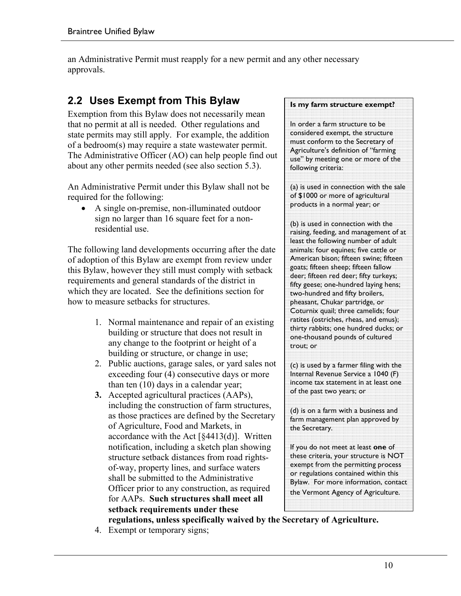an Administrative Permit must reapply for a new permit and any other necessary approvals.

## **2.2 Uses Exempt from This Bylaw**

Exemption from this Bylaw does not necessarily mean that no permit at all is needed. Other regulations and state permits may still apply. For example, the addition of a bedroom(s) may require a state wastewater permit. The Administrative Officer (AO) can help people find out about any other permits needed (see also section 5.3).

An Administrative Permit under this Bylaw shall not be required for the following:

• A single on-premise, non-illuminated outdoor sign no larger than 16 square feet for a nonresidential use.

The following land developments occurring after the date of adoption of this Bylaw are exempt from review under this Bylaw, however they still must comply with setback requirements and general standards of the district in which they are located. See the definitions section for how to measure setbacks for structures.

- 1. Normal maintenance and repair of an existing building or structure that does not result in any change to the footprint or height of a building or structure, or change in use;
- 2. Public auctions, garage sales, or yard sales not exceeding four (4) consecutive days or more than ten (10) days in a calendar year;
- **3.** Accepted agricultural practices (AAPs), including the construction of farm structures, as those practices are defined by the Secretary of Agriculture, Food and Markets, in accordance with the Act  $[§4413(d)]$ . Written notification, including a sketch plan showing structure setback distances from road rightsof-way, property lines, and surface waters shall be submitted to the Administrative Officer prior to any construction, as required for AAPs. **Such structures shall meet all setback requirements under these regulations, unless specifically waived by the Secretary of Agriculture.**

#### **Is my farm structure exempt?**

In order a farm structure to be considered exempt, the structure must conform to the Secretary of Agriculture's definition of "farming use" by meeting one or more of the following criteria:

(a) is used in connection with the sale of \$1000 or more of agricultural products in a normal year; or

(b) is used in connection with the raising, feeding, and management of at least the following number of adult animals: four equines; five cattle or American bison; fifteen swine; fifteen goats; fifteen sheep; fifteen fallow deer; fifteen red deer; fifty turkeys; fifty geese; one-hundred laying hens; two-hundred and fifty broilers, pheasant, Chukar partridge, or Coturnix quail; three camelids; four ratites (ostriches, rheas, and emus); thirty rabbits; one hundred ducks; or one-thousand pounds of cultured trout; or

(c) is used by a farmer filing with the Internal Revenue Service a 1040 (F) income tax statement in at least one of the past two years; or

(d) is on a farm with a business and farm management plan approved by the Secretary.

If you do not meet at least **one** of these criteria, your structure is NOT exempt from the permitting process or regulations contained within this Bylaw. For more information, contact the Vermont Agency of Agriculture.

4. Exempt or temporary signs;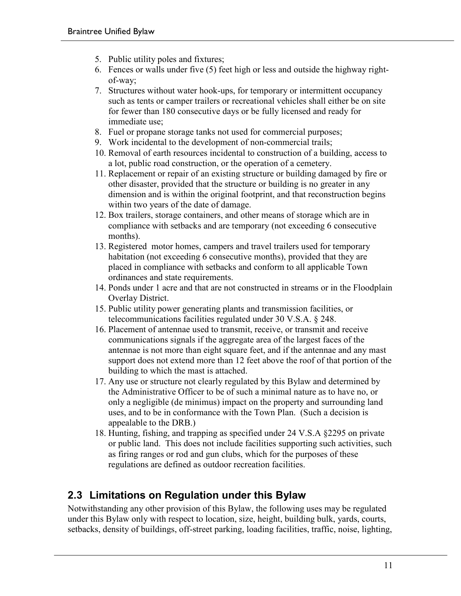- 5. Public utility poles and fixtures;
- 6. Fences or walls under five (5) feet high or less and outside the highway rightof-way;
- 7. Structures without water hook-ups, for temporary or intermittent occupancy such as tents or camper trailers or recreational vehicles shall either be on site for fewer than 180 consecutive days or be fully licensed and ready for immediate use;
- 8. Fuel or propane storage tanks not used for commercial purposes;
- 9. Work incidental to the development of non-commercial trails;
- 10. Removal of earth resources incidental to construction of a building, access to a lot, public road construction, or the operation of a cemetery.
- 11. Replacement or repair of an existing structure or building damaged by fire or other disaster, provided that the structure or building is no greater in any dimension and is within the original footprint, and that reconstruction begins within two years of the date of damage.
- 12. Box trailers, storage containers, and other means of storage which are in compliance with setbacks and are temporary (not exceeding 6 consecutive months).
- 13. Registered motor homes, campers and travel trailers used for temporary habitation (not exceeding 6 consecutive months), provided that they are placed in compliance with setbacks and conform to all applicable Town ordinances and state requirements.
- 14. Ponds under 1 acre and that are not constructed in streams or in the Floodplain Overlay District.
- 15. Public utility power generating plants and transmission facilities, or telecommunications facilities regulated under 30 V.S.A. § 248.
- 16. Placement of antennae used to transmit, receive, or transmit and receive communications signals if the aggregate area of the largest faces of the antennae is not more than eight square feet, and if the antennae and any mast support does not extend more than 12 feet above the roof of that portion of the building to which the mast is attached.
- 17. Any use or structure not clearly regulated by this Bylaw and determined by the Administrative Officer to be of such a minimal nature as to have no, or only a negligible (de minimus) impact on the property and surrounding land uses, and to be in conformance with the Town Plan. (Such a decision is appealable to the DRB.)
- 18. Hunting, fishing, and trapping as specified under 24 V.S.A §2295 on private or public land. This does not include facilities supporting such activities, such as firing ranges or rod and gun clubs, which for the purposes of these regulations are defined as outdoor recreation facilities.

## **2.3 Limitations on Regulation under this Bylaw**

Notwithstanding any other provision of this Bylaw, the following uses may be regulated under this Bylaw only with respect to location, size, height, building bulk, yards, courts, setbacks, density of buildings, off-street parking, loading facilities, traffic, noise, lighting,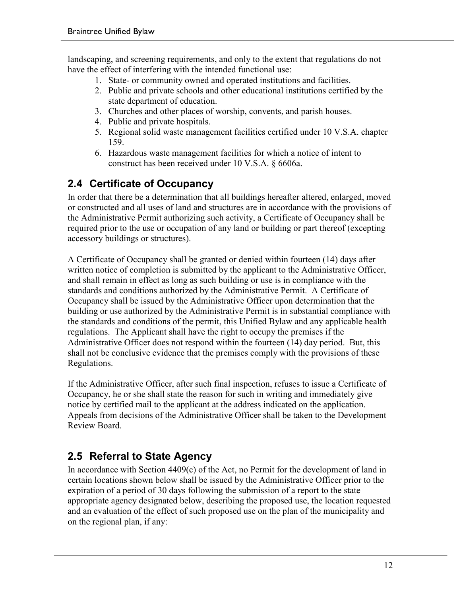landscaping, and screening requirements, and only to the extent that regulations do not have the effect of interfering with the intended functional use:

- 1. State- or community owned and operated institutions and facilities.
- 2. Public and private schools and other educational institutions certified by the state department of education.
- 3. Churches and other places of worship, convents, and parish houses.
- 4. Public and private hospitals.
- 5. Regional solid waste management facilities certified under 10 V.S.A. chapter 159.
- 6. Hazardous waste management facilities for which a notice of intent to construct has been received under 10 V.S.A. § 6606a.

## **2.4 Certificate of Occupancy**

In order that there be a determination that all buildings hereafter altered, enlarged, moved or constructed and all uses of land and structures are in accordance with the provisions of the Administrative Permit authorizing such activity, a Certificate of Occupancy shall be required prior to the use or occupation of any land or building or part thereof (excepting accessory buildings or structures).

A Certificate of Occupancy shall be granted or denied within fourteen (14) days after written notice of completion is submitted by the applicant to the Administrative Officer, and shall remain in effect as long as such building or use is in compliance with the standards and conditions authorized by the Administrative Permit. A Certificate of Occupancy shall be issued by the Administrative Officer upon determination that the building or use authorized by the Administrative Permit is in substantial compliance with the standards and conditions of the permit, this Unified Bylaw and any applicable health regulations. The Applicant shall have the right to occupy the premises if the Administrative Officer does not respond within the fourteen (14) day period. But, this shall not be conclusive evidence that the premises comply with the provisions of these Regulations.

If the Administrative Officer, after such final inspection, refuses to issue a Certificate of Occupancy, he or she shall state the reason for such in writing and immediately give notice by certified mail to the applicant at the address indicated on the application. Appeals from decisions of the Administrative Officer shall be taken to the Development Review Board.

## **2.5 Referral to State Agency**

In accordance with Section 4409(c) of the Act, no Permit for the development of land in certain locations shown below shall be issued by the Administrative Officer prior to the expiration of a period of 30 days following the submission of a report to the state appropriate agency designated below, describing the proposed use, the location requested and an evaluation of the effect of such proposed use on the plan of the municipality and on the regional plan, if any: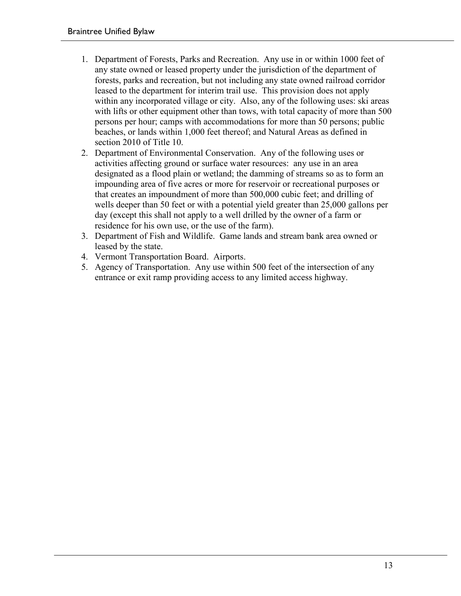- 1. Department of Forests, Parks and Recreation. Any use in or within 1000 feet of any state owned or leased property under the jurisdiction of the department of forests, parks and recreation, but not including any state owned railroad corridor leased to the department for interim trail use. This provision does not apply within any incorporated village or city. Also, any of the following uses: ski areas with lifts or other equipment other than tows, with total capacity of more than 500 persons per hour; camps with accommodations for more than 50 persons; public beaches, or lands within 1,000 feet thereof; and Natural Areas as defined in section 2010 of Title 10.
- 2. Department of Environmental Conservation. Any of the following uses or activities affecting ground or surface water resources: any use in an area designated as a flood plain or wetland; the damming of streams so as to form an impounding area of five acres or more for reservoir or recreational purposes or that creates an impoundment of more than 500,000 cubic feet; and drilling of wells deeper than 50 feet or with a potential yield greater than 25,000 gallons per day (except this shall not apply to a well drilled by the owner of a farm or residence for his own use, or the use of the farm).
- 3. Department of Fish and Wildlife. Game lands and stream bank area owned or leased by the state.
- 4. Vermont Transportation Board. Airports.
- 5. Agency of Transportation. Any use within 500 feet of the intersection of any entrance or exit ramp providing access to any limited access highway.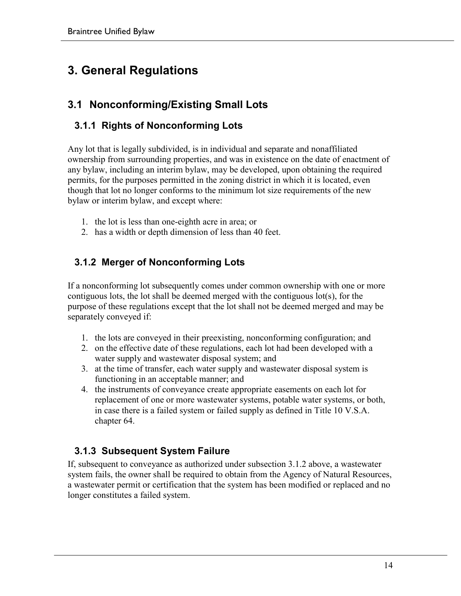# **3. General Regulations**

## **3.1 Nonconforming/Existing Small Lots**

## **3.1.1 Rights of Nonconforming Lots**

Any lot that is legally subdivided, is in individual and separate and nonaffiliated ownership from surrounding properties, and was in existence on the date of enactment of any bylaw, including an interim bylaw, may be developed, upon obtaining the required permits, for the purposes permitted in the zoning district in which it is located, even though that lot no longer conforms to the minimum lot size requirements of the new bylaw or interim bylaw, and except where:

- 1. the lot is less than one-eighth acre in area; or
- 2. has a width or depth dimension of less than 40 feet.

## **3.1.2 Merger of Nonconforming Lots**

If a nonconforming lot subsequently comes under common ownership with one or more contiguous lots, the lot shall be deemed merged with the contiguous lot(s), for the purpose of these regulations except that the lot shall not be deemed merged and may be separately conveyed if:

- 1. the lots are conveyed in their preexisting, nonconforming configuration; and
- 2. on the effective date of these regulations, each lot had been developed with a water supply and wastewater disposal system; and
- 3. at the time of transfer, each water supply and wastewater disposal system is functioning in an acceptable manner; and
- 4. the instruments of conveyance create appropriate easements on each lot for replacement of one or more wastewater systems, potable water systems, or both, in case there is a failed system or failed supply as defined in Title 10 V.S.A. chapter 64.

#### **3.1.3 Subsequent System Failure**

If, subsequent to conveyance as authorized under subsection 3.1.2 above, a wastewater system fails, the owner shall be required to obtain from the Agency of Natural Resources, a wastewater permit or certification that the system has been modified or replaced and no longer constitutes a failed system.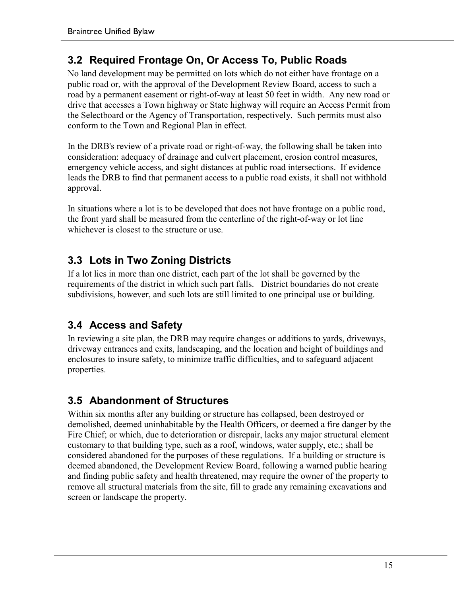## **3.2 Required Frontage On, Or Access To, Public Roads**

No land development may be permitted on lots which do not either have frontage on a public road or, with the approval of the Development Review Board, access to such a road by a permanent easement or right-of-way at least 50 feet in width. Any new road or drive that accesses a Town highway or State highway will require an Access Permit from the Selectboard or the Agency of Transportation, respectively. Such permits must also conform to the Town and Regional Plan in effect.

In the DRB's review of a private road or right-of-way, the following shall be taken into consideration: adequacy of drainage and culvert placement, erosion control measures, emergency vehicle access, and sight distances at public road intersections. If evidence leads the DRB to find that permanent access to a public road exists, it shall not withhold approval.

In situations where a lot is to be developed that does not have frontage on a public road, the front yard shall be measured from the centerline of the right-of-way or lot line whichever is closest to the structure or use.

## **3.3 Lots in Two Zoning Districts**

If a lot lies in more than one district, each part of the lot shall be governed by the requirements of the district in which such part falls. District boundaries do not create subdivisions, however, and such lots are still limited to one principal use or building.

## **3.4 Access and Safety**

In reviewing a site plan, the DRB may require changes or additions to yards, driveways, driveway entrances and exits, landscaping, and the location and height of buildings and enclosures to insure safety, to minimize traffic difficulties, and to safeguard adjacent properties.

## **3.5 Abandonment of Structures**

Within six months after any building or structure has collapsed, been destroyed or demolished, deemed uninhabitable by the Health Officers, or deemed a fire danger by the Fire Chief; or which, due to deterioration or disrepair, lacks any major structural element customary to that building type, such as a roof, windows, water supply, etc.; shall be considered abandoned for the purposes of these regulations. If a building or structure is deemed abandoned, the Development Review Board, following a warned public hearing and finding public safety and health threatened, may require the owner of the property to remove all structural materials from the site, fill to grade any remaining excavations and screen or landscape the property.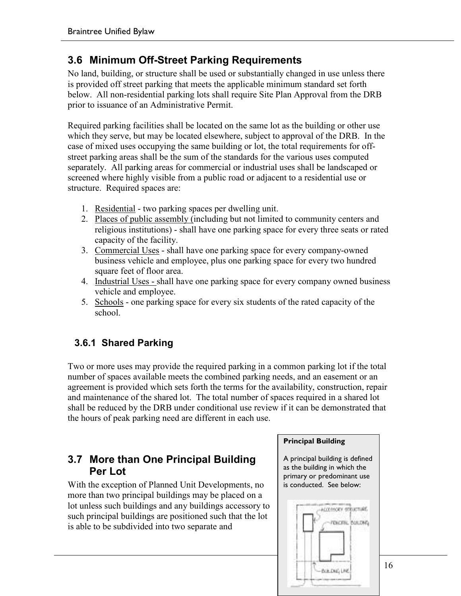## **3.6 Minimum Off-Street Parking Requirements**

No land, building, or structure shall be used or substantially changed in use unless there is provided off street parking that meets the applicable minimum standard set forth below. All non-residential parking lots shall require Site Plan Approval from the DRB prior to issuance of an Administrative Permit.

Required parking facilities shall be located on the same lot as the building or other use which they serve, but may be located elsewhere, subject to approval of the DRB. In the case of mixed uses occupying the same building or lot, the total requirements for offstreet parking areas shall be the sum of the standards for the various uses computed separately. All parking areas for commercial or industrial uses shall be landscaped or screened where highly visible from a public road or adjacent to a residential use or structure. Required spaces are:

- 1. Residential two parking spaces per dwelling unit.
- 2. Places of public assembly (including but not limited to community centers and religious institutions) - shall have one parking space for every three seats or rated capacity of the facility.
- 3. Commercial Uses shall have one parking space for every company-owned business vehicle and employee, plus one parking space for every two hundred square feet of floor area.
- 4. Industrial Uses shall have one parking space for every company owned business vehicle and employee.
- 5. Schools one parking space for every six students of the rated capacity of the school.

#### **3.6.1 Shared Parking**

Two or more uses may provide the required parking in a common parking lot if the total number of spaces available meets the combined parking needs, and an easement or an agreement is provided which sets forth the terms for the availability, construction, repair and maintenance of the shared lot. The total number of spaces required in a shared lot shall be reduced by the DRB under conditional use review if it can be demonstrated that the hours of peak parking need are different in each use.

#### **3.7 More than One Principal Building Per Lot**

With the exception of Planned Unit Developments, no more than two principal buildings may be placed on a lot unless such buildings and any buildings accessory to such principal buildings are positioned such that the lot is able to be subdivided into two separate and



primary or predominant use is conducted. See below:

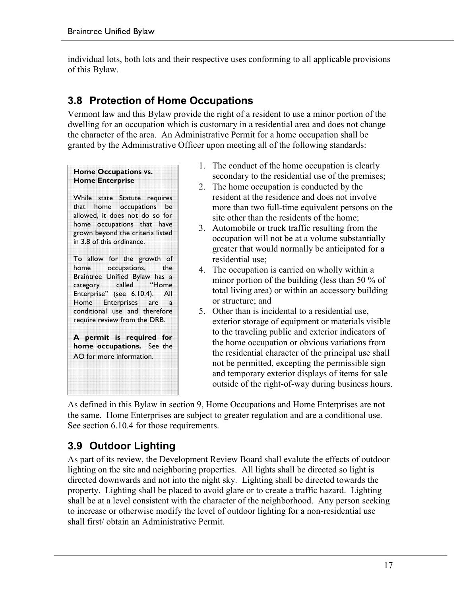individual lots, both lots and their respective uses conforming to all applicable provisions of this Bylaw.

## **3.8 Protection of Home Occupations**

Vermont law and this Bylaw provide the right of a resident to use a minor portion of the dwelling for an occupation which is customary in a residential area and does not change the character of the area. An Administrative Permit for a home occupation shall be granted by the Administrative Officer upon meeting all of the following standards:

#### **Home Occupations vs. Home Enterprise**

While state Statute requires that home occupations be allowed, it does not do so for home occupations that have grown beyond the criteria listed in 3.8 of this ordinance.

To allow for the growth of home occupations, the Braintree Unified Bylaw has a category called "Home Enterprise" (see 6.10.4). All Home Enterprises are a conditional use and therefore require review from the DRB.

**A permit is required for home occupations.** See the AO for more information.

- 1. The conduct of the home occupation is clearly secondary to the residential use of the premises;
- 2. The home occupation is conducted by the resident at the residence and does not involve more than two full-time equivalent persons on the site other than the residents of the home;
- 3. Automobile or truck traffic resulting from the occupation will not be at a volume substantially greater that would normally be anticipated for a residential use;
- 4. The occupation is carried on wholly within a minor portion of the building (less than 50 % of total living area) or within an accessory building or structure; and
- 5. Other than is incidental to a residential use, exterior storage of equipment or materials visible to the traveling public and exterior indicators of the home occupation or obvious variations from the residential character of the principal use shall not be permitted, excepting the permissible sign and temporary exterior displays of items for sale outside of the right-of-way during business hours.

As defined in this Bylaw in section 9, Home Occupations and Home Enterprises are not the same. Home Enterprises are subject to greater regulation and are a conditional use. See section 6.10.4 for those requirements.

## **3.9 Outdoor Lighting**

As part of its review, the Development Review Board shall evalute the effects of outdoor lighting on the site and neighboring properties. All lights shall be directed so light is directed downwards and not into the night sky. Lighting shall be directed towards the property. Lighting shall be placed to avoid glare or to create a traffic hazard. Lighting shall be at a level consistent with the character of the neighborhood. Any person seeking to increase or otherwise modify the level of outdoor lighting for a non-residential use shall first/ obtain an Administrative Permit.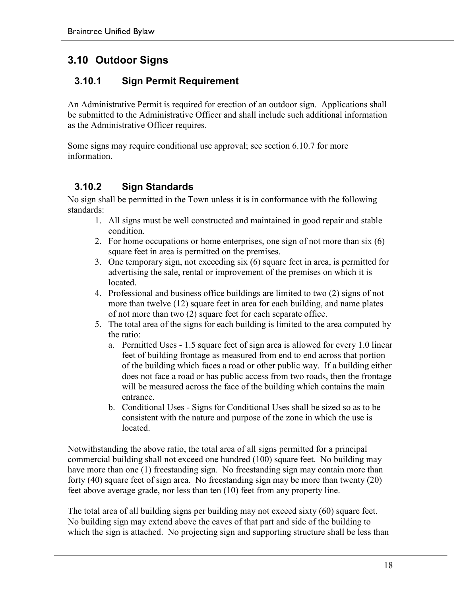## **3.10 Outdoor Signs**

#### **3.10.1 Sign Permit Requirement**

An Administrative Permit is required for erection of an outdoor sign. Applications shall be submitted to the Administrative Officer and shall include such additional information as the Administrative Officer requires.

Some signs may require conditional use approval; see section 6.10.7 for more information.

#### **3.10.2 Sign Standards**

No sign shall be permitted in the Town unless it is in conformance with the following standards:

- 1. All signs must be well constructed and maintained in good repair and stable condition.
- 2. For home occupations or home enterprises, one sign of not more than six (6) square feet in area is permitted on the premises.
- 3. One temporary sign, not exceeding six (6) square feet in area, is permitted for advertising the sale, rental or improvement of the premises on which it is **located**
- 4. Professional and business office buildings are limited to two (2) signs of not more than twelve (12) square feet in area for each building, and name plates of not more than two (2) square feet for each separate office.
- 5. The total area of the signs for each building is limited to the area computed by the ratio:
	- a. Permitted Uses 1.5 square feet of sign area is allowed for every 1.0 linear feet of building frontage as measured from end to end across that portion of the building which faces a road or other public way. If a building either does not face a road or has public access from two roads, then the frontage will be measured across the face of the building which contains the main entrance.
	- b. Conditional Uses Signs for Conditional Uses shall be sized so as to be consistent with the nature and purpose of the zone in which the use is located.

Notwithstanding the above ratio, the total area of all signs permitted for a principal commercial building shall not exceed one hundred (100) square feet. No building may have more than one (1) freestanding sign. No freestanding sign may contain more than forty (40) square feet of sign area. No freestanding sign may be more than twenty (20) feet above average grade, nor less than ten (10) feet from any property line.

The total area of all building signs per building may not exceed sixty (60) square feet. No building sign may extend above the eaves of that part and side of the building to which the sign is attached. No projecting sign and supporting structure shall be less than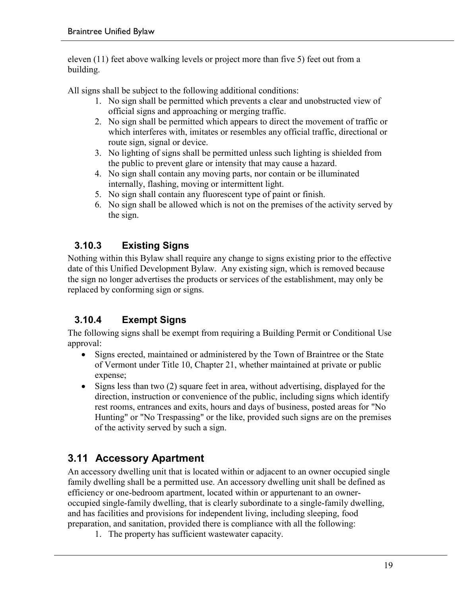eleven (11) feet above walking levels or project more than five 5) feet out from a building.

All signs shall be subject to the following additional conditions:

- 1. No sign shall be permitted which prevents a clear and unobstructed view of official signs and approaching or merging traffic.
- 2. No sign shall be permitted which appears to direct the movement of traffic or which interferes with, imitates or resembles any official traffic, directional or route sign, signal or device.
- 3. No lighting of signs shall be permitted unless such lighting is shielded from the public to prevent glare or intensity that may cause a hazard.
- 4. No sign shall contain any moving parts, nor contain or be illuminated internally, flashing, moving or intermittent light.
- 5. No sign shall contain any fluorescent type of paint or finish.
- 6. No sign shall be allowed which is not on the premises of the activity served by the sign.

## **3.10.3 Existing Signs**

Nothing within this Bylaw shall require any change to signs existing prior to the effective date of this Unified Development Bylaw. Any existing sign, which is removed because the sign no longer advertises the products or services of the establishment, may only be replaced by conforming sign or signs.

#### **3.10.4 Exempt Signs**

The following signs shall be exempt from requiring a Building Permit or Conditional Use approval:

- Signs erected, maintained or administered by the Town of Braintree or the State of Vermont under Title 10, Chapter 21, whether maintained at private or public expense;
- Signs less than two (2) square feet in area, without advertising, displayed for the direction, instruction or convenience of the public, including signs which identify rest rooms, entrances and exits, hours and days of business, posted areas for "No Hunting" or "No Trespassing" or the like, provided such signs are on the premises of the activity served by such a sign.

## **3.11 Accessory Apartment**

An accessory dwelling unit that is located within or adjacent to an owner occupied single family dwelling shall be a permitted use. An accessory dwelling unit shall be defined as efficiency or one-bedroom apartment, located within or appurtenant to an owneroccupied single-family dwelling, that is clearly subordinate to a single-family dwelling, and has facilities and provisions for independent living, including sleeping, food preparation, and sanitation, provided there is compliance with all the following:

1. The property has sufficient wastewater capacity.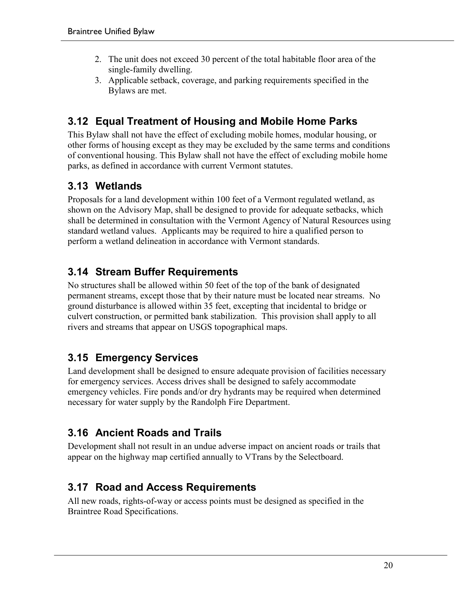- 2. The unit does not exceed 30 percent of the total habitable floor area of the single-family dwelling.
- 3. Applicable setback, coverage, and parking requirements specified in the Bylaws are met.

## **3.12 Equal Treatment of Housing and Mobile Home Parks**

This Bylaw shall not have the effect of excluding mobile homes, modular housing, or other forms of housing except as they may be excluded by the same terms and conditions of conventional housing. This Bylaw shall not have the effect of excluding mobile home parks, as defined in accordance with current Vermont statutes.

## **3.13 Wetlands**

Proposals for a land development within 100 feet of a Vermont regulated wetland, as shown on the Advisory Map, shall be designed to provide for adequate setbacks, which shall be determined in consultation with the Vermont Agency of Natural Resources using standard wetland values. Applicants may be required to hire a qualified person to perform a wetland delineation in accordance with Vermont standards.

## **3.14 Stream Buffer Requirements**

No structures shall be allowed within 50 feet of the top of the bank of designated permanent streams, except those that by their nature must be located near streams. No ground disturbance is allowed within 35 feet, excepting that incidental to bridge or culvert construction, or permitted bank stabilization. This provision shall apply to all rivers and streams that appear on USGS topographical maps.

## **3.15 Emergency Services**

Land development shall be designed to ensure adequate provision of facilities necessary for emergency services. Access drives shall be designed to safely accommodate emergency vehicles. Fire ponds and/or dry hydrants may be required when determined necessary for water supply by the Randolph Fire Department.

## **3.16 Ancient Roads and Trails**

Development shall not result in an undue adverse impact on ancient roads or trails that appear on the highway map certified annually to VTrans by the Selectboard.

## **3.17 Road and Access Requirements**

All new roads, rights-of-way or access points must be designed as specified in the Braintree Road Specifications.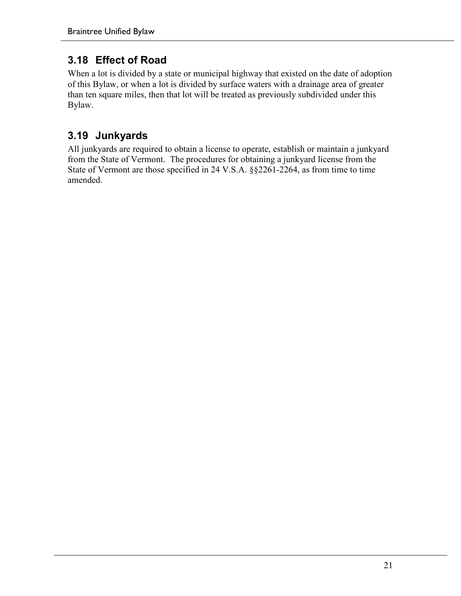## **3.18 Effect of Road**

When a lot is divided by a state or municipal highway that existed on the date of adoption of this Bylaw, or when a lot is divided by surface waters with a drainage area of greater than ten square miles, then that lot will be treated as previously subdivided under this Bylaw.

## **3.19 Junkyards**

All junkyards are required to obtain a license to operate, establish or maintain a junkyard from the State of Vermont. The procedures for obtaining a junkyard license from the State of Vermont are those specified in 24 V.S.A. §§2261-2264, as from time to time amended.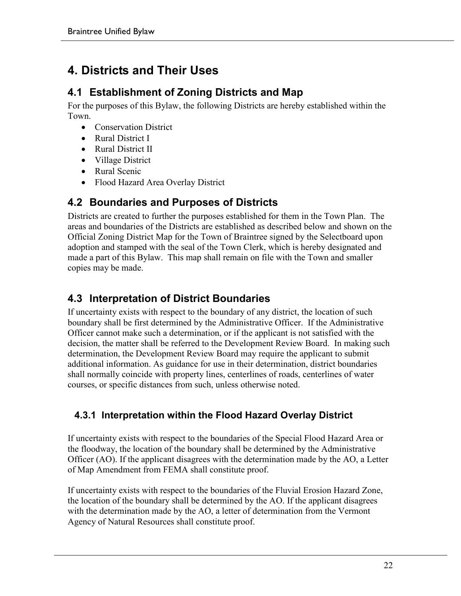## **4. Districts and Their Uses**

## **4.1 Establishment of Zoning Districts and Map**

For the purposes of this Bylaw, the following Districts are hereby established within the Town.

- Conservation District
- Rural District I
- Rural District II
- Village District
- Rural Scenic
- Flood Hazard Area Overlay District

## **4.2 Boundaries and Purposes of Districts**

Districts are created to further the purposes established for them in the Town Plan. The areas and boundaries of the Districts are established as described below and shown on the Official Zoning District Map for the Town of Braintree signed by the Selectboard upon adoption and stamped with the seal of the Town Clerk, which is hereby designated and made a part of this Bylaw. This map shall remain on file with the Town and smaller copies may be made.

## **4.3 Interpretation of District Boundaries**

If uncertainty exists with respect to the boundary of any district, the location of such boundary shall be first determined by the Administrative Officer. If the Administrative Officer cannot make such a determination, or if the applicant is not satisfied with the decision, the matter shall be referred to the Development Review Board. In making such determination, the Development Review Board may require the applicant to submit additional information. As guidance for use in their determination, district boundaries shall normally coincide with property lines, centerlines of roads, centerlines of water courses, or specific distances from such, unless otherwise noted.

## **4.3.1 Interpretation within the Flood Hazard Overlay District**

If uncertainty exists with respect to the boundaries of the Special Flood Hazard Area or the floodway, the location of the boundary shall be determined by the Administrative Officer (AO). If the applicant disagrees with the determination made by the AO, a Letter of Map Amendment from FEMA shall constitute proof.

If uncertainty exists with respect to the boundaries of the Fluvial Erosion Hazard Zone, the location of the boundary shall be determined by the AO. If the applicant disagrees with the determination made by the AO, a letter of determination from the Vermont Agency of Natural Resources shall constitute proof.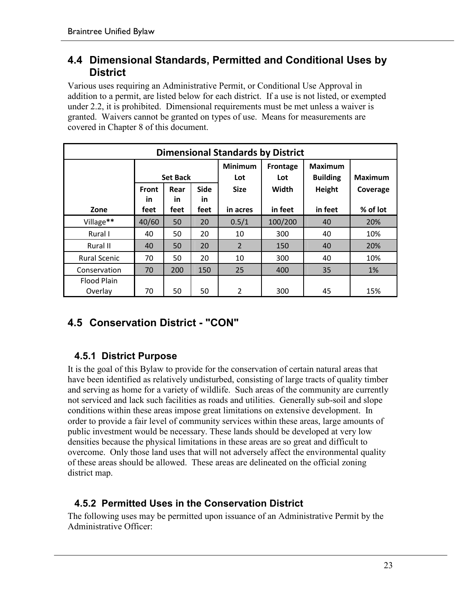#### **4.4 Dimensional Standards, Permitted and Conditional Uses by District**

Various uses requiring an Administrative Permit, or Conditional Use Approval in addition to a permit, are listed below for each district. If a use is not listed, or exempted under 2.2, it is prohibited. Dimensional requirements must be met unless a waiver is granted. Waivers cannot be granted on types of use. Means for measurements are covered in Chapter 8 of this document.

| <b>Dimensional Standards by District</b> |                           |             |                   |                       |                 |                                   |                |
|------------------------------------------|---------------------------|-------------|-------------------|-----------------------|-----------------|-----------------------------------|----------------|
|                                          | <b>Set Back</b>           |             |                   | <b>Minimum</b><br>Lot | Frontage<br>Lot | <b>Maximum</b><br><b>Building</b> | <b>Maximum</b> |
|                                          | <b>Front</b><br><b>in</b> | Rear<br>in. | <b>Side</b><br>in | <b>Size</b>           | Width           | Height                            | Coverage       |
| Zone                                     | feet                      | feet        | feet              | in acres              | in feet         | in feet                           | % of lot       |
| Village**                                | 40/60                     | 50          | 20                | 0.5/1                 | 100/200         | 40                                | 20%            |
| Rural I                                  | 40                        | 50          | 20                | 10                    | 300             | 40                                | 10%            |
| Rural II                                 | 40                        | 50          | 20                | $\overline{2}$        | 150             | 40                                | 20%            |
| <b>Rural Scenic</b>                      | 70                        | 50          | 20                | 10                    | 300             | 40                                | 10%            |
| Conservation                             | 70                        | 200         | 150               | 25                    | 400             | 35                                | 1%             |
| <b>Flood Plain</b><br>Overlay            | 70                        | 50          | 50                | 2                     | 300             | 45                                | 15%            |

## **4.5 Conservation District - "CON"**

#### **4.5.1 District Purpose**

It is the goal of this Bylaw to provide for the conservation of certain natural areas that have been identified as relatively undisturbed, consisting of large tracts of quality timber and serving as home for a variety of wildlife. Such areas of the community are currently not serviced and lack such facilities as roads and utilities. Generally sub-soil and slope conditions within these areas impose great limitations on extensive development. In order to provide a fair level of community services within these areas, large amounts of public investment would be necessary. These lands should be developed at very low densities because the physical limitations in these areas are so great and difficult to overcome. Only those land uses that will not adversely affect the environmental quality of these areas should be allowed. These areas are delineated on the official zoning district map.

#### **4.5.2 Permitted Uses in the Conservation District**

The following uses may be permitted upon issuance of an Administrative Permit by the Administrative Officer: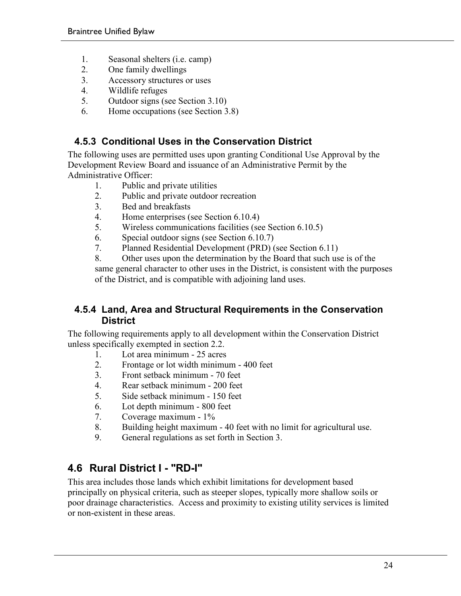- 1. Seasonal shelters (i.e. camp)
- 2. One family dwellings
- 3. Accessory structures or uses
- 4. Wildlife refuges
- 5. Outdoor signs (see Section 3.10)
- 6. Home occupations (see Section 3.8)

#### **4.5.3 Conditional Uses in the Conservation District**

The following uses are permitted uses upon granting Conditional Use Approval by the Development Review Board and issuance of an Administrative Permit by the Administrative Officer:

- 1. Public and private utilities
- 2. Public and private outdoor recreation
- 3. Bed and breakfasts
- 4. Home enterprises (see Section 6.10.4)
- 5. Wireless communications facilities (see Section 6.10.5)
- 6. Special outdoor signs (see Section 6.10.7)
- 7. Planned Residential Development (PRD) (see Section 6.11)

8. Other uses upon the determination by the Board that such use is of the same general character to other uses in the District, is consistent with the purposes of the District, and is compatible with adjoining land uses.

#### **4.5.4 Land, Area and Structural Requirements in the Conservation District**

The following requirements apply to all development within the Conservation District unless specifically exempted in section 2.2.

- 1. Lot area minimum 25 acres
- 2. Frontage or lot width minimum 400 feet
- 3. Front setback minimum 70 feet
- 4. Rear setback minimum 200 feet
- 5. Side setback minimum 150 feet
- 6. Lot depth minimum 800 feet
- 7. Coverage maximum 1%
- 8. Building height maximum 40 feet with no limit for agricultural use.
- 9. General regulations as set forth in Section 3.

## **4.6 Rural District I - "RD-I"**

This area includes those lands which exhibit limitations for development based principally on physical criteria, such as steeper slopes, typically more shallow soils or poor drainage characteristics. Access and proximity to existing utility services is limited or non-existent in these areas.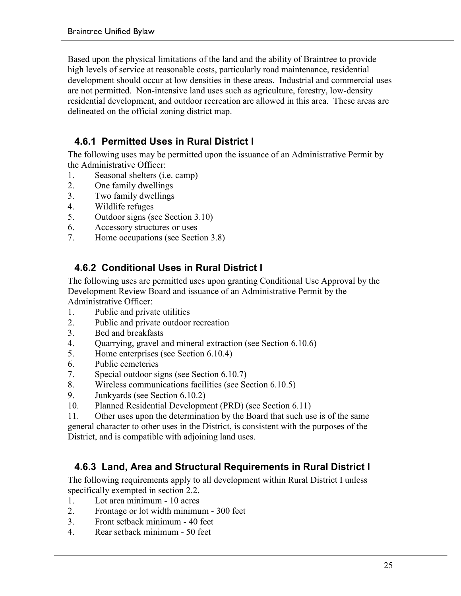Based upon the physical limitations of the land and the ability of Braintree to provide high levels of service at reasonable costs, particularly road maintenance, residential development should occur at low densities in these areas. Industrial and commercial uses are not permitted. Non-intensive land uses such as agriculture, forestry, low-density residential development, and outdoor recreation are allowed in this area. These areas are delineated on the official zoning district map.

## **4.6.1 Permitted Uses in Rural District I**

The following uses may be permitted upon the issuance of an Administrative Permit by the Administrative Officer:

- 1. Seasonal shelters (i.e. camp)
- 2. One family dwellings
- 3. Two family dwellings
- 4. Wildlife refuges
- 5. Outdoor signs (see Section 3.10)
- 6. Accessory structures or uses
- 7. Home occupations (see Section 3.8)

#### **4.6.2 Conditional Uses in Rural District I**

The following uses are permitted uses upon granting Conditional Use Approval by the Development Review Board and issuance of an Administrative Permit by the Administrative Officer:

- 1. Public and private utilities
- 2. Public and private outdoor recreation
- 3. Bed and breakfasts
- 4. Quarrying, gravel and mineral extraction (see Section 6.10.6)
- 5. Home enterprises (see Section 6.10.4)
- 6. Public cemeteries
- 7. Special outdoor signs (see Section 6.10.7)
- 8. Wireless communications facilities (see Section 6.10.5)
- 9. Junkyards (see Section 6.10.2)
- 10. Planned Residential Development (PRD) (see Section 6.11)

11. Other uses upon the determination by the Board that such use is of the same general character to other uses in the District, is consistent with the purposes of the District, and is compatible with adjoining land uses.

#### **4.6.3 Land, Area and Structural Requirements in Rural District I**

The following requirements apply to all development within Rural District I unless specifically exempted in section 2.2.

- 1. Lot area minimum 10 acres
- 2. Frontage or lot width minimum 300 feet
- 3. Front setback minimum 40 feet
- 4. Rear setback minimum 50 feet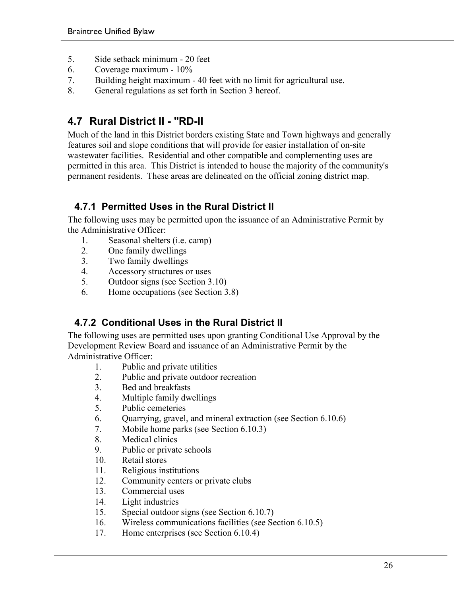- 5. Side setback minimum 20 feet
- 6. Coverage maximum 10%
- 7. Building height maximum 40 feet with no limit for agricultural use.
- 8. General regulations as set forth in Section 3 hereof.

## **4.7 Rural District II - "RD-II**

Much of the land in this District borders existing State and Town highways and generally features soil and slope conditions that will provide for easier installation of on-site wastewater facilities. Residential and other compatible and complementing uses are permitted in this area. This District is intended to house the majority of the community's permanent residents. These areas are delineated on the official zoning district map.

#### **4.7.1 Permitted Uses in the Rural District II**

The following uses may be permitted upon the issuance of an Administrative Permit by the Administrative Officer:

- 1. Seasonal shelters (i.e. camp)
- 2. One family dwellings
- 3. Two family dwellings
- 4. Accessory structures or uses
- 5. Outdoor signs (see Section 3.10)
- 6. Home occupations (see Section 3.8)

#### **4.7.2 Conditional Uses in the Rural District II**

The following uses are permitted uses upon granting Conditional Use Approval by the Development Review Board and issuance of an Administrative Permit by the Administrative Officer:

- 1. Public and private utilities
- 2. Public and private outdoor recreation
- 3. Bed and breakfasts
- 4. Multiple family dwellings
- 5. Public cemeteries
- 6. Quarrying, gravel, and mineral extraction (see Section 6.10.6)
- 7. Mobile home parks (see Section 6.10.3)
- 8. Medical clinics
- 9. Public or private schools
- 10. Retail stores
- 11. Religious institutions
- 12. Community centers or private clubs
- 13. Commercial uses
- 14. Light industries
- 15. Special outdoor signs (see Section 6.10.7)
- 16. Wireless communications facilities (see Section 6.10.5)
- 17. Home enterprises (see Section 6.10.4)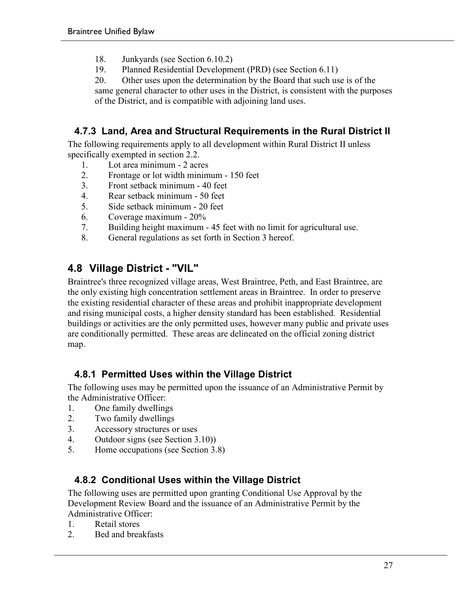- 18. Junkyards (see Section 6.10.2)
- 19. Planned Residential Development (PRD) (see Section 6.11)

20. Other uses upon the determination by the Board that such use is of the same general character to other uses in the District, is consistent with the purposes of the District, and is compatible with adjoining land uses.

#### **4.7.3 Land, Area and Structural Requirements in the Rural District II**

The following requirements apply to all development within Rural District II unless specifically exempted in section 2.2.

- 1. Lot area minimum 2 acres<br>2 Frontage or lot width minim
- 2. Frontage or lot width minimum 150 feet
- 3. Front setback minimum 40 feet
- 4. Rear setback minimum 50 feet
- 5. Side setback minimum 20 feet
- 6. Coverage maximum 20%
- 7. Building height maximum 45 feet with no limit for agricultural use.
- 8. General regulations as set forth in Section 3 hereof.

#### **4.8 Village District - "VIL"**

Braintree's three recognized village areas, West Braintree, Peth, and East Braintree, are the only existing high concentration settlement areas in Braintree. In order to preserve the existing residential character of these areas and prohibit inappropriate development and rising municipal costs, a higher density standard has been established. Residential buildings or activities are the only permitted uses, however many public and private uses are conditionally permitted. These areas are delineated on the official zoning district map.

#### **4.8.1 Permitted Uses within the Village District**

The following uses may be permitted upon the issuance of an Administrative Permit by the Administrative Officer:

- 1. One family dwellings
- 2. Two family dwellings
- 3. Accessory structures or uses
- 4. Outdoor signs (see Section 3.10))
- 5. Home occupations (see Section 3.8)

#### **4.8.2 Conditional Uses within the Village District**

The following uses are permitted upon granting Conditional Use Approval by the Development Review Board and the issuance of an Administrative Permit by the Administrative Officer:

- 1. Retail stores
- 2. Bed and breakfasts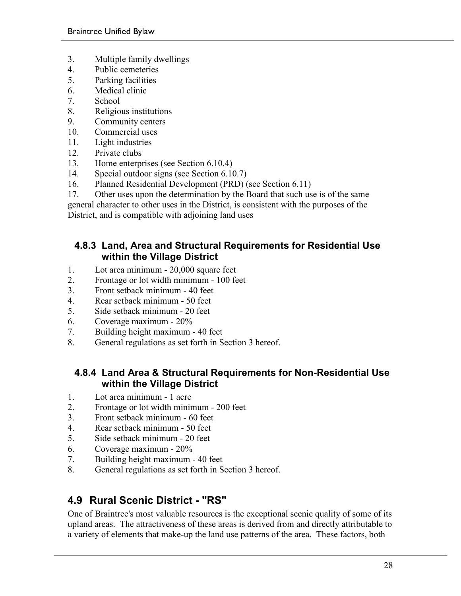- 3. Multiple family dwellings
- 4. Public cemeteries
- 5. Parking facilities
- 6. Medical clinic
- 7. School
- 8. Religious institutions
- 9. Community centers
- 10. Commercial uses
- 11. Light industries
- 12. Private clubs
- 13. Home enterprises (see Section 6.10.4)
- 14. Special outdoor signs (see Section 6.10.7)
- 16. Planned Residential Development (PRD) (see Section 6.11)
- 17. Other uses upon the determination by the Board that such use is of the same

general character to other uses in the District, is consistent with the purposes of the District, and is compatible with adjoining land uses

#### **4.8.3 Land, Area and Structural Requirements for Residential Use within the Village District**

- 1. Lot area minimum 20,000 square feet
- 2. Frontage or lot width minimum 100 feet
- 3. Front setback minimum 40 feet
- 4. Rear setback minimum 50 feet
- 5. Side setback minimum 20 feet
- 6. Coverage maximum 20%
- 7. Building height maximum 40 feet
- 8. General regulations as set forth in Section 3 hereof.

#### **4.8.4 Land Area & Structural Requirements for Non-Residential Use within the Village District**

- 1. Lot area minimum 1 acre
- 2. Frontage or lot width minimum 200 feet
- 3. Front setback minimum 60 feet
- 4. Rear setback minimum 50 feet
- 5. Side setback minimum 20 feet
- 6. Coverage maximum 20%
- 7. Building height maximum 40 feet
- 8. General regulations as set forth in Section 3 hereof.

## **4.9 Rural Scenic District - "RS"**

One of Braintree's most valuable resources is the exceptional scenic quality of some of its upland areas. The attractiveness of these areas is derived from and directly attributable to a variety of elements that make-up the land use patterns of the area. These factors, both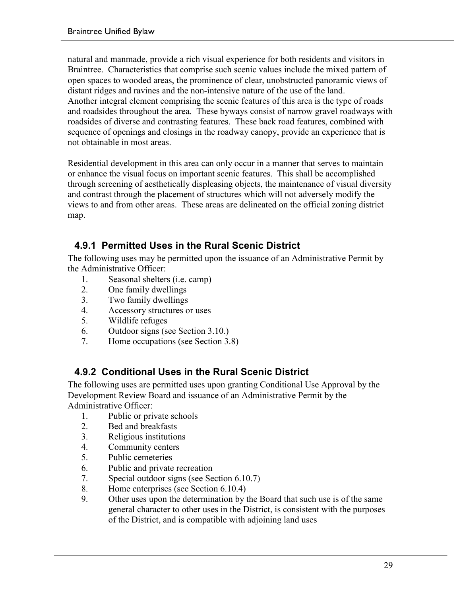natural and manmade, provide a rich visual experience for both residents and visitors in Braintree. Characteristics that comprise such scenic values include the mixed pattern of open spaces to wooded areas, the prominence of clear, unobstructed panoramic views of distant ridges and ravines and the non-intensive nature of the use of the land. Another integral element comprising the scenic features of this area is the type of roads and roadsides throughout the area. These byways consist of narrow gravel roadways with roadsides of diverse and contrasting features. These back road features, combined with sequence of openings and closings in the roadway canopy, provide an experience that is not obtainable in most areas.

Residential development in this area can only occur in a manner that serves to maintain or enhance the visual focus on important scenic features. This shall be accomplished through screening of aesthetically displeasing objects, the maintenance of visual diversity and contrast through the placement of structures which will not adversely modify the views to and from other areas. These areas are delineated on the official zoning district map.

## **4.9.1 Permitted Uses in the Rural Scenic District**

The following uses may be permitted upon the issuance of an Administrative Permit by the Administrative Officer:

- 1. Seasonal shelters (i.e. camp)
- 2. One family dwellings
- 3. Two family dwellings
- 4. Accessory structures or uses
- 5. Wildlife refuges
- 6. Outdoor signs (see Section 3.10.)
- 7. Home occupations (see Section 3.8)

#### **4.9.2 Conditional Uses in the Rural Scenic District**

The following uses are permitted uses upon granting Conditional Use Approval by the Development Review Board and issuance of an Administrative Permit by the Administrative Officer:

- 1. Public or private schools
- 2. Bed and breakfasts
- 3. Religious institutions
- 4. Community centers
- 5. Public cemeteries
- 6. Public and private recreation
- 7. Special outdoor signs (see Section 6.10.7)
- 8. Home enterprises (see Section 6.10.4)
- 9. Other uses upon the determination by the Board that such use is of the same general character to other uses in the District, is consistent with the purposes of the District, and is compatible with adjoining land uses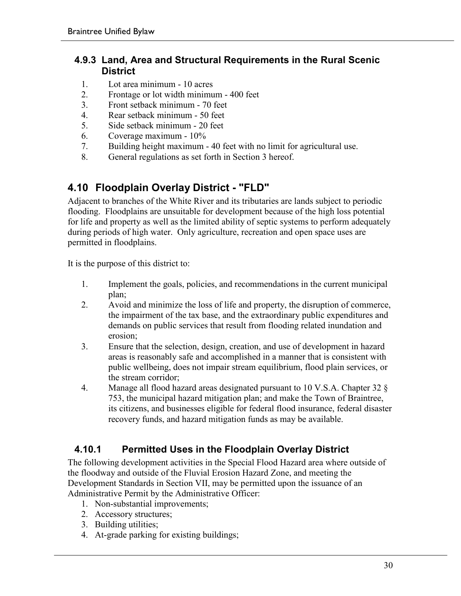#### **4.9.3 Land, Area and Structural Requirements in the Rural Scenic District**

- 1. Lot area minimum 10 acres
- 2. Frontage or lot width minimum 400 feet
- 3. Front setback minimum 70 feet
- 4. Rear setback minimum 50 feet
- 5. Side setback minimum 20 feet
- 6. Coverage maximum 10%
- 7. Building height maximum 40 feet with no limit for agricultural use.
- 8. General regulations as set forth in Section 3 hereof.

## **4.10 Floodplain Overlay District - "FLD"**

Adjacent to branches of the White River and its tributaries are lands subject to periodic flooding. Floodplains are unsuitable for development because of the high loss potential for life and property as well as the limited ability of septic systems to perform adequately during periods of high water. Only agriculture, recreation and open space uses are permitted in floodplains.

It is the purpose of this district to:

- 1. Implement the goals, policies, and recommendations in the current municipal plan;
- 2. Avoid and minimize the loss of life and property, the disruption of commerce, the impairment of the tax base, and the extraordinary public expenditures and demands on public services that result from flooding related inundation and erosion;
- 3. Ensure that the selection, design, creation, and use of development in hazard areas is reasonably safe and accomplished in a manner that is consistent with public wellbeing, does not impair stream equilibrium, flood plain services, or the stream corridor;
- 4. Manage all flood hazard areas designated pursuant to 10 V.S.A. Chapter 32 § 753, the municipal hazard mitigation plan; and make the Town of Braintree, its citizens, and businesses eligible for federal flood insurance, federal disaster recovery funds, and hazard mitigation funds as may be available.

#### **4.10.1 Permitted Uses in the Floodplain Overlay District**

The following development activities in the Special Flood Hazard area where outside of the floodway and outside of the Fluvial Erosion Hazard Zone, and meeting the Development Standards in Section VII, may be permitted upon the issuance of an Administrative Permit by the Administrative Officer:

- 1. Non-substantial improvements;
- 2. Accessory structures;
- 3. Building utilities;
- 4. At-grade parking for existing buildings;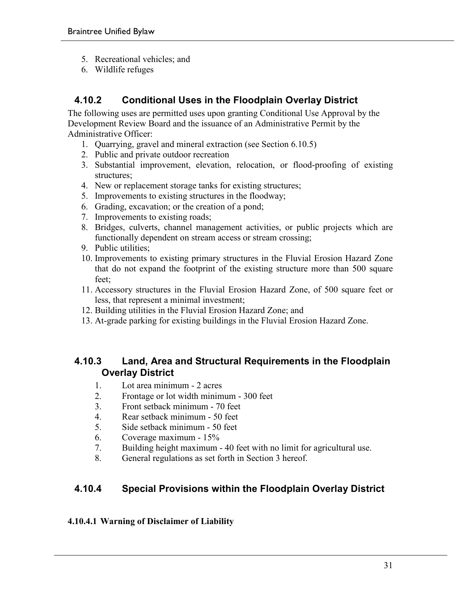- 5. Recreational vehicles; and
- 6. Wildlife refuges

#### **4.10.2 Conditional Uses in the Floodplain Overlay District**

The following uses are permitted uses upon granting Conditional Use Approval by the Development Review Board and the issuance of an Administrative Permit by the Administrative Officer:

- 1. Quarrying, gravel and mineral extraction (see Section 6.10.5)
- 2. Public and private outdoor recreation
- 3. Substantial improvement, elevation, relocation, or flood-proofing of existing structures;
- 4. New or replacement storage tanks for existing structures;
- 5. Improvements to existing structures in the floodway;
- 6. Grading, excavation; or the creation of a pond;
- 7. Improvements to existing roads;
- 8. Bridges, culverts, channel management activities, or public projects which are functionally dependent on stream access or stream crossing;
- 9. Public utilities;
- 10. Improvements to existing primary structures in the Fluvial Erosion Hazard Zone that do not expand the footprint of the existing structure more than 500 square feet;
- 11. Accessory structures in the Fluvial Erosion Hazard Zone, of 500 square feet or less, that represent a minimal investment;
- 12. Building utilities in the Fluvial Erosion Hazard Zone; and
- 13. At-grade parking for existing buildings in the Fluvial Erosion Hazard Zone.

#### **4.10.3 Land, Area and Structural Requirements in the Floodplain Overlay District**

- 1. Lot area minimum 2 acres
- 2. Frontage or lot width minimum 300 feet
- 3. Front setback minimum 70 feet
- 4. Rear setback minimum 50 feet
- 5. Side setback minimum 50 feet
- 6. Coverage maximum 15%
- 7. Building height maximum 40 feet with no limit for agricultural use.
- 8. General regulations as set forth in Section 3 hereof.

#### **4.10.4 Special Provisions within the Floodplain Overlay District**

#### **4.10.4.1 Warning of Disclaimer of Liability**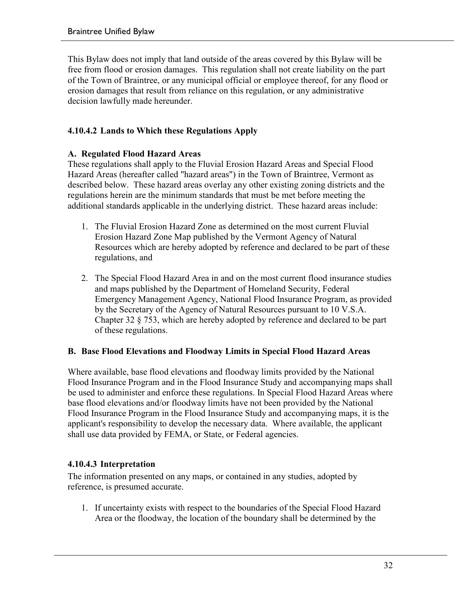This Bylaw does not imply that land outside of the areas covered by this Bylaw will be free from flood or erosion damages. This regulation shall not create liability on the part of the Town of Braintree, or any municipal official or employee thereof, for any flood or erosion damages that result from reliance on this regulation, or any administrative decision lawfully made hereunder.

#### **4.10.4.2 Lands to Which these Regulations Apply**

#### **A. Regulated Flood Hazard Areas**

These regulations shall apply to the Fluvial Erosion Hazard Areas and Special Flood Hazard Areas (hereafter called "hazard areas") in the Town of Braintree, Vermont as described below. These hazard areas overlay any other existing zoning districts and the regulations herein are the minimum standards that must be met before meeting the additional standards applicable in the underlying district. These hazard areas include:

- 1. The Fluvial Erosion Hazard Zone as determined on the most current Fluvial Erosion Hazard Zone Map published by the Vermont Agency of Natural Resources which are hereby adopted by reference and declared to be part of these regulations, and
- 2. The Special Flood Hazard Area in and on the most current flood insurance studies and maps published by the Department of Homeland Security, Federal Emergency Management Agency, National Flood Insurance Program, as provided by the Secretary of the Agency of Natural Resources pursuant to 10 V.S.A. Chapter 32 § 753, which are hereby adopted by reference and declared to be part of these regulations.

#### **B. Base Flood Elevations and Floodway Limits in Special Flood Hazard Areas**

Where available, base flood elevations and floodway limits provided by the National Flood Insurance Program and in the Flood Insurance Study and accompanying maps shall be used to administer and enforce these regulations. In Special Flood Hazard Areas where base flood elevations and/or floodway limits have not been provided by the National Flood Insurance Program in the Flood Insurance Study and accompanying maps, it is the applicant's responsibility to develop the necessary data. Where available, the applicant shall use data provided by FEMA, or State, or Federal agencies.

#### **4.10.4.3 Interpretation**

The information presented on any maps, or contained in any studies, adopted by reference, is presumed accurate.

1. If uncertainty exists with respect to the boundaries of the Special Flood Hazard Area or the floodway, the location of the boundary shall be determined by the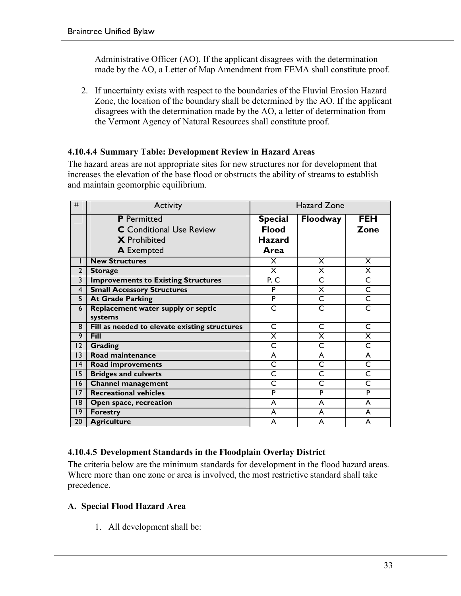Administrative Officer (AO). If the applicant disagrees with the determination made by the AO, a Letter of Map Amendment from FEMA shall constitute proof.

2. If uncertainty exists with respect to the boundaries of the Fluvial Erosion Hazard Zone, the location of the boundary shall be determined by the AO. If the applicant disagrees with the determination made by the AO, a letter of determination from the Vermont Agency of Natural Resources shall constitute proof.

#### **4.10.4.4 Summary Table: Development Review in Hazard Areas**

The hazard areas are not appropriate sites for new structures nor for development that increases the elevation of the base flood or obstructs the ability of streams to establish and maintain geomorphic equilibrium.

| #              | Activity                                      | <b>Hazard Zone</b>      |                         |                         |  |
|----------------|-----------------------------------------------|-------------------------|-------------------------|-------------------------|--|
|                | <b>P</b> Permitted                            | <b>Special</b>          | <b>Floodway</b>         | <b>FEH</b>              |  |
|                | <b>C</b> Conditional Use Review               | <b>Flood</b>            |                         | <b>Zone</b>             |  |
|                | <b>X</b> Prohibited                           | <b>Hazard</b>           |                         |                         |  |
|                | <b>A</b> Exempted                             | Area                    |                         |                         |  |
|                | <b>New Structures</b>                         | X                       | X                       | $\times$                |  |
| $\overline{2}$ | <b>Storage</b>                                | X                       | X                       | X                       |  |
| 3              | <b>Improvements to Existing Structures</b>    | P, C                    | C                       | $\overline{\mathsf{C}}$ |  |
| 4              | <b>Small Accessory Structures</b>             | P                       | X                       | $\overline{\mathsf{C}}$ |  |
| 5              | <b>At Grade Parking</b>                       | P                       | C                       | $\overline{\mathsf{C}}$ |  |
| 6              | Replacement water supply or septic            | C                       | C                       | C                       |  |
|                | systems                                       |                         |                         |                         |  |
| 8              | Fill as needed to elevate existing structures | $\overline{\mathsf{C}}$ | C                       | $\overline{\mathsf{C}}$ |  |
| 9              | Fill                                          | X                       | X                       | $\overline{\mathsf{x}}$ |  |
| 2              | <b>Grading</b>                                | C                       | C                       | C                       |  |
| 13             | Road maintenance                              | A                       | A                       | A                       |  |
| 4              | <b>Road improvements</b>                      | $\overline{\mathsf{C}}$ | $\overline{\mathsf{C}}$ | $\overline{\mathsf{C}}$ |  |
| $\overline{5}$ | <b>Bridges and culverts</b>                   | $\overline{\mathsf{C}}$ | C                       | $\overline{\mathsf{C}}$ |  |
| 16             | <b>Channel management</b>                     | C                       | C                       | C                       |  |
| 17             | <b>Recreational vehicles</b>                  | P                       | P                       | P                       |  |
| 18             | Open space, recreation                        | A                       | A                       | A                       |  |
| 9              | <b>Forestry</b>                               | A                       | A                       | A                       |  |
| 20             | <b>Agriculture</b>                            | A                       | A                       | A                       |  |

#### **4.10.4.5 Development Standards in the Floodplain Overlay District**

The criteria below are the minimum standards for development in the flood hazard areas. Where more than one zone or area is involved, the most restrictive standard shall take precedence.

#### **A. Special Flood Hazard Area**

1. All development shall be: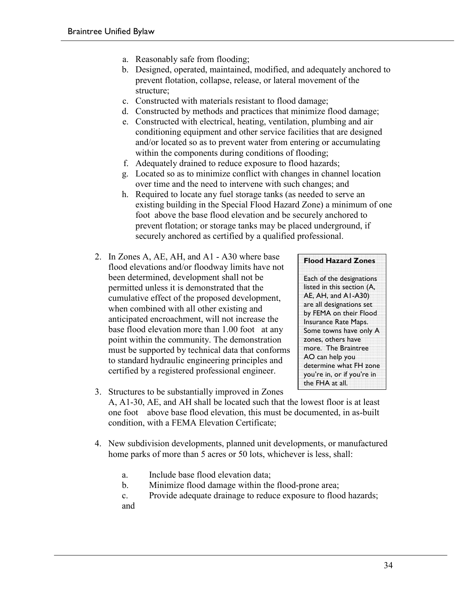- a. Reasonably safe from flooding;
- b. Designed, operated, maintained, modified, and adequately anchored to prevent flotation, collapse, release, or lateral movement of the structure;
- c. Constructed with materials resistant to flood damage;
- d. Constructed by methods and practices that minimize flood damage;
- e. Constructed with electrical, heating, ventilation, plumbing and air conditioning equipment and other service facilities that are designed and/or located so as to prevent water from entering or accumulating within the components during conditions of flooding;
- f. Adequately drained to reduce exposure to flood hazards;
- g. Located so as to minimize conflict with changes in channel location over time and the need to intervene with such changes; and
- h. Required to locate any fuel storage tanks (as needed to serve an existing building in the Special Flood Hazard Zone) a minimum of one foot above the base flood elevation and be securely anchored to prevent flotation; or storage tanks may be placed underground, if securely anchored as certified by a qualified professional.
- 2. In Zones A, AE, AH, and A1 A30 where base flood elevations and/or floodway limits have not been determined, development shall not be permitted unless it is demonstrated that the cumulative effect of the proposed development, when combined with all other existing and anticipated encroachment, will not increase the base flood elevation more than 1.00 foot at any point within the community. The demonstration must be supported by technical data that conforms to standard hydraulic engineering principles and certified by a registered professional engineer.

#### **Flood Hazard Zones**

Each of the designations listed in this section (A, AE, AH, and A1-A30) are all designations set by FEMA on their Flood Insurance Rate Maps. Some towns have only A zones, others have more. The Braintree AO can help you determine what FH zone you're in, or if you're in the FHA at all.

- 3. Structures to be substantially improved in Zones A, A1-30, AE, and AH shall be located such that the lowest floor is at least one foot above base flood elevation, this must be documented, in as-built condition, with a FEMA Elevation Certificate;
- 4. New subdivision developments, planned unit developments, or manufactured home parks of more than 5 acres or 50 lots, whichever is less, shall:
	- a. Include base flood elevation data;
	- b. Minimize flood damage within the flood-prone area;
	- c. Provide adequate drainage to reduce exposure to flood hazards;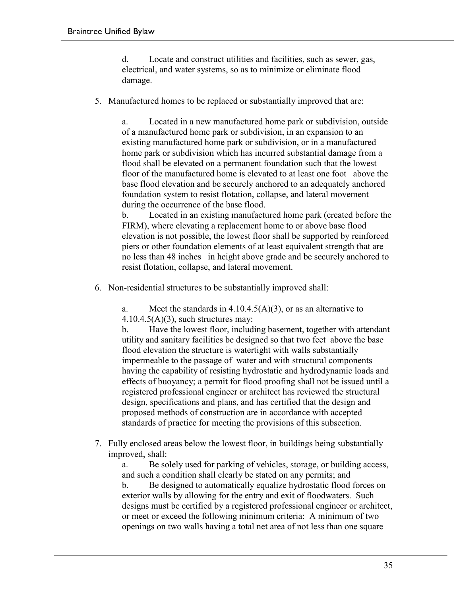d. Locate and construct utilities and facilities, such as sewer, gas, electrical, and water systems, so as to minimize or eliminate flood damage.

5. Manufactured homes to be replaced or substantially improved that are:

a. Located in a new manufactured home park or subdivision, outside of a manufactured home park or subdivision, in an expansion to an existing manufactured home park or subdivision, or in a manufactured home park or subdivision which has incurred substantial damage from a flood shall be elevated on a permanent foundation such that the lowest floor of the manufactured home is elevated to at least one foot above the base flood elevation and be securely anchored to an adequately anchored foundation system to resist flotation, collapse, and lateral movement during the occurrence of the base flood.

b. Located in an existing manufactured home park (created before the FIRM), where elevating a replacement home to or above base flood elevation is not possible, the lowest floor shall be supported by reinforced piers or other foundation elements of at least equivalent strength that are no less than 48 inches in height above grade and be securely anchored to resist flotation, collapse, and lateral movement.

6. Non-residential structures to be substantially improved shall:

a. Meet the standards in  $4.10.4.5(A)(3)$ , or as an alternative to  $4.10.4.5(A)(3)$ , such structures may:

b. Have the lowest floor, including basement, together with attendant utility and sanitary facilities be designed so that two feet above the base flood elevation the structure is watertight with walls substantially impermeable to the passage of water and with structural components having the capability of resisting hydrostatic and hydrodynamic loads and effects of buoyancy; a permit for flood proofing shall not be issued until a registered professional engineer or architect has reviewed the structural design, specifications and plans, and has certified that the design and proposed methods of construction are in accordance with accepted standards of practice for meeting the provisions of this subsection.

7. Fully enclosed areas below the lowest floor, in buildings being substantially improved, shall:

a. Be solely used for parking of vehicles, storage, or building access, and such a condition shall clearly be stated on any permits; and

b. Be designed to automatically equalize hydrostatic flood forces on exterior walls by allowing for the entry and exit of floodwaters. Such designs must be certified by a registered professional engineer or architect, or meet or exceed the following minimum criteria: A minimum of two openings on two walls having a total net area of not less than one square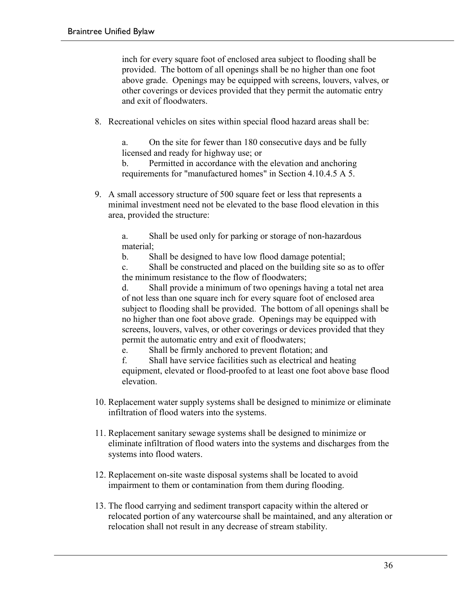inch for every square foot of enclosed area subject to flooding shall be provided. The bottom of all openings shall be no higher than one foot above grade. Openings may be equipped with screens, louvers, valves, or other coverings or devices provided that they permit the automatic entry and exit of floodwaters.

8. Recreational vehicles on sites within special flood hazard areas shall be:

a. On the site for fewer than 180 consecutive days and be fully licensed and ready for highway use; or

b. Permitted in accordance with the elevation and anchoring requirements for "manufactured homes" in Section 4.10.4.5 A 5.

9. A small accessory structure of 500 square feet or less that represents a minimal investment need not be elevated to the base flood elevation in this area, provided the structure:

a. Shall be used only for parking or storage of non-hazardous material;

b. Shall be designed to have low flood damage potential;

c. Shall be constructed and placed on the building site so as to offer the minimum resistance to the flow of floodwaters;

d. Shall provide a minimum of two openings having a total net area of not less than one square inch for every square foot of enclosed area subject to flooding shall be provided. The bottom of all openings shall be no higher than one foot above grade. Openings may be equipped with screens, louvers, valves, or other coverings or devices provided that they permit the automatic entry and exit of floodwaters;

e. Shall be firmly anchored to prevent flotation; and

f. Shall have service facilities such as electrical and heating equipment, elevated or flood-proofed to at least one foot above base flood elevation.

- 10. Replacement water supply systems shall be designed to minimize or eliminate infiltration of flood waters into the systems.
- 11. Replacement sanitary sewage systems shall be designed to minimize or eliminate infiltration of flood waters into the systems and discharges from the systems into flood waters.
- 12. Replacement on-site waste disposal systems shall be located to avoid impairment to them or contamination from them during flooding.
- 13. The flood carrying and sediment transport capacity within the altered or relocated portion of any watercourse shall be maintained, and any alteration or relocation shall not result in any decrease of stream stability.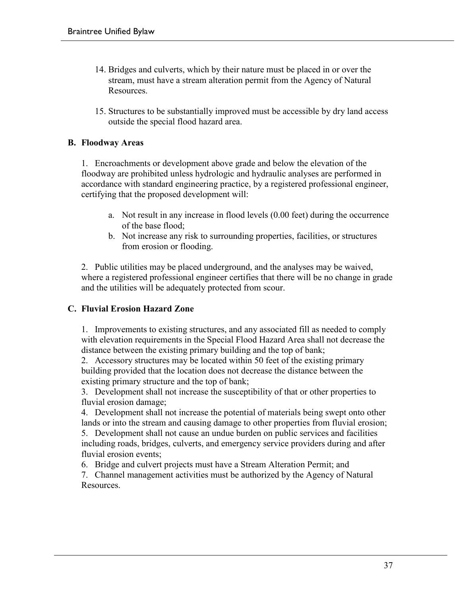- 14. Bridges and culverts, which by their nature must be placed in or over the stream, must have a stream alteration permit from the Agency of Natural Resources.
- 15. Structures to be substantially improved must be accessible by dry land access outside the special flood hazard area.

#### **B. Floodway Areas**

1. Encroachments or development above grade and below the elevation of the floodway are prohibited unless hydrologic and hydraulic analyses are performed in accordance with standard engineering practice, by a registered professional engineer, certifying that the proposed development will:

- a. Not result in any increase in flood levels (0.00 feet) during the occurrence of the base flood;
- b. Not increase any risk to surrounding properties, facilities, or structures from erosion or flooding.

2. Public utilities may be placed underground, and the analyses may be waived, where a registered professional engineer certifies that there will be no change in grade and the utilities will be adequately protected from scour.

#### **C. Fluvial Erosion Hazard Zone**

1. Improvements to existing structures, and any associated fill as needed to comply with elevation requirements in the Special Flood Hazard Area shall not decrease the distance between the existing primary building and the top of bank;

2. Accessory structures may be located within 50 feet of the existing primary building provided that the location does not decrease the distance between the existing primary structure and the top of bank;

3. Development shall not increase the susceptibility of that or other properties to fluvial erosion damage;

4. Development shall not increase the potential of materials being swept onto other lands or into the stream and causing damage to other properties from fluvial erosion; 5. Development shall not cause an undue burden on public services and facilities

including roads, bridges, culverts, and emergency service providers during and after fluvial erosion events;

6. Bridge and culvert projects must have a Stream Alteration Permit; and

7. Channel management activities must be authorized by the Agency of Natural **Resources**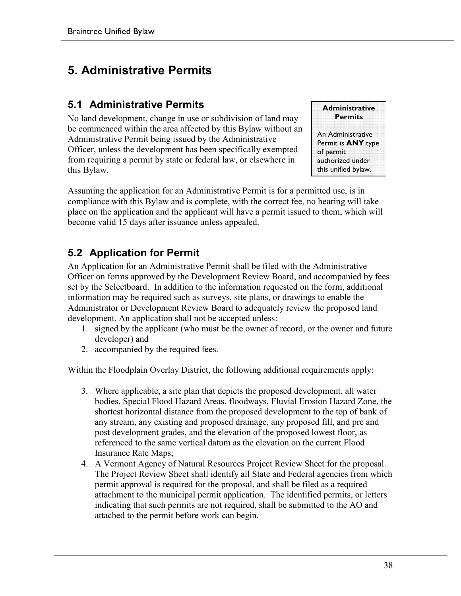# **5. Administrative Permits**

### **5.1 Administrative Permits**

No land development, change in use or subdivision of land may be commenced within the area affected by this Bylaw without an Administrative Permit being issued by the Administrative Officer, unless the development has been specifically exempted from requiring a permit by state or federal law, or elsewhere in this Bylaw.



Assuming the application for an Administrative Permit is for a permitted use, is in compliance with this Bylaw and is complete, with the correct fee, no hearing will take place on the application and the applicant will have a permit issued to them, which will become valid 15 days after issuance unless appealed.

### **5.2 Application for Permit**

An Application for an Administrative Permit shall be filed with the Administrative Officer on forms approved by the Development Review Board, and accompanied by fees set by the Selectboard. In addition to the information requested on the form, additional information may be required such as surveys, site plans, or drawings to enable the Administrator or Development Review Board to adequately review the proposed land development. An application shall not be accepted unless:

- 1. signed by the applicant (who must be the owner of record, or the owner and future developer) and
- 2. accompanied by the required fees.

Within the Floodplain Overlay District, the following additional requirements apply:

- 3. Where applicable, a site plan that depicts the proposed development, all water bodies, Special Flood Hazard Areas, floodways, Fluvial Erosion Hazard Zone, the shortest horizontal distance from the proposed development to the top of bank of any stream, any existing and proposed drainage, any proposed fill, and pre and post development grades, and the elevation of the proposed lowest floor, as referenced to the same vertical datum as the elevation on the current Flood Insurance Rate Maps;
- 4. A Vermont Agency of Natural Resources Project Review Sheet for the proposal. The Project Review Sheet shall identify all State and Federal agencies from which permit approval is required for the proposal, and shall be filed as a required attachment to the municipal permit application. The identified permits, or letters indicating that such permits are not required, shall be submitted to the AO and attached to the permit before work can begin.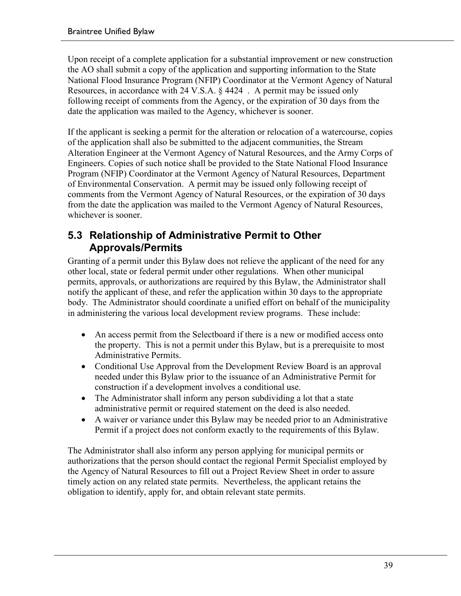Upon receipt of a complete application for a substantial improvement or new construction the AO shall submit a copy of the application and supporting information to the State National Flood Insurance Program (NFIP) Coordinator at the Vermont Agency of Natural Resources, in accordance with 24 V.S.A. § 4424 . A permit may be issued only following receipt of comments from the Agency, or the expiration of 30 days from the date the application was mailed to the Agency, whichever is sooner.

If the applicant is seeking a permit for the alteration or relocation of a watercourse, copies of the application shall also be submitted to the adjacent communities, the Stream Alteration Engineer at the Vermont Agency of Natural Resources, and the Army Corps of Engineers. Copies of such notice shall be provided to the State National Flood Insurance Program (NFIP) Coordinator at the Vermont Agency of Natural Resources, Department of Environmental Conservation. A permit may be issued only following receipt of comments from the Vermont Agency of Natural Resources, or the expiration of 30 days from the date the application was mailed to the Vermont Agency of Natural Resources, whichever is sooner.

### **5.3 Relationship of Administrative Permit to Other Approvals/Permits**

Granting of a permit under this Bylaw does not relieve the applicant of the need for any other local, state or federal permit under other regulations. When other municipal permits, approvals, or authorizations are required by this Bylaw, the Administrator shall notify the applicant of these, and refer the application within 30 days to the appropriate body. The Administrator should coordinate a unified effort on behalf of the municipality in administering the various local development review programs. These include:

- An access permit from the Selectboard if there is a new or modified access onto the property. This is not a permit under this Bylaw, but is a prerequisite to most Administrative Permits.
- Conditional Use Approval from the Development Review Board is an approval needed under this Bylaw prior to the issuance of an Administrative Permit for construction if a development involves a conditional use.
- The Administrator shall inform any person subdividing a lot that a state administrative permit or required statement on the deed is also needed.
- A waiver or variance under this Bylaw may be needed prior to an Administrative Permit if a project does not conform exactly to the requirements of this Bylaw.

The Administrator shall also inform any person applying for municipal permits or authorizations that the person should contact the regional Permit Specialist employed by the Agency of Natural Resources to fill out a Project Review Sheet in order to assure timely action on any related state permits. Nevertheless, the applicant retains the obligation to identify, apply for, and obtain relevant state permits.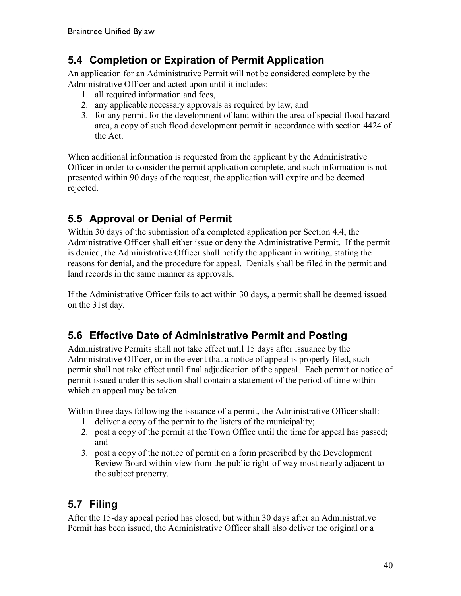### **5.4 Completion or Expiration of Permit Application**

An application for an Administrative Permit will not be considered complete by the Administrative Officer and acted upon until it includes:

- 1. all required information and fees,
- 2. any applicable necessary approvals as required by law, and
- 3. for any permit for the development of land within the area of special flood hazard area, a copy of such flood development permit in accordance with section 4424 of the Act.

When additional information is requested from the applicant by the Administrative Officer in order to consider the permit application complete, and such information is not presented within 90 days of the request, the application will expire and be deemed rejected.

### **5.5 Approval or Denial of Permit**

Within 30 days of the submission of a completed application per Section 4.4, the Administrative Officer shall either issue or deny the Administrative Permit. If the permit is denied, the Administrative Officer shall notify the applicant in writing, stating the reasons for denial, and the procedure for appeal. Denials shall be filed in the permit and land records in the same manner as approvals.

If the Administrative Officer fails to act within 30 days, a permit shall be deemed issued on the 31st day.

### **5.6 Effective Date of Administrative Permit and Posting**

Administrative Permits shall not take effect until 15 days after issuance by the Administrative Officer, or in the event that a notice of appeal is properly filed, such permit shall not take effect until final adjudication of the appeal. Each permit or notice of permit issued under this section shall contain a statement of the period of time within which an appeal may be taken.

Within three days following the issuance of a permit, the Administrative Officer shall:

- 1. deliver a copy of the permit to the listers of the municipality;
- 2. post a copy of the permit at the Town Office until the time for appeal has passed; and
- 3. post a copy of the notice of permit on a form prescribed by the Development Review Board within view from the public right-of-way most nearly adjacent to the subject property.

### **5.7 Filing**

After the 15-day appeal period has closed, but within 30 days after an Administrative Permit has been issued, the Administrative Officer shall also deliver the original or a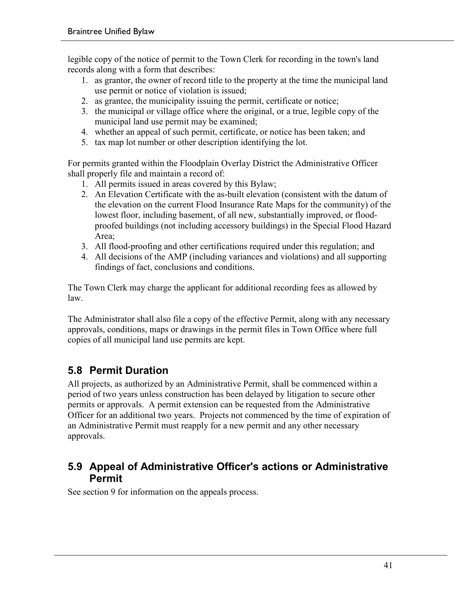legible copy of the notice of permit to the Town Clerk for recording in the town's land records along with a form that describes:

- 1. as grantor, the owner of record title to the property at the time the municipal land use permit or notice of violation is issued;
- 2. as grantee, the municipality issuing the permit, certificate or notice;
- 3. the municipal or village office where the original, or a true, legible copy of the municipal land use permit may be examined;
- 4. whether an appeal of such permit, certificate, or notice has been taken; and
- 5. tax map lot number or other description identifying the lot.

For permits granted within the Floodplain Overlay District the Administrative Officer shall properly file and maintain a record of:

- 1. All permits issued in areas covered by this Bylaw;
- 2. An Elevation Certificate with the as-built elevation (consistent with the datum of the elevation on the current Flood Insurance Rate Maps for the community) of the lowest floor, including basement, of all new, substantially improved, or floodproofed buildings (not including accessory buildings) in the Special Flood Hazard Area;
- 3. All flood-proofing and other certifications required under this regulation; and
- 4. All decisions of the AMP (including variances and violations) and all supporting findings of fact, conclusions and conditions.

The Town Clerk may charge the applicant for additional recording fees as allowed by law.

The Administrator shall also file a copy of the effective Permit, along with any necessary approvals, conditions, maps or drawings in the permit files in Town Office where full copies of all municipal land use permits are kept.

### **5.8 Permit Duration**

All projects, as authorized by an Administrative Permit, shall be commenced within a period of two years unless construction has been delayed by litigation to secure other permits or approvals. A permit extension can be requested from the Administrative Officer for an additional two years. Projects not commenced by the time of expiration of an Administrative Permit must reapply for a new permit and any other necessary approvals.

### **5.9 Appeal of Administrative Officer's actions or Administrative Permit**

See section 9 for information on the appeals process.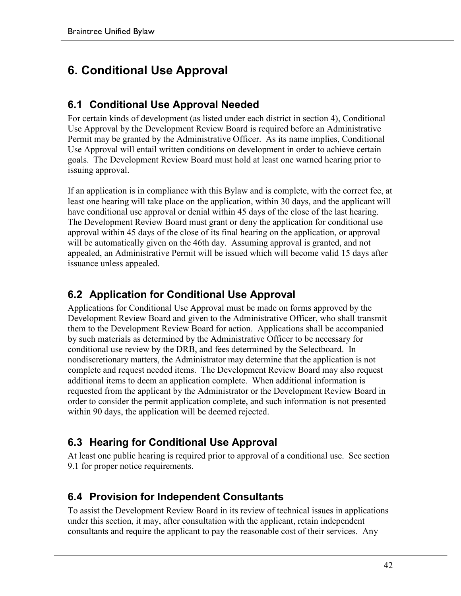# **6. Conditional Use Approval**

### **6.1 Conditional Use Approval Needed**

For certain kinds of development (as listed under each district in section 4), Conditional Use Approval by the Development Review Board is required before an Administrative Permit may be granted by the Administrative Officer. As its name implies, Conditional Use Approval will entail written conditions on development in order to achieve certain goals. The Development Review Board must hold at least one warned hearing prior to issuing approval.

If an application is in compliance with this Bylaw and is complete, with the correct fee, at least one hearing will take place on the application, within 30 days, and the applicant will have conditional use approval or denial within 45 days of the close of the last hearing. The Development Review Board must grant or deny the application for conditional use approval within 45 days of the close of its final hearing on the application, or approval will be automatically given on the 46th day. Assuming approval is granted, and not appealed, an Administrative Permit will be issued which will become valid 15 days after issuance unless appealed.

### **6.2 Application for Conditional Use Approval**

Applications for Conditional Use Approval must be made on forms approved by the Development Review Board and given to the Administrative Officer, who shall transmit them to the Development Review Board for action. Applications shall be accompanied by such materials as determined by the Administrative Officer to be necessary for conditional use review by the DRB, and fees determined by the Selectboard. In nondiscretionary matters, the Administrator may determine that the application is not complete and request needed items. The Development Review Board may also request additional items to deem an application complete. When additional information is requested from the applicant by the Administrator or the Development Review Board in order to consider the permit application complete, and such information is not presented within 90 days, the application will be deemed rejected.

### **6.3 Hearing for Conditional Use Approval**

At least one public hearing is required prior to approval of a conditional use. See section 9.1 for proper notice requirements.

### **6.4 Provision for Independent Consultants**

To assist the Development Review Board in its review of technical issues in applications under this section, it may, after consultation with the applicant, retain independent consultants and require the applicant to pay the reasonable cost of their services. Any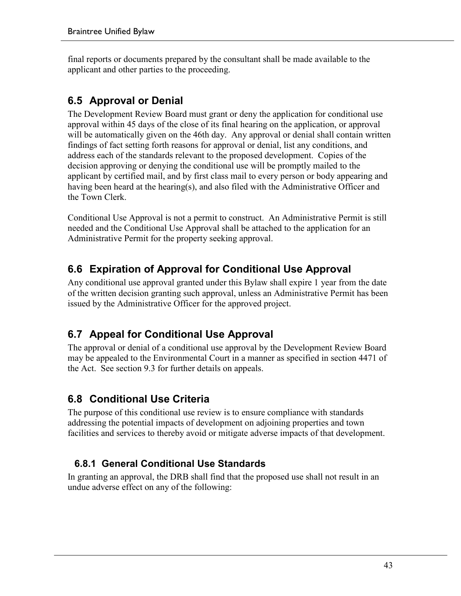final reports or documents prepared by the consultant shall be made available to the applicant and other parties to the proceeding.

# **6.5 Approval or Denial**

The Development Review Board must grant or deny the application for conditional use approval within 45 days of the close of its final hearing on the application, or approval will be automatically given on the 46th day. Any approval or denial shall contain written findings of fact setting forth reasons for approval or denial, list any conditions, and address each of the standards relevant to the proposed development. Copies of the decision approving or denying the conditional use will be promptly mailed to the applicant by certified mail, and by first class mail to every person or body appearing and having been heard at the hearing(s), and also filed with the Administrative Officer and the Town Clerk.

Conditional Use Approval is not a permit to construct. An Administrative Permit is still needed and the Conditional Use Approval shall be attached to the application for an Administrative Permit for the property seeking approval.

# **6.6 Expiration of Approval for Conditional Use Approval**

Any conditional use approval granted under this Bylaw shall expire 1 year from the date of the written decision granting such approval, unless an Administrative Permit has been issued by the Administrative Officer for the approved project.

# **6.7 Appeal for Conditional Use Approval**

The approval or denial of a conditional use approval by the Development Review Board may be appealed to the Environmental Court in a manner as specified in section 4471 of the Act. See section 9.3 for further details on appeals.

# **6.8 Conditional Use Criteria**

The purpose of this conditional use review is to ensure compliance with standards addressing the potential impacts of development on adjoining properties and town facilities and services to thereby avoid or mitigate adverse impacts of that development.

### **6.8.1 General Conditional Use Standards**

In granting an approval, the DRB shall find that the proposed use shall not result in an undue adverse effect on any of the following: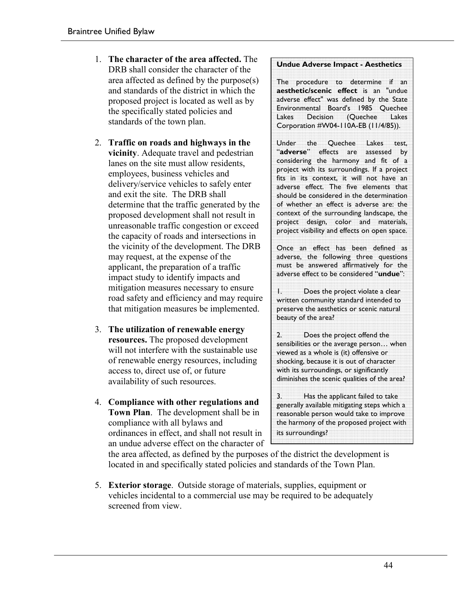- 1. **The character of the area affected.** The DRB shall consider the character of the area affected as defined by the purpose(s) and standards of the district in which the proposed project is located as well as by the specifically stated policies and standards of the town plan.
- 2. **Traffic on roads and highways in the vicinity**. Adequate travel and pedestrian lanes on the site must allow residents, employees, business vehicles and delivery/service vehicles to safely enter and exit the site. The DRB shall determine that the traffic generated by the proposed development shall not result in unreasonable traffic congestion or exceed the capacity of roads and intersections in the vicinity of the development. The DRB may request, at the expense of the applicant, the preparation of a traffic impact study to identify impacts and mitigation measures necessary to ensure road safety and efficiency and may require that mitigation measures be implemented.
- 3. **The utilization of renewable energy resources.** The proposed development will not interfere with the sustainable use of renewable energy resources, including access to, direct use of, or future availability of such resources.
- 4. **Compliance with other regulations and Town Plan**. The development shall be in compliance with all bylaws and ordinances in effect, and shall not result in an undue adverse effect on the character of

#### **Undue Adverse Impact - Aesthetics**

The procedure to determine if an **aesthetic/scenic effect** is an "undue adverse effect" was defined by the State Environmental Board's 1985 Quechee Lakes Decision (Quechee Lakes Corporation #W04-110A-EB (11/4/85)).

Under the Quechee Lakes test, "**adverse**" effects are assessed by considering the harmony and fit of a project with its surroundings. If a project fits in its context, it will not have an adverse effect. The five elements that should be considered in the determination of whether an effect is adverse are: the context of the surrounding landscape, the project design, color and materials, project visibility and effects on open space.

Once an effect has been defined as adverse, the following three questions must be answered affirmatively for the adverse effect to be considered "**undue**":

1. Does the project violate a clear written community standard intended to preserve the aesthetics or scenic natural beauty of the area?

2. Does the project offend the sensibilities or the average person… when viewed as a whole is (it) offensive or shocking, because it is out of character with its surroundings, or significantly diminishes the scenic qualities of the area?

3. Has the applicant failed to take generally available mitigating steps which a reasonable person would take to improve the harmony of the proposed project with its surroundings?

the area affected, as defined by the purposes of the district the development is located in and specifically stated policies and standards of the Town Plan.

5. **Exterior storage**. Outside storage of materials, supplies, equipment or vehicles incidental to a commercial use may be required to be adequately screened from view.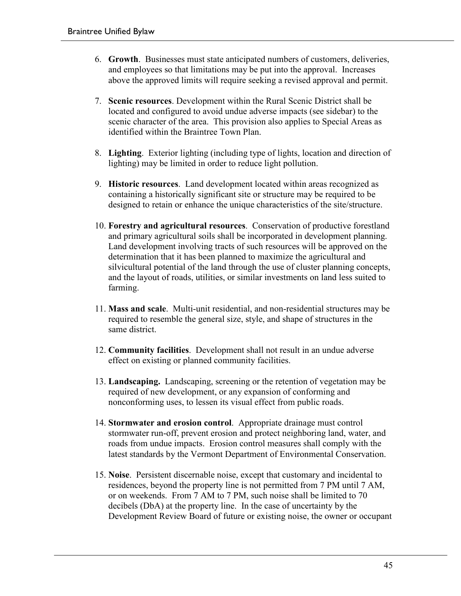- 6. **Growth**. Businesses must state anticipated numbers of customers, deliveries, and employees so that limitations may be put into the approval. Increases above the approved limits will require seeking a revised approval and permit.
- 7. **Scenic resources**. Development within the Rural Scenic District shall be located and configured to avoid undue adverse impacts (see sidebar) to the scenic character of the area. This provision also applies to Special Areas as identified within the Braintree Town Plan.
- 8. **Lighting**. Exterior lighting (including type of lights, location and direction of lighting) may be limited in order to reduce light pollution.
- 9. **Historic resources**. Land development located within areas recognized as containing a historically significant site or structure may be required to be designed to retain or enhance the unique characteristics of the site/structure.
- 10. **Forestry and agricultural resources**. Conservation of productive forestland and primary agricultural soils shall be incorporated in development planning. Land development involving tracts of such resources will be approved on the determination that it has been planned to maximize the agricultural and silvicultural potential of the land through the use of cluster planning concepts, and the layout of roads, utilities, or similar investments on land less suited to farming.
- 11. **Mass and scale**. Multi-unit residential, and non-residential structures may be required to resemble the general size, style, and shape of structures in the same district.
- 12. **Community facilities**. Development shall not result in an undue adverse effect on existing or planned community facilities.
- 13. **Landscaping.** Landscaping, screening or the retention of vegetation may be required of new development, or any expansion of conforming and nonconforming uses, to lessen its visual effect from public roads.
- 14. **Stormwater and erosion control**. Appropriate drainage must control stormwater run-off, prevent erosion and protect neighboring land, water, and roads from undue impacts. Erosion control measures shall comply with the latest standards by the Vermont Department of Environmental Conservation.
- 15. **Noise**. Persistent discernable noise, except that customary and incidental to residences, beyond the property line is not permitted from 7 PM until 7 AM, or on weekends. From 7 AM to 7 PM, such noise shall be limited to 70 decibels (DbA) at the property line. In the case of uncertainty by the Development Review Board of future or existing noise, the owner or occupant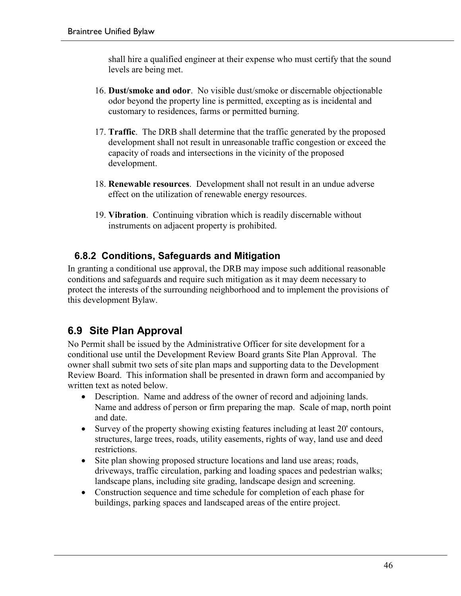shall hire a qualified engineer at their expense who must certify that the sound levels are being met.

- 16. **Dust/smoke and odor**. No visible dust/smoke or discernable objectionable odor beyond the property line is permitted, excepting as is incidental and customary to residences, farms or permitted burning.
- 17. **Traffic**. The DRB shall determine that the traffic generated by the proposed development shall not result in unreasonable traffic congestion or exceed the capacity of roads and intersections in the vicinity of the proposed development.
- 18. **Renewable resources**. Development shall not result in an undue adverse effect on the utilization of renewable energy resources.
- 19. **Vibration**. Continuing vibration which is readily discernable without instruments on adjacent property is prohibited.

### **6.8.2 Conditions, Safeguards and Mitigation**

In granting a conditional use approval, the DRB may impose such additional reasonable conditions and safeguards and require such mitigation as it may deem necessary to protect the interests of the surrounding neighborhood and to implement the provisions of this development Bylaw.

# **6.9 Site Plan Approval**

No Permit shall be issued by the Administrative Officer for site development for a conditional use until the Development Review Board grants Site Plan Approval. The owner shall submit two sets of site plan maps and supporting data to the Development Review Board. This information shall be presented in drawn form and accompanied by written text as noted below.

- Description. Name and address of the owner of record and adjoining lands. Name and address of person or firm preparing the map. Scale of map, north point and date.
- Survey of the property showing existing features including at least 20' contours, structures, large trees, roads, utility easements, rights of way, land use and deed restrictions.
- Site plan showing proposed structure locations and land use areas; roads, driveways, traffic circulation, parking and loading spaces and pedestrian walks; landscape plans, including site grading, landscape design and screening.
- Construction sequence and time schedule for completion of each phase for buildings, parking spaces and landscaped areas of the entire project.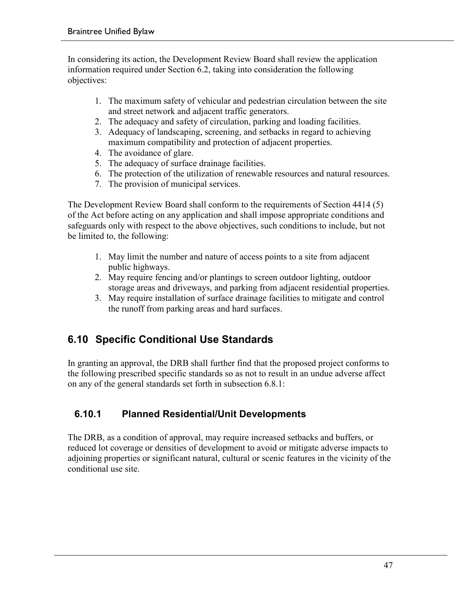In considering its action, the Development Review Board shall review the application information required under Section 6.2, taking into consideration the following objectives:

- 1. The maximum safety of vehicular and pedestrian circulation between the site and street network and adjacent traffic generators.
- 2. The adequacy and safety of circulation, parking and loading facilities.
- 3. Adequacy of landscaping, screening, and setbacks in regard to achieving maximum compatibility and protection of adjacent properties.
- 4. The avoidance of glare.
- 5. The adequacy of surface drainage facilities.
- 6. The protection of the utilization of renewable resources and natural resources.
- 7. The provision of municipal services.

The Development Review Board shall conform to the requirements of Section 4414 (5) of the Act before acting on any application and shall impose appropriate conditions and safeguards only with respect to the above objectives, such conditions to include, but not be limited to, the following:

- 1. May limit the number and nature of access points to a site from adjacent public highways.
- 2. May require fencing and/or plantings to screen outdoor lighting, outdoor storage areas and driveways, and parking from adjacent residential properties.
- 3. May require installation of surface drainage facilities to mitigate and control the runoff from parking areas and hard surfaces.

# **6.10 Specific Conditional Use Standards**

In granting an approval, the DRB shall further find that the proposed project conforms to the following prescribed specific standards so as not to result in an undue adverse affect on any of the general standards set forth in subsection 6.8.1:

### **6.10.1 Planned Residential/Unit Developments**

The DRB, as a condition of approval, may require increased setbacks and buffers, or reduced lot coverage or densities of development to avoid or mitigate adverse impacts to adjoining properties or significant natural, cultural or scenic features in the vicinity of the conditional use site.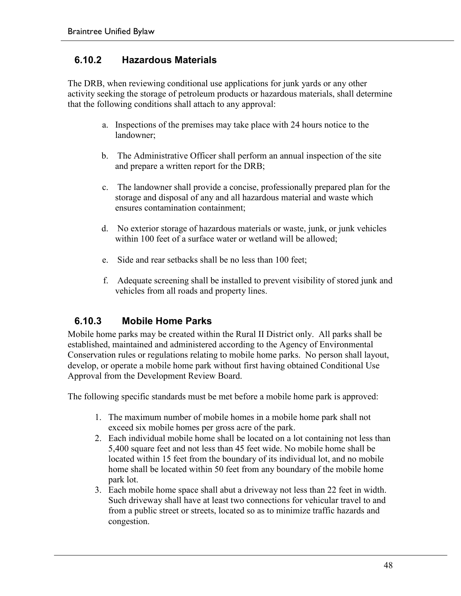#### **6.10.2 Hazardous Materials**

The DRB, when reviewing conditional use applications for junk yards or any other activity seeking the storage of petroleum products or hazardous materials, shall determine that the following conditions shall attach to any approval:

- a. Inspections of the premises may take place with 24 hours notice to the landowner;
- b. The Administrative Officer shall perform an annual inspection of the site and prepare a written report for the DRB;
- c. The landowner shall provide a concise, professionally prepared plan for the storage and disposal of any and all hazardous material and waste which ensures contamination containment;
- d. No exterior storage of hazardous materials or waste, junk, or junk vehicles within 100 feet of a surface water or wetland will be allowed;
- e. Side and rear setbacks shall be no less than 100 feet;
- f. Adequate screening shall be installed to prevent visibility of stored junk and vehicles from all roads and property lines.

#### **6.10.3 Mobile Home Parks**

Mobile home parks may be created within the Rural II District only. All parks shall be established, maintained and administered according to the Agency of Environmental Conservation rules or regulations relating to mobile home parks. No person shall layout, develop, or operate a mobile home park without first having obtained Conditional Use Approval from the Development Review Board.

The following specific standards must be met before a mobile home park is approved:

- 1. The maximum number of mobile homes in a mobile home park shall not exceed six mobile homes per gross acre of the park.
- 2. Each individual mobile home shall be located on a lot containing not less than 5,400 square feet and not less than 45 feet wide. No mobile home shall be located within 15 feet from the boundary of its individual lot, and no mobile home shall be located within 50 feet from any boundary of the mobile home park lot.
- 3. Each mobile home space shall abut a driveway not less than 22 feet in width. Such driveway shall have at least two connections for vehicular travel to and from a public street or streets, located so as to minimize traffic hazards and congestion.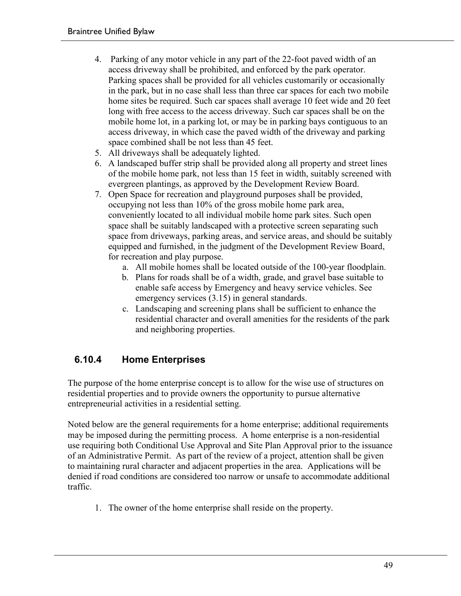- 4. Parking of any motor vehicle in any part of the 22-foot paved width of an access driveway shall be prohibited, and enforced by the park operator. Parking spaces shall be provided for all vehicles customarily or occasionally in the park, but in no case shall less than three car spaces for each two mobile home sites be required. Such car spaces shall average 10 feet wide and 20 feet long with free access to the access driveway. Such car spaces shall be on the mobile home lot, in a parking lot, or may be in parking bays contiguous to an access driveway, in which case the paved width of the driveway and parking space combined shall be not less than 45 feet.
- 5. All driveways shall be adequately lighted.
- 6. A landscaped buffer strip shall be provided along all property and street lines of the mobile home park, not less than 15 feet in width, suitably screened with evergreen plantings, as approved by the Development Review Board.
- 7. Open Space for recreation and playground purposes shall be provided, occupying not less than 10% of the gross mobile home park area, conveniently located to all individual mobile home park sites. Such open space shall be suitably landscaped with a protective screen separating such space from driveways, parking areas, and service areas, and should be suitably equipped and furnished, in the judgment of the Development Review Board, for recreation and play purpose.
	- a. All mobile homes shall be located outside of the 100-year floodplain.
	- b. Plans for roads shall be of a width, grade, and gravel base suitable to enable safe access by Emergency and heavy service vehicles. See emergency services (3.15) in general standards.
	- c. Landscaping and screening plans shall be sufficient to enhance the residential character and overall amenities for the residents of the park and neighboring properties.

### **6.10.4 Home Enterprises**

The purpose of the home enterprise concept is to allow for the wise use of structures on residential properties and to provide owners the opportunity to pursue alternative entrepreneurial activities in a residential setting.

Noted below are the general requirements for a home enterprise; additional requirements may be imposed during the permitting process. A home enterprise is a non-residential use requiring both Conditional Use Approval and Site Plan Approval prior to the issuance of an Administrative Permit. As part of the review of a project, attention shall be given to maintaining rural character and adjacent properties in the area. Applications will be denied if road conditions are considered too narrow or unsafe to accommodate additional traffic.

1. The owner of the home enterprise shall reside on the property.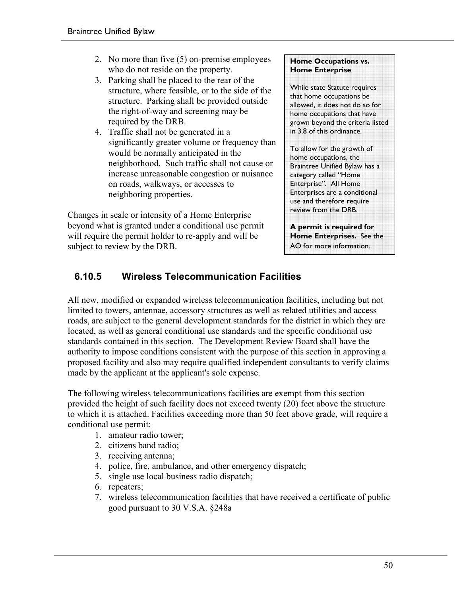- 2. No more than five (5) on-premise employees who do not reside on the property.
- 3. Parking shall be placed to the rear of the structure, where feasible, or to the side of the structure. Parking shall be provided outside the right-of-way and screening may be required by the DRB.
- 4. Traffic shall not be generated in a significantly greater volume or frequency than would be normally anticipated in the neighborhood. Such traffic shall not cause or increase unreasonable congestion or nuisance on roads, walkways, or accesses to neighboring properties.

Changes in scale or intensity of a Home Enterprise beyond what is granted under a conditional use permit will require the permit holder to re-apply and will be subject to review by the DRB.

#### **Home Occupations vs. Home Enterprise**

While state Statute requires that home occupations be allowed, it does not do so for home occupations that have grown beyond the criteria listed in 3.8 of this ordinance.

To allow for the growth of home occupations, the Braintree Unified Bylaw has a category called "Home Enterprise". All Home Enterprises are a conditional use and therefore require review from the DRB.

**A permit is required for Home Enterprises.** See the AO for more information.

### **6.10.5 Wireless Telecommunication Facilities**

All new, modified or expanded wireless telecommunication facilities, including but not limited to towers, antennae, accessory structures as well as related utilities and access roads, are subject to the general development standards for the district in which they are located, as well as general conditional use standards and the specific conditional use standards contained in this section. The Development Review Board shall have the authority to impose conditions consistent with the purpose of this section in approving a proposed facility and also may require qualified independent consultants to verify claims made by the applicant at the applicant's sole expense.

The following wireless telecommunications facilities are exempt from this section provided the height of such facility does not exceed twenty (20) feet above the structure to which it is attached. Facilities exceeding more than 50 feet above grade, will require a conditional use permit:

- 1. amateur radio tower;
- 2. citizens band radio;
- 3. receiving antenna;
- 4. police, fire, ambulance, and other emergency dispatch;
- 5. single use local business radio dispatch;
- 6. repeaters;
- 7. wireless telecommunication facilities that have received a certificate of public good pursuant to 30 V.S.A. §248a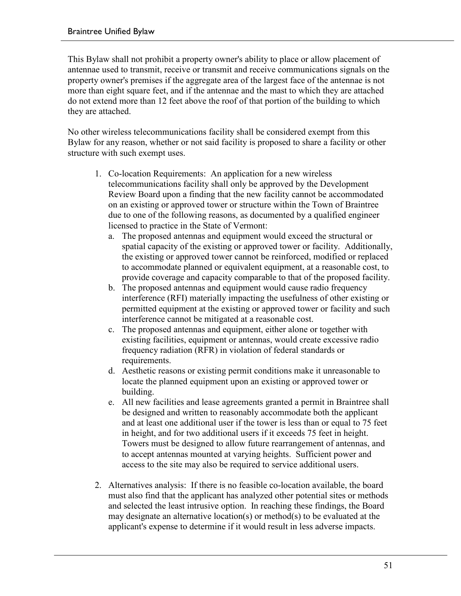This Bylaw shall not prohibit a property owner's ability to place or allow placement of antennae used to transmit, receive or transmit and receive communications signals on the property owner's premises if the aggregate area of the largest face of the antennae is not more than eight square feet, and if the antennae and the mast to which they are attached do not extend more than 12 feet above the roof of that portion of the building to which they are attached.

No other wireless telecommunications facility shall be considered exempt from this Bylaw for any reason, whether or not said facility is proposed to share a facility or other structure with such exempt uses.

- 1. Co-location Requirements: An application for a new wireless telecommunications facility shall only be approved by the Development Review Board upon a finding that the new facility cannot be accommodated on an existing or approved tower or structure within the Town of Braintree due to one of the following reasons, as documented by a qualified engineer licensed to practice in the State of Vermont:
	- a. The proposed antennas and equipment would exceed the structural or spatial capacity of the existing or approved tower or facility. Additionally, the existing or approved tower cannot be reinforced, modified or replaced to accommodate planned or equivalent equipment, at a reasonable cost, to provide coverage and capacity comparable to that of the proposed facility.
	- b. The proposed antennas and equipment would cause radio frequency interference (RFI) materially impacting the usefulness of other existing or permitted equipment at the existing or approved tower or facility and such interference cannot be mitigated at a reasonable cost.
	- c. The proposed antennas and equipment, either alone or together with existing facilities, equipment or antennas, would create excessive radio frequency radiation (RFR) in violation of federal standards or requirements.
	- d. Aesthetic reasons or existing permit conditions make it unreasonable to locate the planned equipment upon an existing or approved tower or building.
	- e. All new facilities and lease agreements granted a permit in Braintree shall be designed and written to reasonably accommodate both the applicant and at least one additional user if the tower is less than or equal to 75 feet in height, and for two additional users if it exceeds 75 feet in height. Towers must be designed to allow future rearrangement of antennas, and to accept antennas mounted at varying heights. Sufficient power and access to the site may also be required to service additional users.
- 2. Alternatives analysis: If there is no feasible co-location available, the board must also find that the applicant has analyzed other potential sites or methods and selected the least intrusive option. In reaching these findings, the Board may designate an alternative location(s) or method(s) to be evaluated at the applicant's expense to determine if it would result in less adverse impacts.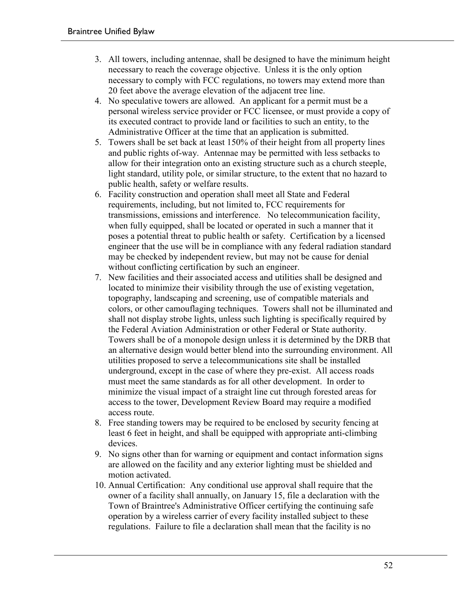- 3. All towers, including antennae, shall be designed to have the minimum height necessary to reach the coverage objective. Unless it is the only option necessary to comply with FCC regulations, no towers may extend more than 20 feet above the average elevation of the adjacent tree line.
- 4. No speculative towers are allowed. An applicant for a permit must be a personal wireless service provider or FCC licensee, or must provide a copy of its executed contract to provide land or facilities to such an entity, to the Administrative Officer at the time that an application is submitted.
- 5. Towers shall be set back at least 150% of their height from all property lines and public rights of-way. Antennae may be permitted with less setbacks to allow for their integration onto an existing structure such as a church steeple, light standard, utility pole, or similar structure, to the extent that no hazard to public health, safety or welfare results.
- 6. Facility construction and operation shall meet all State and Federal requirements, including, but not limited to, FCC requirements for transmissions, emissions and interference. No telecommunication facility, when fully equipped, shall be located or operated in such a manner that it poses a potential threat to public health or safety. Certification by a licensed engineer that the use will be in compliance with any federal radiation standard may be checked by independent review, but may not be cause for denial without conflicting certification by such an engineer.
- 7. New facilities and their associated access and utilities shall be designed and located to minimize their visibility through the use of existing vegetation, topography, landscaping and screening, use of compatible materials and colors, or other camouflaging techniques. Towers shall not be illuminated and shall not display strobe lights, unless such lighting is specifically required by the Federal Aviation Administration or other Federal or State authority. Towers shall be of a monopole design unless it is determined by the DRB that an alternative design would better blend into the surrounding environment. All utilities proposed to serve a telecommunications site shall be installed underground, except in the case of where they pre-exist. All access roads must meet the same standards as for all other development. In order to minimize the visual impact of a straight line cut through forested areas for access to the tower, Development Review Board may require a modified access route.
- 8. Free standing towers may be required to be enclosed by security fencing at least 6 feet in height, and shall be equipped with appropriate anti-climbing devices.
- 9. No signs other than for warning or equipment and contact information signs are allowed on the facility and any exterior lighting must be shielded and motion activated.
- 10. Annual Certification: Any conditional use approval shall require that the owner of a facility shall annually, on January 15, file a declaration with the Town of Braintree's Administrative Officer certifying the continuing safe operation by a wireless carrier of every facility installed subject to these regulations. Failure to file a declaration shall mean that the facility is no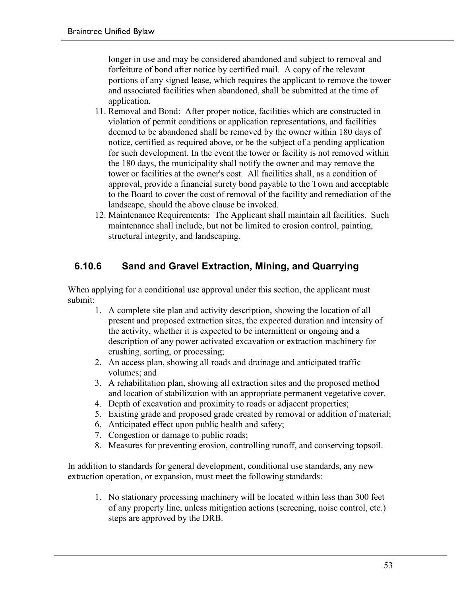longer in use and may be considered abandoned and subject to removal and forfeiture of bond after notice by certified mail. A copy of the relevant portions of any signed lease, which requires the applicant to remove the tower and associated facilities when abandoned, shall be submitted at the time of application.

- 11. Removal and Bond: After proper notice, facilities which are constructed in violation of permit conditions or application representations, and facilities deemed to be abandoned shall be removed by the owner within 180 days of notice, certified as required above, or be the subject of a pending application for such development. In the event the tower or facility is not removed within the 180 days, the municipality shall notify the owner and may remove the tower or facilities at the owner's cost. All facilities shall, as a condition of approval, provide a financial surety bond payable to the Town and acceptable to the Board to cover the cost of removal of the facility and remediation of the landscape, should the above clause be invoked.
- 12. Maintenance Requirements: The Applicant shall maintain all facilities. Such maintenance shall include, but not be limited to erosion control, painting, structural integrity, and landscaping.

#### **6.10.6 Sand and Gravel Extraction, Mining, and Quarrying**

When applying for a conditional use approval under this section, the applicant must submit:

- 1. A complete site plan and activity description, showing the location of all present and proposed extraction sites, the expected duration and intensity of the activity, whether it is expected to be intermittent or ongoing and a description of any power activated excavation or extraction machinery for crushing, sorting, or processing;
- 2. An access plan, showing all roads and drainage and anticipated traffic volumes; and
- 3. A rehabilitation plan, showing all extraction sites and the proposed method and location of stabilization with an appropriate permanent vegetative cover.
- 4. Depth of excavation and proximity to roads or adjacent properties;
- 5. Existing grade and proposed grade created by removal or addition of material;
- 6. Anticipated effect upon public health and safety;
- 7. Congestion or damage to public roads;
- 8. Measures for preventing erosion, controlling runoff, and conserving topsoil.

In addition to standards for general development, conditional use standards, any new extraction operation, or expansion, must meet the following standards:

1. No stationary processing machinery will be located within less than 300 feet of any property line, unless mitigation actions (screening, noise control, etc.) steps are approved by the DRB.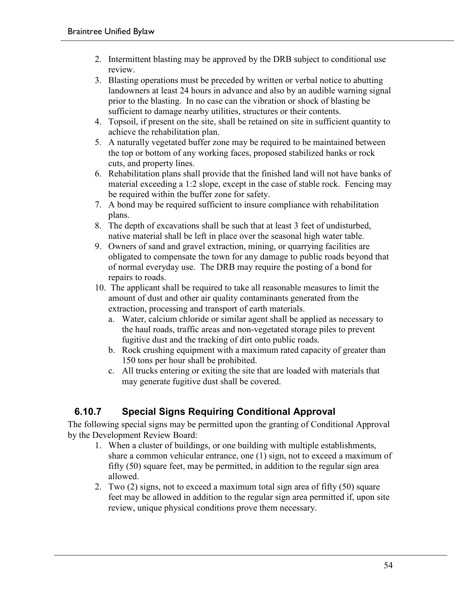- 2. Intermittent blasting may be approved by the DRB subject to conditional use review.
- 3. Blasting operations must be preceded by written or verbal notice to abutting landowners at least 24 hours in advance and also by an audible warning signal prior to the blasting. In no case can the vibration or shock of blasting be sufficient to damage nearby utilities, structures or their contents.
- 4. Topsoil, if present on the site, shall be retained on site in sufficient quantity to achieve the rehabilitation plan.
- 5. A naturally vegetated buffer zone may be required to be maintained between the top or bottom of any working faces, proposed stabilized banks or rock cuts, and property lines.
- 6. Rehabilitation plans shall provide that the finished land will not have banks of material exceeding a 1:2 slope, except in the case of stable rock. Fencing may be required within the buffer zone for safety.
- 7. A bond may be required sufficient to insure compliance with rehabilitation plans.
- 8. The depth of excavations shall be such that at least 3 feet of undisturbed, native material shall be left in place over the seasonal high water table.
- 9. Owners of sand and gravel extraction, mining, or quarrying facilities are obligated to compensate the town for any damage to public roads beyond that of normal everyday use. The DRB may require the posting of a bond for repairs to roads.
- 10. The applicant shall be required to take all reasonable measures to limit the amount of dust and other air quality contaminants generated from the extraction, processing and transport of earth materials.
	- a. Water, calcium chloride or similar agent shall be applied as necessary to the haul roads, traffic areas and non-vegetated storage piles to prevent fugitive dust and the tracking of dirt onto public roads.
	- b. Rock crushing equipment with a maximum rated capacity of greater than 150 tons per hour shall be prohibited.
	- c. All trucks entering or exiting the site that are loaded with materials that may generate fugitive dust shall be covered.

### **6.10.7 Special Signs Requiring Conditional Approval**

The following special signs may be permitted upon the granting of Conditional Approval by the Development Review Board:

- 1. When a cluster of buildings, or one building with multiple establishments, share a common vehicular entrance, one (1) sign, not to exceed a maximum of fifty (50) square feet, may be permitted, in addition to the regular sign area allowed.
- 2. Two (2) signs, not to exceed a maximum total sign area of fifty (50) square feet may be allowed in addition to the regular sign area permitted if, upon site review, unique physical conditions prove them necessary.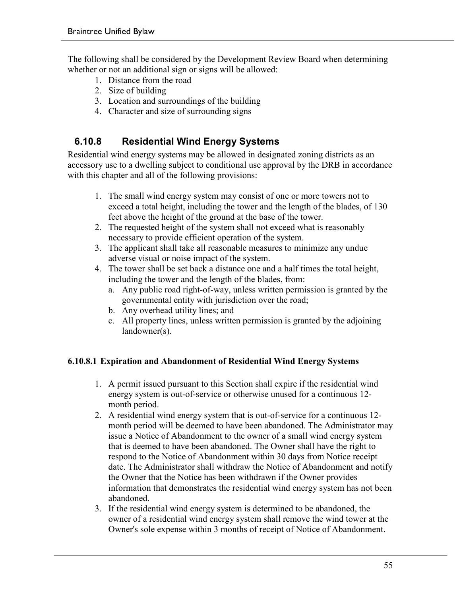The following shall be considered by the Development Review Board when determining whether or not an additional sign or signs will be allowed:

- 1. Distance from the road
- 2. Size of building
- 3. Location and surroundings of the building
- 4. Character and size of surrounding signs

#### **6.10.8 Residential Wind Energy Systems**

Residential wind energy systems may be allowed in designated zoning districts as an accessory use to a dwelling subject to conditional use approval by the DRB in accordance with this chapter and all of the following provisions:

- 1. The small wind energy system may consist of one or more towers not to exceed a total height, including the tower and the length of the blades, of 130 feet above the height of the ground at the base of the tower.
- 2. The requested height of the system shall not exceed what is reasonably necessary to provide efficient operation of the system.
- 3. The applicant shall take all reasonable measures to minimize any undue adverse visual or noise impact of the system.
- 4. The tower shall be set back a distance one and a half times the total height, including the tower and the length of the blades, from:
	- a. Any public road right-of-way, unless written permission is granted by the governmental entity with jurisdiction over the road;
	- b. Any overhead utility lines; and
	- c. All property lines, unless written permission is granted by the adjoining landowner(s).

#### **6.10.8.1 Expiration and Abandonment of Residential Wind Energy Systems**

- 1. A permit issued pursuant to this Section shall expire if the residential wind energy system is out-of-service or otherwise unused for a continuous 12 month period.
- 2. A residential wind energy system that is out-of-service for a continuous 12 month period will be deemed to have been abandoned. The Administrator may issue a Notice of Abandonment to the owner of a small wind energy system that is deemed to have been abandoned. The Owner shall have the right to respond to the Notice of Abandonment within 30 days from Notice receipt date. The Administrator shall withdraw the Notice of Abandonment and notify the Owner that the Notice has been withdrawn if the Owner provides information that demonstrates the residential wind energy system has not been abandoned.
- 3. If the residential wind energy system is determined to be abandoned, the owner of a residential wind energy system shall remove the wind tower at the Owner's sole expense within 3 months of receipt of Notice of Abandonment.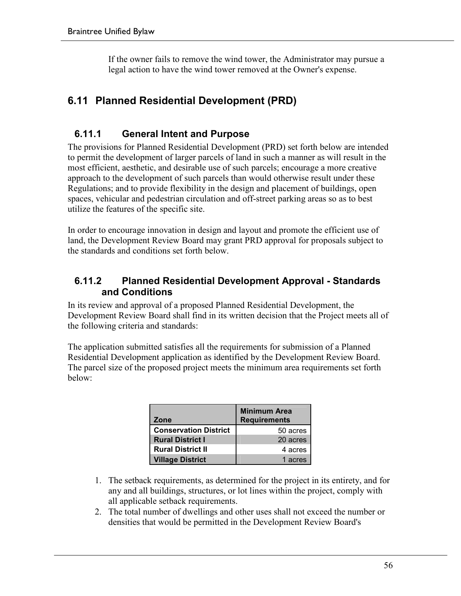If the owner fails to remove the wind tower, the Administrator may pursue a legal action to have the wind tower removed at the Owner's expense.

### **6.11 Planned Residential Development (PRD)**

#### **6.11.1 General Intent and Purpose**

The provisions for Planned Residential Development (PRD) set forth below are intended to permit the development of larger parcels of land in such a manner as will result in the most efficient, aesthetic, and desirable use of such parcels; encourage a more creative approach to the development of such parcels than would otherwise result under these Regulations; and to provide flexibility in the design and placement of buildings, open spaces, vehicular and pedestrian circulation and off-street parking areas so as to best utilize the features of the specific site.

In order to encourage innovation in design and layout and promote the efficient use of land, the Development Review Board may grant PRD approval for proposals subject to the standards and conditions set forth below.

#### **6.11.2 Planned Residential Development Approval - Standards and Conditions**

In its review and approval of a proposed Planned Residential Development, the Development Review Board shall find in its written decision that the Project meets all of the following criteria and standards:

The application submitted satisfies all the requirements for submission of a Planned Residential Development application as identified by the Development Review Board. The parcel size of the proposed project meets the minimum area requirements set forth below:

| Zone                         | <b>Minimum Area</b><br><b>Requirements</b> |
|------------------------------|--------------------------------------------|
| <b>Conservation District</b> | 50 acres                                   |
| <b>Rural District I</b>      | 20 acres                                   |
| <b>Rural District II</b>     | 4 acres                                    |
| <b>Village District</b>      | 1 acres                                    |

- 1. The setback requirements, as determined for the project in its entirety, and for any and all buildings, structures, or lot lines within the project, comply with all applicable setback requirements.
- 2. The total number of dwellings and other uses shall not exceed the number or densities that would be permitted in the Development Review Board's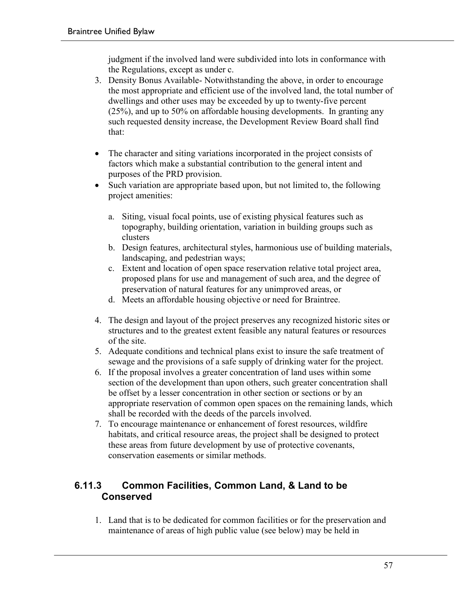judgment if the involved land were subdivided into lots in conformance with the Regulations, except as under c.

- 3. Density Bonus Available- Notwithstanding the above, in order to encourage the most appropriate and efficient use of the involved land, the total number of dwellings and other uses may be exceeded by up to twenty-five percent (25%), and up to 50% on affordable housing developments. In granting any such requested density increase, the Development Review Board shall find that:
- The character and siting variations incorporated in the project consists of factors which make a substantial contribution to the general intent and purposes of the PRD provision.
- Such variation are appropriate based upon, but not limited to, the following project amenities:
	- a. Siting, visual focal points, use of existing physical features such as topography, building orientation, variation in building groups such as clusters
	- b. Design features, architectural styles, harmonious use of building materials, landscaping, and pedestrian ways;
	- c. Extent and location of open space reservation relative total project area, proposed plans for use and management of such area, and the degree of preservation of natural features for any unimproved areas, or
	- d. Meets an affordable housing objective or need for Braintree.
- 4. The design and layout of the project preserves any recognized historic sites or structures and to the greatest extent feasible any natural features or resources of the site.
- 5. Adequate conditions and technical plans exist to insure the safe treatment of sewage and the provisions of a safe supply of drinking water for the project.
- 6. If the proposal involves a greater concentration of land uses within some section of the development than upon others, such greater concentration shall be offset by a lesser concentration in other section or sections or by an appropriate reservation of common open spaces on the remaining lands, which shall be recorded with the deeds of the parcels involved.
- 7. To encourage maintenance or enhancement of forest resources, wildfire habitats, and critical resource areas, the project shall be designed to protect these areas from future development by use of protective covenants, conservation easements or similar methods.

#### **6.11.3 Common Facilities, Common Land, & Land to be Conserved**

1. Land that is to be dedicated for common facilities or for the preservation and maintenance of areas of high public value (see below) may be held in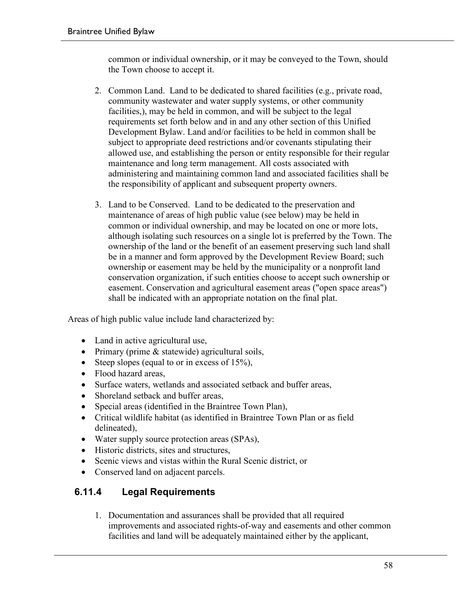common or individual ownership, or it may be conveyed to the Town, should the Town choose to accept it.

- 2. Common Land. Land to be dedicated to shared facilities (e.g., private road, community wastewater and water supply systems, or other community facilities,), may be held in common, and will be subject to the legal requirements set forth below and in and any other section of this Unified Development Bylaw. Land and/or facilities to be held in common shall be subject to appropriate deed restrictions and/or covenants stipulating their allowed use, and establishing the person or entity responsible for their regular maintenance and long term management. All costs associated with administering and maintaining common land and associated facilities shall be the responsibility of applicant and subsequent property owners.
- 3. Land to be Conserved. Land to be dedicated to the preservation and maintenance of areas of high public value (see below) may be held in common or individual ownership, and may be located on one or more lots, although isolating such resources on a single lot is preferred by the Town. The ownership of the land or the benefit of an easement preserving such land shall be in a manner and form approved by the Development Review Board; such ownership or easement may be held by the municipality or a nonprofit land conservation organization, if such entities choose to accept such ownership or easement. Conservation and agricultural easement areas ("open space areas") shall be indicated with an appropriate notation on the final plat.

Areas of high public value include land characterized by:

- Land in active agricultural use,
- Primary (prime & statewide) agricultural soils,
- Steep slopes (equal to or in excess of 15%),
- Flood hazard areas.
- Surface waters, wetlands and associated setback and buffer areas,
- Shoreland setback and buffer areas,
- Special areas (identified in the Braintree Town Plan),
- Critical wildlife habitat (as identified in Braintree Town Plan or as field delineated),
- Water supply source protection areas (SPAs),
- Historic districts, sites and structures,
- Scenic views and vistas within the Rural Scenic district, or
- Conserved land on adjacent parcels.

### **6.11.4 Legal Requirements**

1. Documentation and assurances shall be provided that all required improvements and associated rights-of-way and easements and other common facilities and land will be adequately maintained either by the applicant,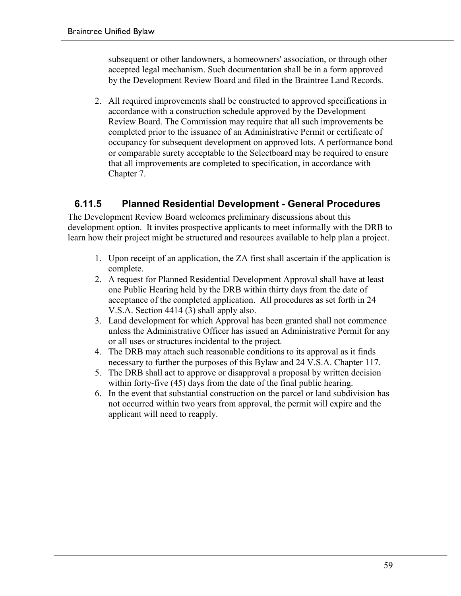subsequent or other landowners, a homeowners' association, or through other accepted legal mechanism. Such documentation shall be in a form approved by the Development Review Board and filed in the Braintree Land Records.

2. All required improvements shall be constructed to approved specifications in accordance with a construction schedule approved by the Development Review Board. The Commission may require that all such improvements be completed prior to the issuance of an Administrative Permit or certificate of occupancy for subsequent development on approved lots. A performance bond or comparable surety acceptable to the Selectboard may be required to ensure that all improvements are completed to specification, in accordance with Chapter 7.

### **6.11.5 Planned Residential Development - General Procedures**

The Development Review Board welcomes preliminary discussions about this development option. It invites prospective applicants to meet informally with the DRB to learn how their project might be structured and resources available to help plan a project.

- 1. Upon receipt of an application, the ZA first shall ascertain if the application is complete.
- 2. A request for Planned Residential Development Approval shall have at least one Public Hearing held by the DRB within thirty days from the date of acceptance of the completed application. All procedures as set forth in 24 V.S.A. Section 4414 (3) shall apply also.
- 3. Land development for which Approval has been granted shall not commence unless the Administrative Officer has issued an Administrative Permit for any or all uses or structures incidental to the project.
- 4. The DRB may attach such reasonable conditions to its approval as it finds necessary to further the purposes of this Bylaw and 24 V.S.A. Chapter 117.
- 5. The DRB shall act to approve or disapproval a proposal by written decision within forty-five (45) days from the date of the final public hearing.
- 6. In the event that substantial construction on the parcel or land subdivision has not occurred within two years from approval, the permit will expire and the applicant will need to reapply.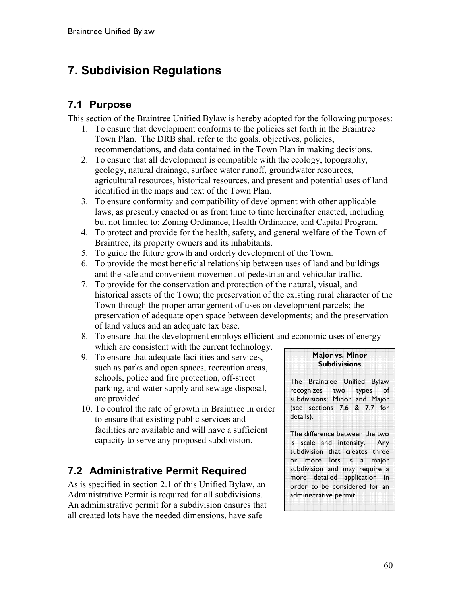# **7. Subdivision Regulations**

### **7.1 Purpose**

This section of the Braintree Unified Bylaw is hereby adopted for the following purposes:

- 1. To ensure that development conforms to the policies set forth in the Braintree Town Plan. The DRB shall refer to the goals, objectives, policies, recommendations, and data contained in the Town Plan in making decisions.
- 2. To ensure that all development is compatible with the ecology, topography, geology, natural drainage, surface water runoff, groundwater resources, agricultural resources, historical resources, and present and potential uses of land identified in the maps and text of the Town Plan.
- 3. To ensure conformity and compatibility of development with other applicable laws, as presently enacted or as from time to time hereinafter enacted, including but not limited to: Zoning Ordinance, Health Ordinance, and Capital Program.
- 4. To protect and provide for the health, safety, and general welfare of the Town of Braintree, its property owners and its inhabitants.
- 5. To guide the future growth and orderly development of the Town.
- 6. To provide the most beneficial relationship between uses of land and buildings and the safe and convenient movement of pedestrian and vehicular traffic.
- 7. To provide for the conservation and protection of the natural, visual, and historical assets of the Town; the preservation of the existing rural character of the Town through the proper arrangement of uses on development parcels; the preservation of adequate open space between developments; and the preservation of land values and an adequate tax base.
- 8. To ensure that the development employs efficient and economic uses of energy which are consistent with the current technology.
- 9. To ensure that adequate facilities and services, such as parks and open spaces, recreation areas, schools, police and fire protection, off-street parking, and water supply and sewage disposal, are provided.
- 10. To control the rate of growth in Braintree in order to ensure that existing public services and facilities are available and will have a sufficient capacity to serve any proposed subdivision.

# **7.2 Administrative Permit Required**

As is specified in section 2.1 of this Unified Bylaw, an Administrative Permit is required for all subdivisions. An administrative permit for a subdivision ensures that all created lots have the needed dimensions, have safe

#### **Major vs. Minor Subdivisions**

The Braintree Unified Bylaw recognizes two types of subdivisions; Minor and Major (see sections 7.6 & 7.7 for details).

The difference between the two is scale and intensity. Any subdivision that creates three or more lots is a major subdivision and may require a more detailed application in order to be considered for an administrative permit.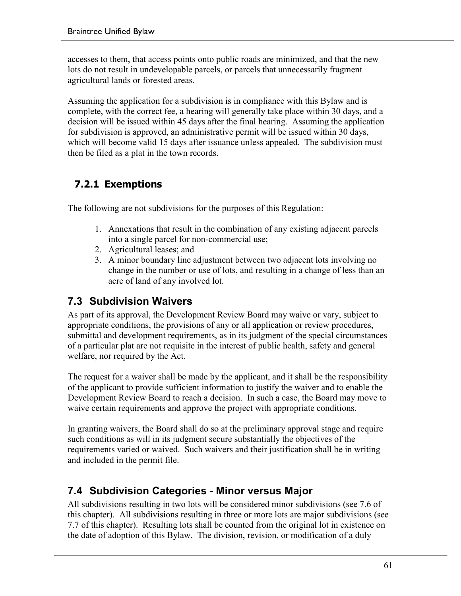accesses to them, that access points onto public roads are minimized, and that the new lots do not result in undevelopable parcels, or parcels that unnecessarily fragment agricultural lands or forested areas.

Assuming the application for a subdivision is in compliance with this Bylaw and is complete, with the correct fee, a hearing will generally take place within 30 days, and a decision will be issued within 45 days after the final hearing. Assuming the application for subdivision is approved, an administrative permit will be issued within 30 days, which will become valid 15 days after issuance unless appealed. The subdivision must then be filed as a plat in the town records.

### **7.2.1 Exemptions**

The following are not subdivisions for the purposes of this Regulation:

- 1. Annexations that result in the combination of any existing adjacent parcels into a single parcel for non-commercial use;
- 2. Agricultural leases; and
- 3. A minor boundary line adjustment between two adjacent lots involving no change in the number or use of lots, and resulting in a change of less than an acre of land of any involved lot.

### **7.3 Subdivision Waivers**

As part of its approval, the Development Review Board may waive or vary, subject to appropriate conditions, the provisions of any or all application or review procedures, submittal and development requirements, as in its judgment of the special circumstances of a particular plat are not requisite in the interest of public health, safety and general welfare, nor required by the Act.

The request for a waiver shall be made by the applicant, and it shall be the responsibility of the applicant to provide sufficient information to justify the waiver and to enable the Development Review Board to reach a decision. In such a case, the Board may move to waive certain requirements and approve the project with appropriate conditions.

In granting waivers, the Board shall do so at the preliminary approval stage and require such conditions as will in its judgment secure substantially the objectives of the requirements varied or waived. Such waivers and their justification shall be in writing and included in the permit file.

### **7.4 Subdivision Categories - Minor versus Major**

All subdivisions resulting in two lots will be considered minor subdivisions (see 7.6 of this chapter). All subdivisions resulting in three or more lots are major subdivisions (see 7.7 of this chapter). Resulting lots shall be counted from the original lot in existence on the date of adoption of this Bylaw. The division, revision, or modification of a duly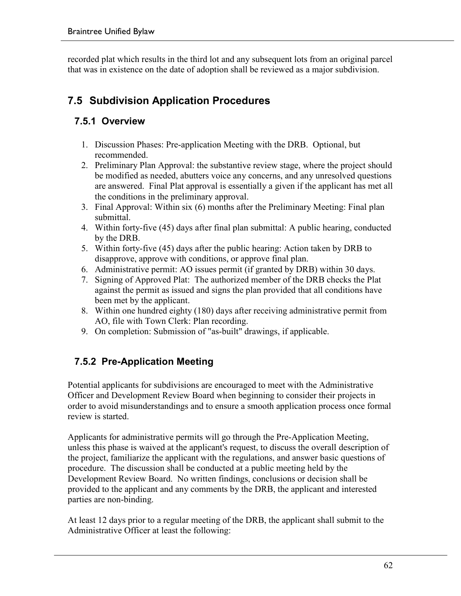recorded plat which results in the third lot and any subsequent lots from an original parcel that was in existence on the date of adoption shall be reviewed as a major subdivision.

### **7.5 Subdivision Application Procedures**

### **7.5.1 Overview**

- 1. Discussion Phases: Pre-application Meeting with the DRB. Optional, but recommended.
- 2. Preliminary Plan Approval: the substantive review stage, where the project should be modified as needed, abutters voice any concerns, and any unresolved questions are answered. Final Plat approval is essentially a given if the applicant has met all the conditions in the preliminary approval.
- 3. Final Approval: Within six (6) months after the Preliminary Meeting: Final plan submittal.
- 4. Within forty-five (45) days after final plan submittal: A public hearing, conducted by the DRB.
- 5. Within forty-five (45) days after the public hearing: Action taken by DRB to disapprove, approve with conditions, or approve final plan.
- 6. Administrative permit: AO issues permit (if granted by DRB) within 30 days.
- 7. Signing of Approved Plat: The authorized member of the DRB checks the Plat against the permit as issued and signs the plan provided that all conditions have been met by the applicant.
- 8. Within one hundred eighty (180) days after receiving administrative permit from AO, file with Town Clerk: Plan recording.
- 9. On completion: Submission of "as-built" drawings, if applicable.

### **7.5.2 Pre-Application Meeting**

Potential applicants for subdivisions are encouraged to meet with the Administrative Officer and Development Review Board when beginning to consider their projects in order to avoid misunderstandings and to ensure a smooth application process once formal review is started.

Applicants for administrative permits will go through the Pre-Application Meeting, unless this phase is waived at the applicant's request, to discuss the overall description of the project, familiarize the applicant with the regulations, and answer basic questions of procedure. The discussion shall be conducted at a public meeting held by the Development Review Board. No written findings, conclusions or decision shall be provided to the applicant and any comments by the DRB, the applicant and interested parties are non-binding.

At least 12 days prior to a regular meeting of the DRB, the applicant shall submit to the Administrative Officer at least the following: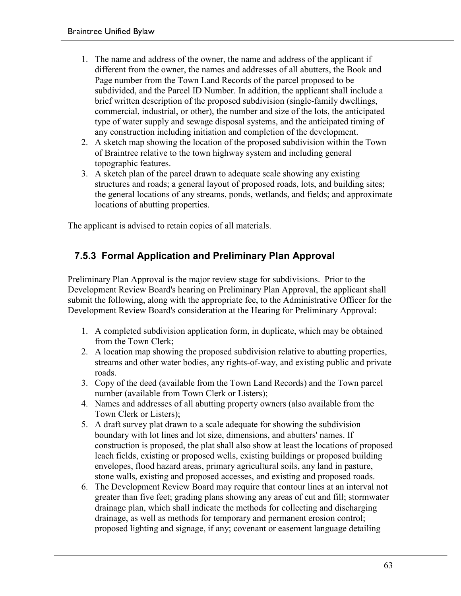- 1. The name and address of the owner, the name and address of the applicant if different from the owner, the names and addresses of all abutters, the Book and Page number from the Town Land Records of the parcel proposed to be subdivided, and the Parcel ID Number. In addition, the applicant shall include a brief written description of the proposed subdivision (single-family dwellings, commercial, industrial, or other), the number and size of the lots, the anticipated type of water supply and sewage disposal systems, and the anticipated timing of any construction including initiation and completion of the development.
- 2. A sketch map showing the location of the proposed subdivision within the Town of Braintree relative to the town highway system and including general topographic features.
- 3. A sketch plan of the parcel drawn to adequate scale showing any existing structures and roads; a general layout of proposed roads, lots, and building sites; the general locations of any streams, ponds, wetlands, and fields; and approximate locations of abutting properties.

The applicant is advised to retain copies of all materials.

#### **7.5.3 Formal Application and Preliminary Plan Approval**

Preliminary Plan Approval is the major review stage for subdivisions. Prior to the Development Review Board's hearing on Preliminary Plan Approval, the applicant shall submit the following, along with the appropriate fee, to the Administrative Officer for the Development Review Board's consideration at the Hearing for Preliminary Approval:

- 1. A completed subdivision application form, in duplicate, which may be obtained from the Town Clerk;
- 2. A location map showing the proposed subdivision relative to abutting properties, streams and other water bodies, any rights-of-way, and existing public and private roads.
- 3. Copy of the deed (available from the Town Land Records) and the Town parcel number (available from Town Clerk or Listers);
- 4. Names and addresses of all abutting property owners (also available from the Town Clerk or Listers);
- 5. A draft survey plat drawn to a scale adequate for showing the subdivision boundary with lot lines and lot size, dimensions, and abutters' names. If construction is proposed, the plat shall also show at least the locations of proposed leach fields, existing or proposed wells, existing buildings or proposed building envelopes, flood hazard areas, primary agricultural soils, any land in pasture, stone walls, existing and proposed accesses, and existing and proposed roads.
- 6. The Development Review Board may require that contour lines at an interval not greater than five feet; grading plans showing any areas of cut and fill; stormwater drainage plan, which shall indicate the methods for collecting and discharging drainage, as well as methods for temporary and permanent erosion control; proposed lighting and signage, if any; covenant or easement language detailing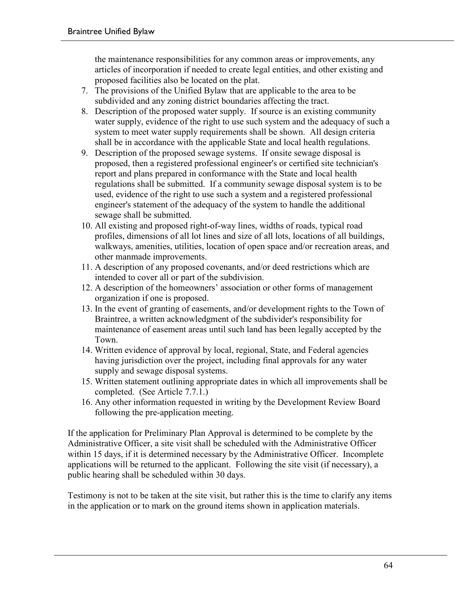the maintenance responsibilities for any common areas or improvements, any articles of incorporation if needed to create legal entities, and other existing and proposed facilities also be located on the plat.

- 7. The provisions of the Unified Bylaw that are applicable to the area to be subdivided and any zoning district boundaries affecting the tract.
- 8. Description of the proposed water supply. If source is an existing community water supply, evidence of the right to use such system and the adequacy of such a system to meet water supply requirements shall be shown. All design criteria shall be in accordance with the applicable State and local health regulations.
- 9. Description of the proposed sewage systems. If onsite sewage disposal is proposed, then a registered professional engineer's or certified site technician's report and plans prepared in conformance with the State and local health regulations shall be submitted. If a community sewage disposal system is to be used, evidence of the right to use such a system and a registered professional engineer's statement of the adequacy of the system to handle the additional sewage shall be submitted.
- 10. All existing and proposed right-of-way lines, widths of roads, typical road profiles, dimensions of all lot lines and size of all lots, locations of all buildings, walkways, amenities, utilities, location of open space and/or recreation areas, and other manmade improvements.
- 11. A description of any proposed covenants, and/or deed restrictions which are intended to cover all or part of the subdivision.
- 12. A description of the homeowners' association or other forms of management organization if one is proposed.
- 13. In the event of granting of easements, and/or development rights to the Town of Braintree, a written acknowledgment of the subdivider's responsibility for maintenance of easement areas until such land has been legally accepted by the Town.
- 14. Written evidence of approval by local, regional, State, and Federal agencies having jurisdiction over the project, including final approvals for any water supply and sewage disposal systems.
- 15. Written statement outlining appropriate dates in which all improvements shall be completed. (See Article 7.7.1.)
- 16. Any other information requested in writing by the Development Review Board following the pre-application meeting.

If the application for Preliminary Plan Approval is determined to be complete by the Administrative Officer, a site visit shall be scheduled with the Administrative Officer within 15 days, if it is determined necessary by the Administrative Officer. Incomplete applications will be returned to the applicant. Following the site visit (if necessary), a public hearing shall be scheduled within 30 days.

Testimony is not to be taken at the site visit, but rather this is the time to clarify any items in the application or to mark on the ground items shown in application materials.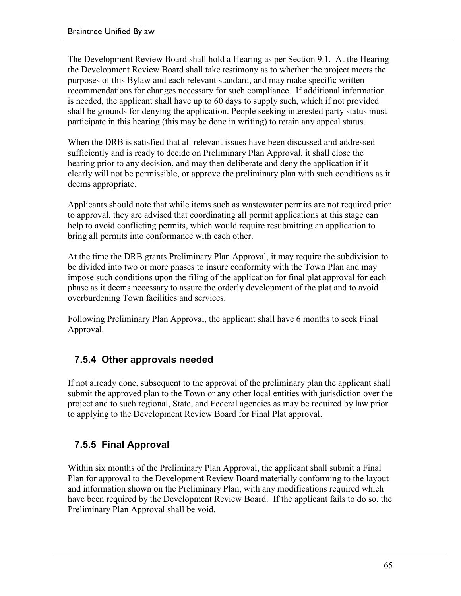The Development Review Board shall hold a Hearing as per Section 9.1. At the Hearing the Development Review Board shall take testimony as to whether the project meets the purposes of this Bylaw and each relevant standard, and may make specific written recommendations for changes necessary for such compliance. If additional information is needed, the applicant shall have up to 60 days to supply such, which if not provided shall be grounds for denying the application. People seeking interested party status must participate in this hearing (this may be done in writing) to retain any appeal status.

When the DRB is satisfied that all relevant issues have been discussed and addressed sufficiently and is ready to decide on Preliminary Plan Approval, it shall close the hearing prior to any decision, and may then deliberate and deny the application if it clearly will not be permissible, or approve the preliminary plan with such conditions as it deems appropriate.

Applicants should note that while items such as wastewater permits are not required prior to approval, they are advised that coordinating all permit applications at this stage can help to avoid conflicting permits, which would require resubmitting an application to bring all permits into conformance with each other.

At the time the DRB grants Preliminary Plan Approval, it may require the subdivision to be divided into two or more phases to insure conformity with the Town Plan and may impose such conditions upon the filing of the application for final plat approval for each phase as it deems necessary to assure the orderly development of the plat and to avoid overburdening Town facilities and services.

Following Preliminary Plan Approval, the applicant shall have 6 months to seek Final Approval.

### **7.5.4 Other approvals needed**

If not already done, subsequent to the approval of the preliminary plan the applicant shall submit the approved plan to the Town or any other local entities with jurisdiction over the project and to such regional, State, and Federal agencies as may be required by law prior to applying to the Development Review Board for Final Plat approval.

### **7.5.5 Final Approval**

Within six months of the Preliminary Plan Approval, the applicant shall submit a Final Plan for approval to the Development Review Board materially conforming to the layout and information shown on the Preliminary Plan, with any modifications required which have been required by the Development Review Board. If the applicant fails to do so, the Preliminary Plan Approval shall be void.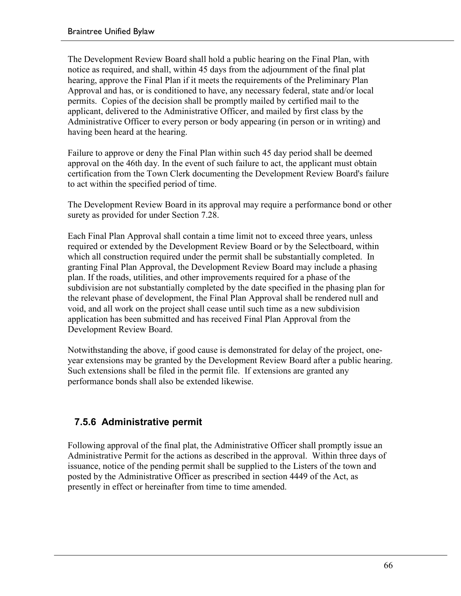The Development Review Board shall hold a public hearing on the Final Plan, with notice as required, and shall, within 45 days from the adjournment of the final plat hearing, approve the Final Plan if it meets the requirements of the Preliminary Plan Approval and has, or is conditioned to have, any necessary federal, state and/or local permits. Copies of the decision shall be promptly mailed by certified mail to the applicant, delivered to the Administrative Officer, and mailed by first class by the Administrative Officer to every person or body appearing (in person or in writing) and having been heard at the hearing.

Failure to approve or deny the Final Plan within such 45 day period shall be deemed approval on the 46th day. In the event of such failure to act, the applicant must obtain certification from the Town Clerk documenting the Development Review Board's failure to act within the specified period of time.

The Development Review Board in its approval may require a performance bond or other surety as provided for under Section 7.28.

Each Final Plan Approval shall contain a time limit not to exceed three years, unless required or extended by the Development Review Board or by the Selectboard, within which all construction required under the permit shall be substantially completed. In granting Final Plan Approval, the Development Review Board may include a phasing plan. If the roads, utilities, and other improvements required for a phase of the subdivision are not substantially completed by the date specified in the phasing plan for the relevant phase of development, the Final Plan Approval shall be rendered null and void, and all work on the project shall cease until such time as a new subdivision application has been submitted and has received Final Plan Approval from the Development Review Board.

Notwithstanding the above, if good cause is demonstrated for delay of the project, oneyear extensions may be granted by the Development Review Board after a public hearing. Such extensions shall be filed in the permit file. If extensions are granted any performance bonds shall also be extended likewise.

#### **7.5.6 Administrative permit**

Following approval of the final plat, the Administrative Officer shall promptly issue an Administrative Permit for the actions as described in the approval. Within three days of issuance, notice of the pending permit shall be supplied to the Listers of the town and posted by the Administrative Officer as prescribed in section 4449 of the Act, as presently in effect or hereinafter from time to time amended.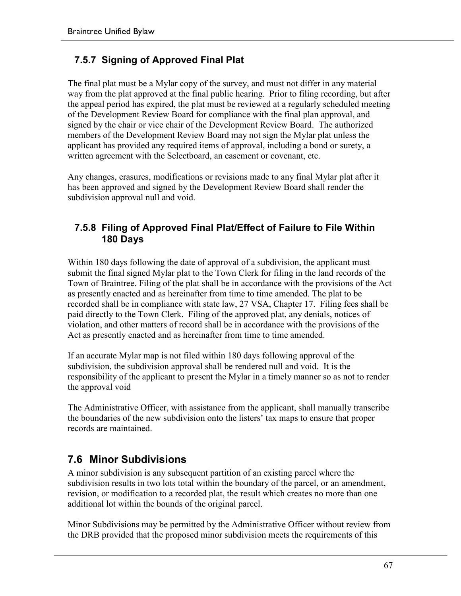### **7.5.7 Signing of Approved Final Plat**

The final plat must be a Mylar copy of the survey, and must not differ in any material way from the plat approved at the final public hearing. Prior to filing recording, but after the appeal period has expired, the plat must be reviewed at a regularly scheduled meeting of the Development Review Board for compliance with the final plan approval, and signed by the chair or vice chair of the Development Review Board. The authorized members of the Development Review Board may not sign the Mylar plat unless the applicant has provided any required items of approval, including a bond or surety, a written agreement with the Selectboard, an easement or covenant, etc.

Any changes, erasures, modifications or revisions made to any final Mylar plat after it has been approved and signed by the Development Review Board shall render the subdivision approval null and void.

#### **7.5.8 Filing of Approved Final Plat/Effect of Failure to File Within 180 Days**

Within 180 days following the date of approval of a subdivision, the applicant must submit the final signed Mylar plat to the Town Clerk for filing in the land records of the Town of Braintree. Filing of the plat shall be in accordance with the provisions of the Act as presently enacted and as hereinafter from time to time amended. The plat to be recorded shall be in compliance with state law, 27 VSA, Chapter 17. Filing fees shall be paid directly to the Town Clerk. Filing of the approved plat, any denials, notices of violation, and other matters of record shall be in accordance with the provisions of the Act as presently enacted and as hereinafter from time to time amended.

If an accurate Mylar map is not filed within 180 days following approval of the subdivision, the subdivision approval shall be rendered null and void. It is the responsibility of the applicant to present the Mylar in a timely manner so as not to render the approval void

The Administrative Officer, with assistance from the applicant, shall manually transcribe the boundaries of the new subdivision onto the listers' tax maps to ensure that proper records are maintained.

### **7.6 Minor Subdivisions**

A minor subdivision is any subsequent partition of an existing parcel where the subdivision results in two lots total within the boundary of the parcel, or an amendment, revision, or modification to a recorded plat, the result which creates no more than one additional lot within the bounds of the original parcel.

Minor Subdivisions may be permitted by the Administrative Officer without review from the DRB provided that the proposed minor subdivision meets the requirements of this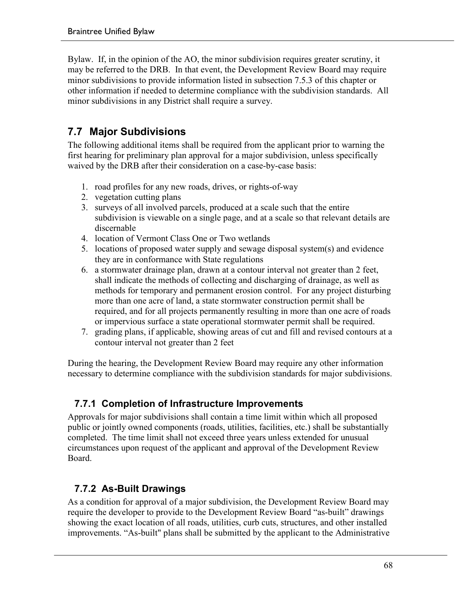Bylaw. If, in the opinion of the AO, the minor subdivision requires greater scrutiny, it may be referred to the DRB. In that event, the Development Review Board may require minor subdivisions to provide information listed in subsection 7.5.3 of this chapter or other information if needed to determine compliance with the subdivision standards. All minor subdivisions in any District shall require a survey.

### **7.7 Major Subdivisions**

The following additional items shall be required from the applicant prior to warning the first hearing for preliminary plan approval for a major subdivision, unless specifically waived by the DRB after their consideration on a case-by-case basis:

- 1. road profiles for any new roads, drives, or rights-of-way
- 2. vegetation cutting plans
- 3. surveys of all involved parcels, produced at a scale such that the entire subdivision is viewable on a single page, and at a scale so that relevant details are discernable
- 4. location of Vermont Class One or Two wetlands
- 5. locations of proposed water supply and sewage disposal system(s) and evidence they are in conformance with State regulations
- 6. a stormwater drainage plan, drawn at a contour interval not greater than 2 feet, shall indicate the methods of collecting and discharging of drainage, as well as methods for temporary and permanent erosion control. For any project disturbing more than one acre of land, a state stormwater construction permit shall be required, and for all projects permanently resulting in more than one acre of roads or impervious surface a state operational stormwater permit shall be required.
- 7. grading plans, if applicable, showing areas of cut and fill and revised contours at a contour interval not greater than 2 feet

During the hearing, the Development Review Board may require any other information necessary to determine compliance with the subdivision standards for major subdivisions.

### **7.7.1 Completion of Infrastructure Improvements**

Approvals for major subdivisions shall contain a time limit within which all proposed public or jointly owned components (roads, utilities, facilities, etc.) shall be substantially completed. The time limit shall not exceed three years unless extended for unusual circumstances upon request of the applicant and approval of the Development Review Board.

### **7.7.2 As-Built Drawings**

As a condition for approval of a major subdivision, the Development Review Board may require the developer to provide to the Development Review Board "as-built" drawings showing the exact location of all roads, utilities, curb cuts, structures, and other installed improvements. "As-built" plans shall be submitted by the applicant to the Administrative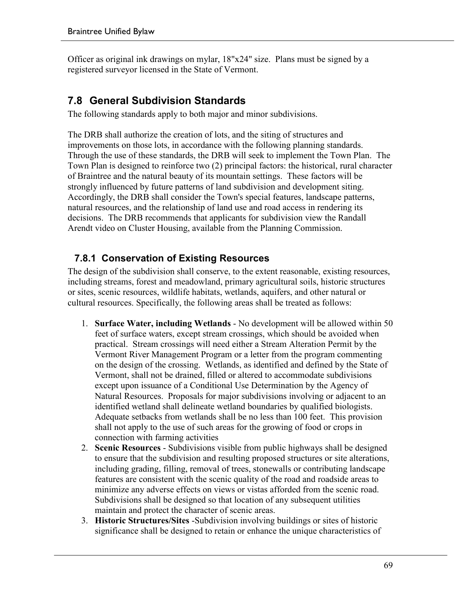Officer as original ink drawings on mylar, 18"x24" size. Plans must be signed by a registered surveyor licensed in the State of Vermont.

### **7.8 General Subdivision Standards**

The following standards apply to both major and minor subdivisions.

The DRB shall authorize the creation of lots, and the siting of structures and improvements on those lots, in accordance with the following planning standards. Through the use of these standards, the DRB will seek to implement the Town Plan. The Town Plan is designed to reinforce two (2) principal factors: the historical, rural character of Braintree and the natural beauty of its mountain settings. These factors will be strongly influenced by future patterns of land subdivision and development siting. Accordingly, the DRB shall consider the Town's special features, landscape patterns, natural resources, and the relationship of land use and road access in rendering its decisions. The DRB recommends that applicants for subdivision view the Randall Arendt video on Cluster Housing, available from the Planning Commission.

### **7.8.1 Conservation of Existing Resources**

The design of the subdivision shall conserve, to the extent reasonable, existing resources, including streams, forest and meadowland, primary agricultural soils, historic structures or sites, scenic resources, wildlife habitats, wetlands, aquifers, and other natural or cultural resources. Specifically, the following areas shall be treated as follows:

- 1. **Surface Water, including Wetlands** No development will be allowed within 50 feet of surface waters, except stream crossings, which should be avoided when practical. Stream crossings will need either a Stream Alteration Permit by the Vermont River Management Program or a letter from the program commenting on the design of the crossing. Wetlands, as identified and defined by the State of Vermont, shall not be drained, filled or altered to accommodate subdivisions except upon issuance of a Conditional Use Determination by the Agency of Natural Resources. Proposals for major subdivisions involving or adjacent to an identified wetland shall delineate wetland boundaries by qualified biologists. Adequate setbacks from wetlands shall be no less than 100 feet. This provision shall not apply to the use of such areas for the growing of food or crops in connection with farming activities
- 2. **Scenic Resources** Subdivisions visible from public highways shall be designed to ensure that the subdivision and resulting proposed structures or site alterations, including grading, filling, removal of trees, stonewalls or contributing landscape features are consistent with the scenic quality of the road and roadside areas to minimize any adverse effects on views or vistas afforded from the scenic road. Subdivisions shall be designed so that location of any subsequent utilities maintain and protect the character of scenic areas.
- 3. **Historic Structures/Sites** -Subdivision involving buildings or sites of historic significance shall be designed to retain or enhance the unique characteristics of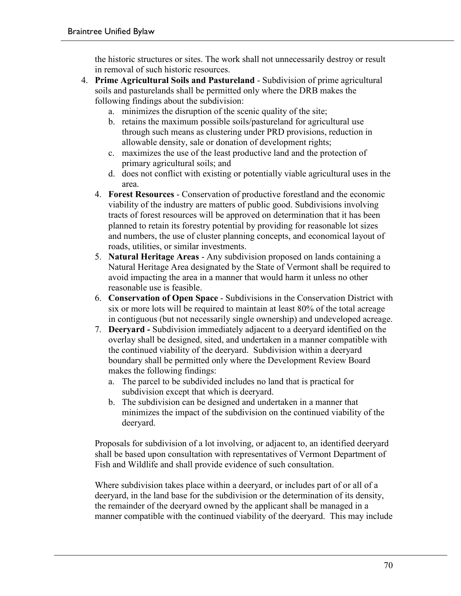the historic structures or sites. The work shall not unnecessarily destroy or result in removal of such historic resources.

- 4. **Prime Agricultural Soils and Pastureland** Subdivision of prime agricultural soils and pasturelands shall be permitted only where the DRB makes the following findings about the subdivision:
	- a. minimizes the disruption of the scenic quality of the site;
	- b. retains the maximum possible soils/pastureland for agricultural use through such means as clustering under PRD provisions, reduction in allowable density, sale or donation of development rights;
	- c. maximizes the use of the least productive land and the protection of primary agricultural soils; and
	- d. does not conflict with existing or potentially viable agricultural uses in the area.
	- 4. **Forest Resources** Conservation of productive forestland and the economic viability of the industry are matters of public good. Subdivisions involving tracts of forest resources will be approved on determination that it has been planned to retain its forestry potential by providing for reasonable lot sizes and numbers, the use of cluster planning concepts, and economical layout of roads, utilities, or similar investments.
	- 5. **Natural Heritage Areas** Any subdivision proposed on lands containing a Natural Heritage Area designated by the State of Vermont shall be required to avoid impacting the area in a manner that would harm it unless no other reasonable use is feasible.
	- 6. **Conservation of Open Space** Subdivisions in the Conservation District with six or more lots will be required to maintain at least 80% of the total acreage in contiguous (but not necessarily single ownership) and undeveloped acreage.
	- 7. **Deeryard -** Subdivision immediately adjacent to a deeryard identified on the overlay shall be designed, sited, and undertaken in a manner compatible with the continued viability of the deeryard. Subdivision within a deeryard boundary shall be permitted only where the Development Review Board makes the following findings:
		- a. The parcel to be subdivided includes no land that is practical for subdivision except that which is deeryard.
		- b. The subdivision can be designed and undertaken in a manner that minimizes the impact of the subdivision on the continued viability of the deeryard.

Proposals for subdivision of a lot involving, or adjacent to, an identified deeryard shall be based upon consultation with representatives of Vermont Department of Fish and Wildlife and shall provide evidence of such consultation.

Where subdivision takes place within a deeryard, or includes part of or all of a deeryard, in the land base for the subdivision or the determination of its density, the remainder of the deeryard owned by the applicant shall be managed in a manner compatible with the continued viability of the deeryard. This may include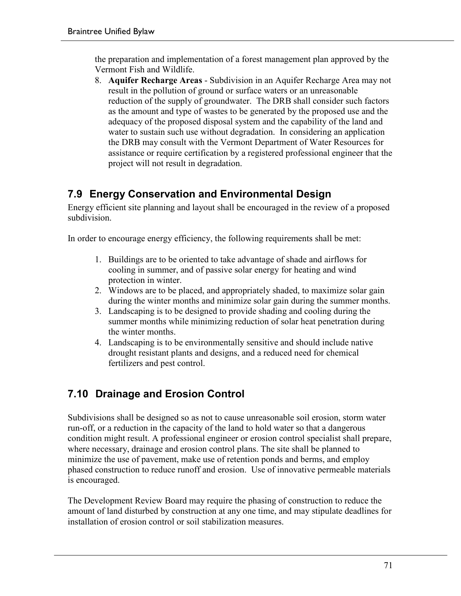the preparation and implementation of a forest management plan approved by the Vermont Fish and Wildlife.

8. **Aquifer Recharge Areas** - Subdivision in an Aquifer Recharge Area may not result in the pollution of ground or surface waters or an unreasonable reduction of the supply of groundwater. The DRB shall consider such factors as the amount and type of wastes to be generated by the proposed use and the adequacy of the proposed disposal system and the capability of the land and water to sustain such use without degradation. In considering an application the DRB may consult with the Vermont Department of Water Resources for assistance or require certification by a registered professional engineer that the project will not result in degradation.

### **7.9 Energy Conservation and Environmental Design**

Energy efficient site planning and layout shall be encouraged in the review of a proposed subdivision.

In order to encourage energy efficiency, the following requirements shall be met:

- 1. Buildings are to be oriented to take advantage of shade and airflows for cooling in summer, and of passive solar energy for heating and wind protection in winter.
- 2. Windows are to be placed, and appropriately shaded, to maximize solar gain during the winter months and minimize solar gain during the summer months.
- 3. Landscaping is to be designed to provide shading and cooling during the summer months while minimizing reduction of solar heat penetration during the winter months.
- 4. Landscaping is to be environmentally sensitive and should include native drought resistant plants and designs, and a reduced need for chemical fertilizers and pest control.

# **7.10 Drainage and Erosion Control**

Subdivisions shall be designed so as not to cause unreasonable soil erosion, storm water run-off, or a reduction in the capacity of the land to hold water so that a dangerous condition might result. A professional engineer or erosion control specialist shall prepare, where necessary, drainage and erosion control plans. The site shall be planned to minimize the use of pavement, make use of retention ponds and berms, and employ phased construction to reduce runoff and erosion. Use of innovative permeable materials is encouraged.

The Development Review Board may require the phasing of construction to reduce the amount of land disturbed by construction at any one time, and may stipulate deadlines for installation of erosion control or soil stabilization measures.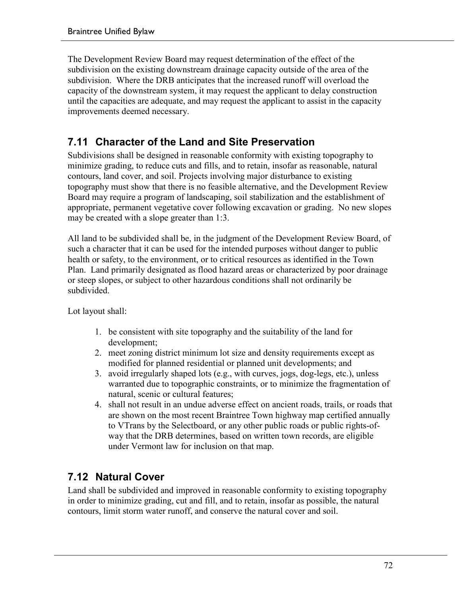The Development Review Board may request determination of the effect of the subdivision on the existing downstream drainage capacity outside of the area of the subdivision. Where the DRB anticipates that the increased runoff will overload the capacity of the downstream system, it may request the applicant to delay construction until the capacities are adequate, and may request the applicant to assist in the capacity improvements deemed necessary.

### **7.11 Character of the Land and Site Preservation**

Subdivisions shall be designed in reasonable conformity with existing topography to minimize grading, to reduce cuts and fills, and to retain, insofar as reasonable, natural contours, land cover, and soil. Projects involving major disturbance to existing topography must show that there is no feasible alternative, and the Development Review Board may require a program of landscaping, soil stabilization and the establishment of appropriate, permanent vegetative cover following excavation or grading. No new slopes may be created with a slope greater than 1:3.

All land to be subdivided shall be, in the judgment of the Development Review Board, of such a character that it can be used for the intended purposes without danger to public health or safety, to the environment, or to critical resources as identified in the Town Plan. Land primarily designated as flood hazard areas or characterized by poor drainage or steep slopes, or subject to other hazardous conditions shall not ordinarily be subdivided.

Lot layout shall:

- 1. be consistent with site topography and the suitability of the land for development;
- 2. meet zoning district minimum lot size and density requirements except as modified for planned residential or planned unit developments; and
- 3. avoid irregularly shaped lots (e.g., with curves, jogs, dog-legs, etc.), unless warranted due to topographic constraints, or to minimize the fragmentation of natural, scenic or cultural features;
- 4. shall not result in an undue adverse effect on ancient roads, trails, or roads that are shown on the most recent Braintree Town highway map certified annually to VTrans by the Selectboard, or any other public roads or public rights-ofway that the DRB determines, based on written town records, are eligible under Vermont law for inclusion on that map.

### **7.12 Natural Cover**

Land shall be subdivided and improved in reasonable conformity to existing topography in order to minimize grading, cut and fill, and to retain, insofar as possible, the natural contours, limit storm water runoff, and conserve the natural cover and soil.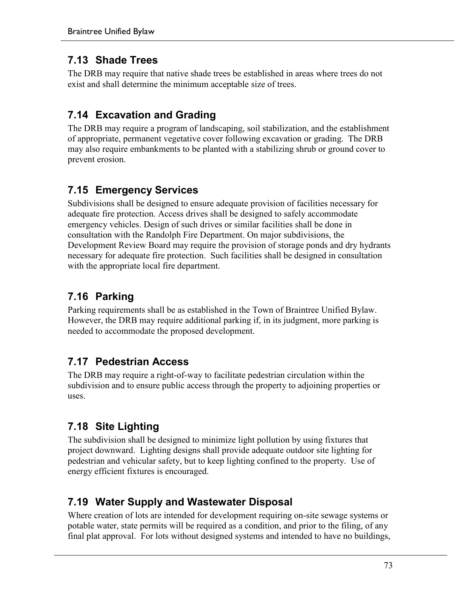### **7.13 Shade Trees**

The DRB may require that native shade trees be established in areas where trees do not exist and shall determine the minimum acceptable size of trees.

# **7.14 Excavation and Grading**

The DRB may require a program of landscaping, soil stabilization, and the establishment of appropriate, permanent vegetative cover following excavation or grading. The DRB may also require embankments to be planted with a stabilizing shrub or ground cover to prevent erosion.

# **7.15 Emergency Services**

Subdivisions shall be designed to ensure adequate provision of facilities necessary for adequate fire protection. Access drives shall be designed to safely accommodate emergency vehicles. Design of such drives or similar facilities shall be done in consultation with the Randolph Fire Department. On major subdivisions, the Development Review Board may require the provision of storage ponds and dry hydrants necessary for adequate fire protection. Such facilities shall be designed in consultation with the appropriate local fire department.

# **7.16 Parking**

Parking requirements shall be as established in the Town of Braintree Unified Bylaw. However, the DRB may require additional parking if, in its judgment, more parking is needed to accommodate the proposed development.

# **7.17 Pedestrian Access**

The DRB may require a right-of-way to facilitate pedestrian circulation within the subdivision and to ensure public access through the property to adjoining properties or uses.

# **7.18 Site Lighting**

The subdivision shall be designed to minimize light pollution by using fixtures that project downward. Lighting designs shall provide adequate outdoor site lighting for pedestrian and vehicular safety, but to keep lighting confined to the property. Use of energy efficient fixtures is encouraged.

# **7.19 Water Supply and Wastewater Disposal**

Where creation of lots are intended for development requiring on-site sewage systems or potable water, state permits will be required as a condition, and prior to the filing, of any final plat approval. For lots without designed systems and intended to have no buildings,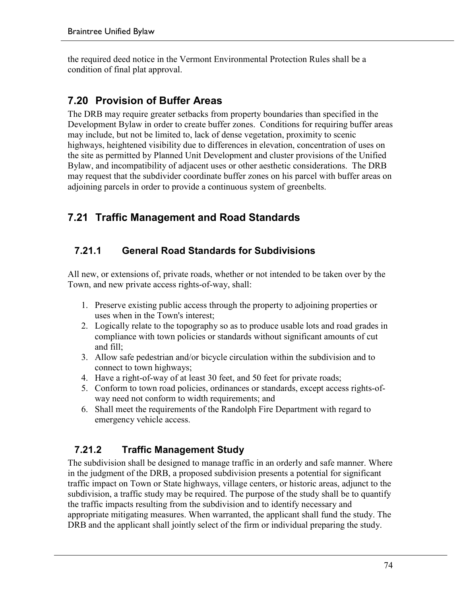the required deed notice in the Vermont Environmental Protection Rules shall be a condition of final plat approval.

# **7.20 Provision of Buffer Areas**

The DRB may require greater setbacks from property boundaries than specified in the Development Bylaw in order to create buffer zones. Conditions for requiring buffer areas may include, but not be limited to, lack of dense vegetation, proximity to scenic highways, heightened visibility due to differences in elevation, concentration of uses on the site as permitted by Planned Unit Development and cluster provisions of the Unified Bylaw, and incompatibility of adjacent uses or other aesthetic considerations. The DRB may request that the subdivider coordinate buffer zones on his parcel with buffer areas on adjoining parcels in order to provide a continuous system of greenbelts.

# **7.21 Traffic Management and Road Standards**

### **7.21.1 General Road Standards for Subdivisions**

All new, or extensions of, private roads, whether or not intended to be taken over by the Town, and new private access rights-of-way, shall:

- 1. Preserve existing public access through the property to adjoining properties or uses when in the Town's interest;
- 2. Logically relate to the topography so as to produce usable lots and road grades in compliance with town policies or standards without significant amounts of cut and fill;
- 3. Allow safe pedestrian and/or bicycle circulation within the subdivision and to connect to town highways;
- 4. Have a right-of-way of at least 30 feet, and 50 feet for private roads;
- 5. Conform to town road policies, ordinances or standards, except access rights-ofway need not conform to width requirements; and
- 6. Shall meet the requirements of the Randolph Fire Department with regard to emergency vehicle access.

# **7.21.2 Traffic Management Study**

The subdivision shall be designed to manage traffic in an orderly and safe manner. Where in the judgment of the DRB, a proposed subdivision presents a potential for significant traffic impact on Town or State highways, village centers, or historic areas, adjunct to the subdivision, a traffic study may be required. The purpose of the study shall be to quantify the traffic impacts resulting from the subdivision and to identify necessary and appropriate mitigating measures. When warranted, the applicant shall fund the study. The DRB and the applicant shall jointly select of the firm or individual preparing the study.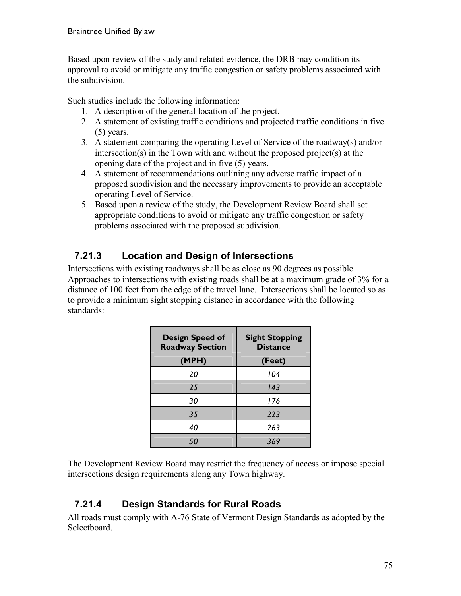Based upon review of the study and related evidence, the DRB may condition its approval to avoid or mitigate any traffic congestion or safety problems associated with the subdivision.

Such studies include the following information:

- 1. A description of the general location of the project.
- 2. A statement of existing traffic conditions and projected traffic conditions in five (5) years.
- 3. A statement comparing the operating Level of Service of the roadway(s) and/or intersection(s) in the Town with and without the proposed project(s) at the opening date of the project and in five (5) years.
- 4. A statement of recommendations outlining any adverse traffic impact of a proposed subdivision and the necessary improvements to provide an acceptable operating Level of Service.
- 5. Based upon a review of the study, the Development Review Board shall set appropriate conditions to avoid or mitigate any traffic congestion or safety problems associated with the proposed subdivision.

### **7.21.3 Location and Design of Intersections**

Intersections with existing roadways shall be as close as 90 degrees as possible. Approaches to intersections with existing roads shall be at a maximum grade of 3% for a distance of 100 feet from the edge of the travel lane. Intersections shall be located so as to provide a minimum sight stopping distance in accordance with the following standards:

| <b>Design Speed of</b><br><b>Roadway Section</b><br>(MPH) | <b>Sight Stopping</b><br><b>Distance</b><br>(Feet) |
|-----------------------------------------------------------|----------------------------------------------------|
| 20                                                        | 104                                                |
| 25                                                        | 143                                                |
| 30                                                        | 176                                                |
| 35                                                        | 223                                                |
| 40                                                        | 263                                                |
| 50                                                        | 369                                                |

The Development Review Board may restrict the frequency of access or impose special intersections design requirements along any Town highway.

### **7.21.4 Design Standards for Rural Roads**

All roads must comply with A-76 State of Vermont Design Standards as adopted by the Selectboard.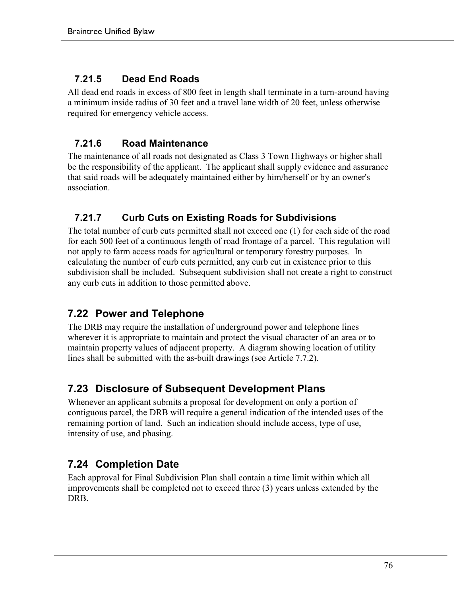#### **7.21.5 Dead End Roads**

All dead end roads in excess of 800 feet in length shall terminate in a turn-around having a minimum inside radius of 30 feet and a travel lane width of 20 feet, unless otherwise required for emergency vehicle access.

### **7.21.6 Road Maintenance**

The maintenance of all roads not designated as Class 3 Town Highways or higher shall be the responsibility of the applicant. The applicant shall supply evidence and assurance that said roads will be adequately maintained either by him/herself or by an owner's association.

### **7.21.7 Curb Cuts on Existing Roads for Subdivisions**

The total number of curb cuts permitted shall not exceed one (1) for each side of the road for each 500 feet of a continuous length of road frontage of a parcel. This regulation will not apply to farm access roads for agricultural or temporary forestry purposes. In calculating the number of curb cuts permitted, any curb cut in existence prior to this subdivision shall be included. Subsequent subdivision shall not create a right to construct any curb cuts in addition to those permitted above.

# **7.22 Power and Telephone**

The DRB may require the installation of underground power and telephone lines wherever it is appropriate to maintain and protect the visual character of an area or to maintain property values of adjacent property. A diagram showing location of utility lines shall be submitted with the as-built drawings (see Article 7.7.2).

### **7.23 Disclosure of Subsequent Development Plans**

Whenever an applicant submits a proposal for development on only a portion of contiguous parcel, the DRB will require a general indication of the intended uses of the remaining portion of land. Such an indication should include access, type of use, intensity of use, and phasing.

# **7.24 Completion Date**

Each approval for Final Subdivision Plan shall contain a time limit within which all improvements shall be completed not to exceed three (3) years unless extended by the DRB.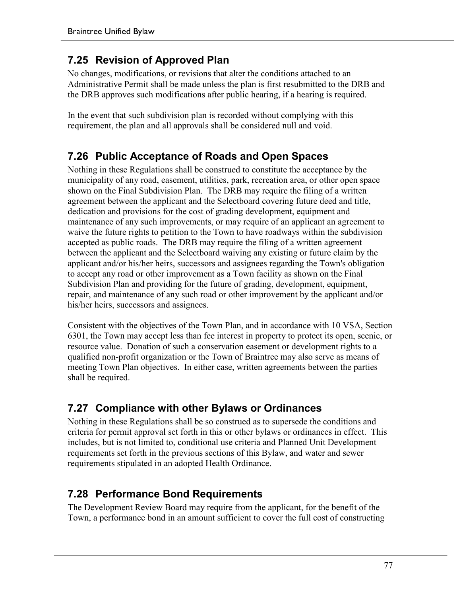### **7.25 Revision of Approved Plan**

No changes, modifications, or revisions that alter the conditions attached to an Administrative Permit shall be made unless the plan is first resubmitted to the DRB and the DRB approves such modifications after public hearing, if a hearing is required.

In the event that such subdivision plan is recorded without complying with this requirement, the plan and all approvals shall be considered null and void.

## **7.26 Public Acceptance of Roads and Open Spaces**

Nothing in these Regulations shall be construed to constitute the acceptance by the municipality of any road, easement, utilities, park, recreation area, or other open space shown on the Final Subdivision Plan. The DRB may require the filing of a written agreement between the applicant and the Selectboard covering future deed and title, dedication and provisions for the cost of grading development, equipment and maintenance of any such improvements, or may require of an applicant an agreement to waive the future rights to petition to the Town to have roadways within the subdivision accepted as public roads. The DRB may require the filing of a written agreement between the applicant and the Selectboard waiving any existing or future claim by the applicant and/or his/her heirs, successors and assignees regarding the Town's obligation to accept any road or other improvement as a Town facility as shown on the Final Subdivision Plan and providing for the future of grading, development, equipment, repair, and maintenance of any such road or other improvement by the applicant and/or his/her heirs, successors and assignees.

Consistent with the objectives of the Town Plan, and in accordance with 10 VSA, Section 6301, the Town may accept less than fee interest in property to protect its open, scenic, or resource value. Donation of such a conservation easement or development rights to a qualified non-profit organization or the Town of Braintree may also serve as means of meeting Town Plan objectives. In either case, written agreements between the parties shall be required.

### **7.27 Compliance with other Bylaws or Ordinances**

Nothing in these Regulations shall be so construed as to supersede the conditions and criteria for permit approval set forth in this or other bylaws or ordinances in effect. This includes, but is not limited to, conditional use criteria and Planned Unit Development requirements set forth in the previous sections of this Bylaw, and water and sewer requirements stipulated in an adopted Health Ordinance.

### **7.28 Performance Bond Requirements**

The Development Review Board may require from the applicant, for the benefit of the Town, a performance bond in an amount sufficient to cover the full cost of constructing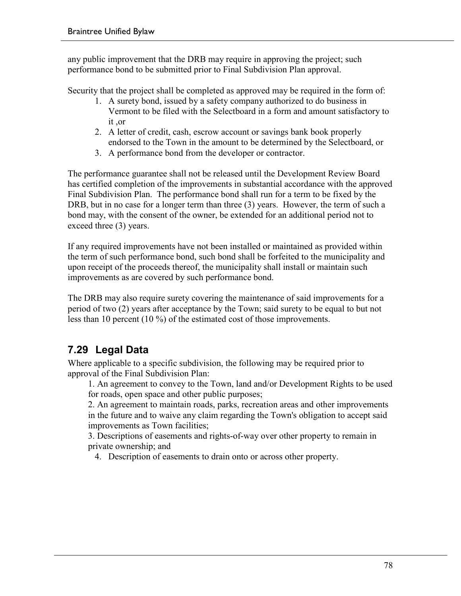any public improvement that the DRB may require in approving the project; such performance bond to be submitted prior to Final Subdivision Plan approval.

Security that the project shall be completed as approved may be required in the form of:

- 1. A surety bond, issued by a safety company authorized to do business in Vermont to be filed with the Selectboard in a form and amount satisfactory to it ,or
- 2. A letter of credit, cash, escrow account or savings bank book properly endorsed to the Town in the amount to be determined by the Selectboard, or
- 3. A performance bond from the developer or contractor.

The performance guarantee shall not be released until the Development Review Board has certified completion of the improvements in substantial accordance with the approved Final Subdivision Plan. The performance bond shall run for a term to be fixed by the DRB, but in no case for a longer term than three (3) years. However, the term of such a bond may, with the consent of the owner, be extended for an additional period not to exceed three (3) years.

If any required improvements have not been installed or maintained as provided within the term of such performance bond, such bond shall be forfeited to the municipality and upon receipt of the proceeds thereof, the municipality shall install or maintain such improvements as are covered by such performance bond.

The DRB may also require surety covering the maintenance of said improvements for a period of two (2) years after acceptance by the Town; said surety to be equal to but not less than 10 percent (10 %) of the estimated cost of those improvements.

# **7.29 Legal Data**

Where applicable to a specific subdivision, the following may be required prior to approval of the Final Subdivision Plan:

1. An agreement to convey to the Town, land and/or Development Rights to be used for roads, open space and other public purposes;

2. An agreement to maintain roads, parks, recreation areas and other improvements in the future and to waive any claim regarding the Town's obligation to accept said improvements as Town facilities;

3. Descriptions of easements and rights-of-way over other property to remain in private ownership; and

4. Description of easements to drain onto or across other property.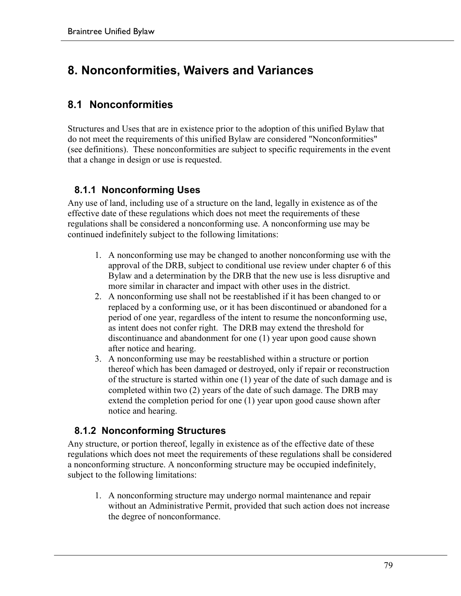# **8. Nonconformities, Waivers and Variances**

## **8.1 Nonconformities**

Structures and Uses that are in existence prior to the adoption of this unified Bylaw that do not meet the requirements of this unified Bylaw are considered "Nonconformities" (see definitions). These nonconformities are subject to specific requirements in the event that a change in design or use is requested.

#### **8.1.1 Nonconforming Uses**

Any use of land, including use of a structure on the land, legally in existence as of the effective date of these regulations which does not meet the requirements of these regulations shall be considered a nonconforming use. A nonconforming use may be continued indefinitely subject to the following limitations:

- 1. A nonconforming use may be changed to another nonconforming use with the approval of the DRB, subject to conditional use review under chapter 6 of this Bylaw and a determination by the DRB that the new use is less disruptive and more similar in character and impact with other uses in the district.
- 2. A nonconforming use shall not be reestablished if it has been changed to or replaced by a conforming use, or it has been discontinued or abandoned for a period of one year, regardless of the intent to resume the nonconforming use, as intent does not confer right. The DRB may extend the threshold for discontinuance and abandonment for one (1) year upon good cause shown after notice and hearing.
- 3. A nonconforming use may be reestablished within a structure or portion thereof which has been damaged or destroyed, only if repair or reconstruction of the structure is started within one (1) year of the date of such damage and is completed within two (2) years of the date of such damage. The DRB may extend the completion period for one (1) year upon good cause shown after notice and hearing.

#### **8.1.2 Nonconforming Structures**

Any structure, or portion thereof, legally in existence as of the effective date of these regulations which does not meet the requirements of these regulations shall be considered a nonconforming structure. A nonconforming structure may be occupied indefinitely, subject to the following limitations:

1. A nonconforming structure may undergo normal maintenance and repair without an Administrative Permit, provided that such action does not increase the degree of nonconformance.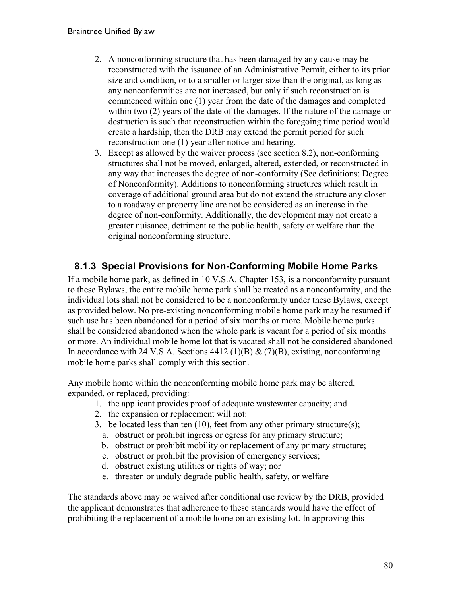- 2. A nonconforming structure that has been damaged by any cause may be reconstructed with the issuance of an Administrative Permit, either to its prior size and condition, or to a smaller or larger size than the original, as long as any nonconformities are not increased, but only if such reconstruction is commenced within one (1) year from the date of the damages and completed within two (2) years of the date of the damages. If the nature of the damage or destruction is such that reconstruction within the foregoing time period would create a hardship, then the DRB may extend the permit period for such reconstruction one (1) year after notice and hearing.
- 3. Except as allowed by the waiver process (see section 8.2), non-conforming structures shall not be moved, enlarged, altered, extended, or reconstructed in any way that increases the degree of non-conformity (See definitions: Degree of Nonconformity). Additions to nonconforming structures which result in coverage of additional ground area but do not extend the structure any closer to a roadway or property line are not be considered as an increase in the degree of non-conformity. Additionally, the development may not create a greater nuisance, detriment to the public health, safety or welfare than the original nonconforming structure.

#### **8.1.3 Special Provisions for Non-Conforming Mobile Home Parks**

If a mobile home park, as defined in 10 V.S.A. Chapter 153, is a nonconformity pursuant to these Bylaws, the entire mobile home park shall be treated as a nonconformity, and the individual lots shall not be considered to be a nonconformity under these Bylaws, except as provided below. No pre-existing nonconforming mobile home park may be resumed if such use has been abandoned for a period of six months or more. Mobile home parks shall be considered abandoned when the whole park is vacant for a period of six months or more. An individual mobile home lot that is vacated shall not be considered abandoned In accordance with 24 V.S.A. Sections 4412 (1)(B)  $\&$  (7)(B), existing, nonconforming mobile home parks shall comply with this section.

Any mobile home within the nonconforming mobile home park may be altered, expanded, or replaced, providing:

- 1. the applicant provides proof of adequate wastewater capacity; and
- 2. the expansion or replacement will not:
- 3. be located less than ten (10), feet from any other primary structure(s);
	- a. obstruct or prohibit ingress or egress for any primary structure;
	- b. obstruct or prohibit mobility or replacement of any primary structure;
	- c. obstruct or prohibit the provision of emergency services;
	- d. obstruct existing utilities or rights of way; nor
	- e. threaten or unduly degrade public health, safety, or welfare

The standards above may be waived after conditional use review by the DRB, provided the applicant demonstrates that adherence to these standards would have the effect of prohibiting the replacement of a mobile home on an existing lot. In approving this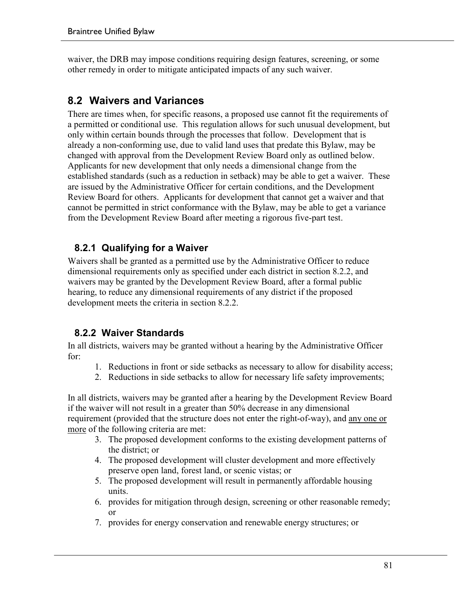waiver, the DRB may impose conditions requiring design features, screening, or some other remedy in order to mitigate anticipated impacts of any such waiver.

### **8.2 Waivers and Variances**

There are times when, for specific reasons, a proposed use cannot fit the requirements of a permitted or conditional use. This regulation allows for such unusual development, but only within certain bounds through the processes that follow. Development that is already a non-conforming use, due to valid land uses that predate this Bylaw, may be changed with approval from the Development Review Board only as outlined below. Applicants for new development that only needs a dimensional change from the established standards (such as a reduction in setback) may be able to get a waiver. These are issued by the Administrative Officer for certain conditions, and the Development Review Board for others. Applicants for development that cannot get a waiver and that cannot be permitted in strict conformance with the Bylaw, may be able to get a variance from the Development Review Board after meeting a rigorous five-part test.

#### **8.2.1 Qualifying for a Waiver**

Waivers shall be granted as a permitted use by the Administrative Officer to reduce dimensional requirements only as specified under each district in section 8.2.2, and waivers may be granted by the Development Review Board, after a formal public hearing, to reduce any dimensional requirements of any district if the proposed development meets the criteria in section 8.2.2.

#### **8.2.2 Waiver Standards**

In all districts, waivers may be granted without a hearing by the Administrative Officer for:

- 1. Reductions in front or side setbacks as necessary to allow for disability access;
- 2. Reductions in side setbacks to allow for necessary life safety improvements;

In all districts, waivers may be granted after a hearing by the Development Review Board if the waiver will not result in a greater than 50% decrease in any dimensional requirement (provided that the structure does not enter the right-of-way), and any one or more of the following criteria are met:

- 3. The proposed development conforms to the existing development patterns of the district; or
- 4. The proposed development will cluster development and more effectively preserve open land, forest land, or scenic vistas; or
- 5. The proposed development will result in permanently affordable housing units.
- 6. provides for mitigation through design, screening or other reasonable remedy; or
- 7. provides for energy conservation and renewable energy structures; or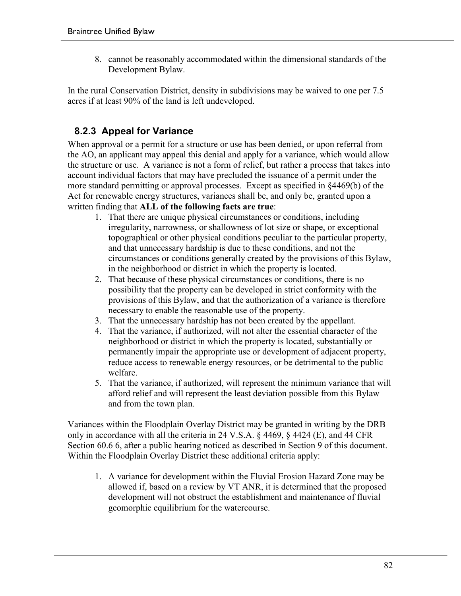8. cannot be reasonably accommodated within the dimensional standards of the Development Bylaw.

In the rural Conservation District, density in subdivisions may be waived to one per 7.5 acres if at least 90% of the land is left undeveloped.

### **8.2.3 Appeal for Variance**

When approval or a permit for a structure or use has been denied, or upon referral from the AO, an applicant may appeal this denial and apply for a variance, which would allow the structure or use. A variance is not a form of relief, but rather a process that takes into account individual factors that may have precluded the issuance of a permit under the more standard permitting or approval processes. Except as specified in §4469(b) of the Act for renewable energy structures, variances shall be, and only be, granted upon a written finding that **ALL of the following facts are true**:

- 1. That there are unique physical circumstances or conditions, including irregularity, narrowness, or shallowness of lot size or shape, or exceptional topographical or other physical conditions peculiar to the particular property, and that unnecessary hardship is due to these conditions, and not the circumstances or conditions generally created by the provisions of this Bylaw, in the neighborhood or district in which the property is located.
- 2. That because of these physical circumstances or conditions, there is no possibility that the property can be developed in strict conformity with the provisions of this Bylaw, and that the authorization of a variance is therefore necessary to enable the reasonable use of the property.
- 3. That the unnecessary hardship has not been created by the appellant.
- 4. That the variance, if authorized, will not alter the essential character of the neighborhood or district in which the property is located, substantially or permanently impair the appropriate use or development of adjacent property, reduce access to renewable energy resources, or be detrimental to the public welfare.
- 5. That the variance, if authorized, will represent the minimum variance that will afford relief and will represent the least deviation possible from this Bylaw and from the town plan.

Variances within the Floodplain Overlay District may be granted in writing by the DRB only in accordance with all the criteria in 24 V.S.A. § 4469, § 4424 (E), and 44 CFR Section 60.6 6, after a public hearing noticed as described in Section 9 of this document. Within the Floodplain Overlay District these additional criteria apply:

1. A variance for development within the Fluvial Erosion Hazard Zone may be allowed if, based on a review by VT ANR, it is determined that the proposed development will not obstruct the establishment and maintenance of fluvial geomorphic equilibrium for the watercourse.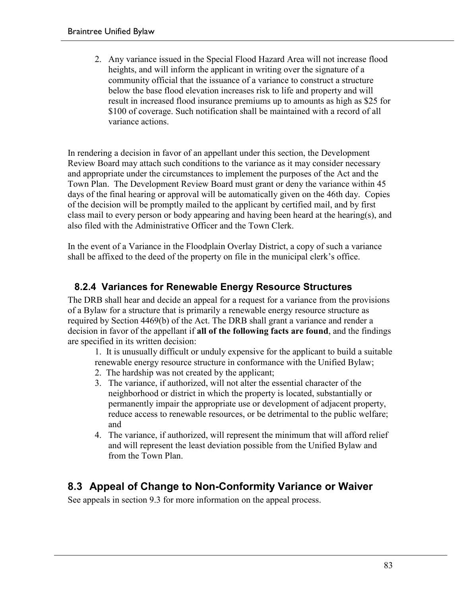2. Any variance issued in the Special Flood Hazard Area will not increase flood heights, and will inform the applicant in writing over the signature of a community official that the issuance of a variance to construct a structure below the base flood elevation increases risk to life and property and will result in increased flood insurance premiums up to amounts as high as \$25 for \$100 of coverage. Such notification shall be maintained with a record of all variance actions.

In rendering a decision in favor of an appellant under this section, the Development Review Board may attach such conditions to the variance as it may consider necessary and appropriate under the circumstances to implement the purposes of the Act and the Town Plan. The Development Review Board must grant or deny the variance within 45 days of the final hearing or approval will be automatically given on the 46th day. Copies of the decision will be promptly mailed to the applicant by certified mail, and by first class mail to every person or body appearing and having been heard at the hearing(s), and also filed with the Administrative Officer and the Town Clerk.

In the event of a Variance in the Floodplain Overlay District, a copy of such a variance shall be affixed to the deed of the property on file in the municipal clerk's office.

### **8.2.4 Variances for Renewable Energy Resource Structures**

The DRB shall hear and decide an appeal for a request for a variance from the provisions of a Bylaw for a structure that is primarily a renewable energy resource structure as required by Section 4469(b) of the Act. The DRB shall grant a variance and render a decision in favor of the appellant if **all of the following facts are found**, and the findings are specified in its written decision:

1. It is unusually difficult or unduly expensive for the applicant to build a suitable renewable energy resource structure in conformance with the Unified Bylaw;

- 2. The hardship was not created by the applicant;
- 3. The variance, if authorized, will not alter the essential character of the neighborhood or district in which the property is located, substantially or permanently impair the appropriate use or development of adjacent property, reduce access to renewable resources, or be detrimental to the public welfare; and
- 4. The variance, if authorized, will represent the minimum that will afford relief and will represent the least deviation possible from the Unified Bylaw and from the Town Plan.

### **8.3 Appeal of Change to Non-Conformity Variance or Waiver**

See appeals in section 9.3 for more information on the appeal process.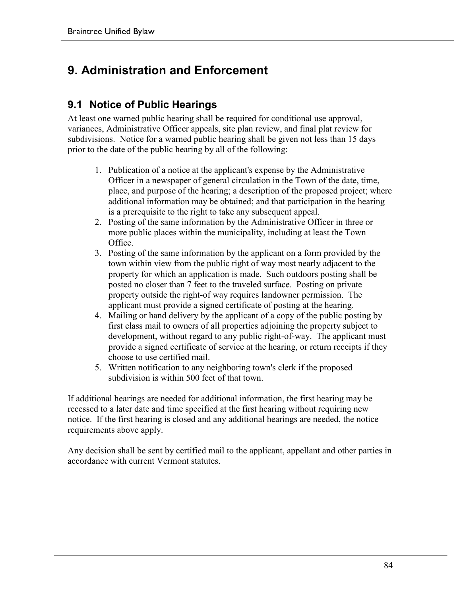# **9. Administration and Enforcement**

### **9.1 Notice of Public Hearings**

At least one warned public hearing shall be required for conditional use approval, variances, Administrative Officer appeals, site plan review, and final plat review for subdivisions. Notice for a warned public hearing shall be given not less than 15 days prior to the date of the public hearing by all of the following:

- 1. Publication of a notice at the applicant's expense by the Administrative Officer in a newspaper of general circulation in the Town of the date, time, place, and purpose of the hearing; a description of the proposed project; where additional information may be obtained; and that participation in the hearing is a prerequisite to the right to take any subsequent appeal.
- 2. Posting of the same information by the Administrative Officer in three or more public places within the municipality, including at least the Town Office.
- 3. Posting of the same information by the applicant on a form provided by the town within view from the public right of way most nearly adjacent to the property for which an application is made. Such outdoors posting shall be posted no closer than 7 feet to the traveled surface. Posting on private property outside the right-of way requires landowner permission. The applicant must provide a signed certificate of posting at the hearing.
- 4. Mailing or hand delivery by the applicant of a copy of the public posting by first class mail to owners of all properties adjoining the property subject to development, without regard to any public right-of-way. The applicant must provide a signed certificate of service at the hearing, or return receipts if they choose to use certified mail.
- 5. Written notification to any neighboring town's clerk if the proposed subdivision is within 500 feet of that town.

If additional hearings are needed for additional information, the first hearing may be recessed to a later date and time specified at the first hearing without requiring new notice. If the first hearing is closed and any additional hearings are needed, the notice requirements above apply.

Any decision shall be sent by certified mail to the applicant, appellant and other parties in accordance with current Vermont statutes.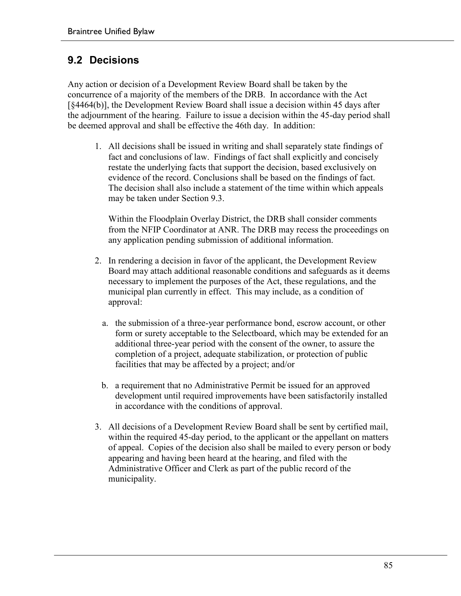### **9.2 Decisions**

Any action or decision of a Development Review Board shall be taken by the concurrence of a majority of the members of the DRB. In accordance with the Act [§4464(b)], the Development Review Board shall issue a decision within 45 days after the adjournment of the hearing. Failure to issue a decision within the 45-day period shall be deemed approval and shall be effective the 46th day. In addition:

1. All decisions shall be issued in writing and shall separately state findings of fact and conclusions of law. Findings of fact shall explicitly and concisely restate the underlying facts that support the decision, based exclusively on evidence of the record. Conclusions shall be based on the findings of fact. The decision shall also include a statement of the time within which appeals may be taken under Section 9.3.

Within the Floodplain Overlay District, the DRB shall consider comments from the NFIP Coordinator at ANR. The DRB may recess the proceedings on any application pending submission of additional information.

- 2. In rendering a decision in favor of the applicant, the Development Review Board may attach additional reasonable conditions and safeguards as it deems necessary to implement the purposes of the Act, these regulations, and the municipal plan currently in effect. This may include, as a condition of approval:
	- a. the submission of a three-year performance bond, escrow account, or other form or surety acceptable to the Selectboard, which may be extended for an additional three-year period with the consent of the owner, to assure the completion of a project, adequate stabilization, or protection of public facilities that may be affected by a project; and/or
	- b. a requirement that no Administrative Permit be issued for an approved development until required improvements have been satisfactorily installed in accordance with the conditions of approval.
- 3. All decisions of a Development Review Board shall be sent by certified mail, within the required 45-day period, to the applicant or the appellant on matters of appeal. Copies of the decision also shall be mailed to every person or body appearing and having been heard at the hearing, and filed with the Administrative Officer and Clerk as part of the public record of the municipality.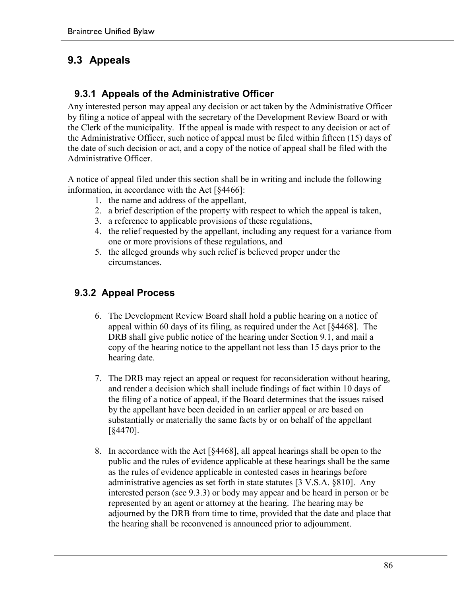## **9.3 Appeals**

#### **9.3.1 Appeals of the Administrative Officer**

Any interested person may appeal any decision or act taken by the Administrative Officer by filing a notice of appeal with the secretary of the Development Review Board or with the Clerk of the municipality. If the appeal is made with respect to any decision or act of the Administrative Officer, such notice of appeal must be filed within fifteen (15) days of the date of such decision or act, and a copy of the notice of appeal shall be filed with the Administrative Officer.

A notice of appeal filed under this section shall be in writing and include the following information, in accordance with the Act [§4466]:

- 1. the name and address of the appellant,
- 2. a brief description of the property with respect to which the appeal is taken,
- 3. a reference to applicable provisions of these regulations,
- 4. the relief requested by the appellant, including any request for a variance from one or more provisions of these regulations, and
- 5. the alleged grounds why such relief is believed proper under the circumstances.

### **9.3.2 Appeal Process**

- 6. The Development Review Board shall hold a public hearing on a notice of appeal within 60 days of its filing, as required under the Act [§4468]. The DRB shall give public notice of the hearing under Section 9.1, and mail a copy of the hearing notice to the appellant not less than 15 days prior to the hearing date.
- 7. The DRB may reject an appeal or request for reconsideration without hearing, and render a decision which shall include findings of fact within 10 days of the filing of a notice of appeal, if the Board determines that the issues raised by the appellant have been decided in an earlier appeal or are based on substantially or materially the same facts by or on behalf of the appellant [§4470].
- 8. In accordance with the Act [§4468], all appeal hearings shall be open to the public and the rules of evidence applicable at these hearings shall be the same as the rules of evidence applicable in contested cases in hearings before administrative agencies as set forth in state statutes [3 V.S.A. §810]. Any interested person (see 9.3.3) or body may appear and be heard in person or be represented by an agent or attorney at the hearing. The hearing may be adjourned by the DRB from time to time, provided that the date and place that the hearing shall be reconvened is announced prior to adjournment.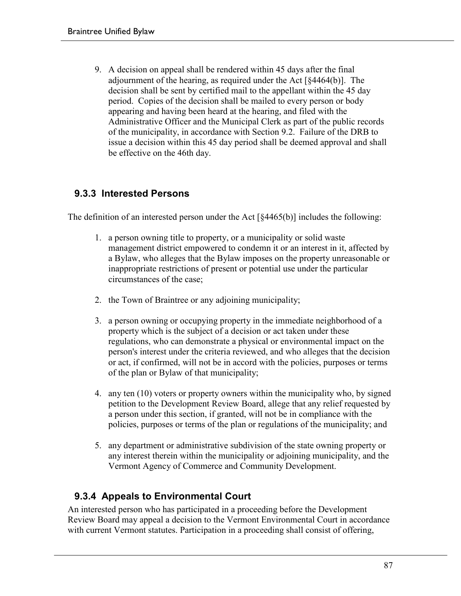9. A decision on appeal shall be rendered within 45 days after the final adjournment of the hearing, as required under the Act [§4464(b)]. The decision shall be sent by certified mail to the appellant within the 45 day period. Copies of the decision shall be mailed to every person or body appearing and having been heard at the hearing, and filed with the Administrative Officer and the Municipal Clerk as part of the public records of the municipality, in accordance with Section 9.2. Failure of the DRB to issue a decision within this 45 day period shall be deemed approval and shall be effective on the 46th day.

#### **9.3.3 Interested Persons**

The definition of an interested person under the Act [§4465(b)] includes the following:

- 1. a person owning title to property, or a municipality or solid waste management district empowered to condemn it or an interest in it, affected by a Bylaw, who alleges that the Bylaw imposes on the property unreasonable or inappropriate restrictions of present or potential use under the particular circumstances of the case;
- 2. the Town of Braintree or any adjoining municipality;
- 3. a person owning or occupying property in the immediate neighborhood of a property which is the subject of a decision or act taken under these regulations, who can demonstrate a physical or environmental impact on the person's interest under the criteria reviewed, and who alleges that the decision or act, if confirmed, will not be in accord with the policies, purposes or terms of the plan or Bylaw of that municipality;
- 4. any ten (10) voters or property owners within the municipality who, by signed petition to the Development Review Board, allege that any relief requested by a person under this section, if granted, will not be in compliance with the policies, purposes or terms of the plan or regulations of the municipality; and
- 5. any department or administrative subdivision of the state owning property or any interest therein within the municipality or adjoining municipality, and the Vermont Agency of Commerce and Community Development.

### **9.3.4 Appeals to Environmental Court**

An interested person who has participated in a proceeding before the Development Review Board may appeal a decision to the Vermont Environmental Court in accordance with current Vermont statutes. Participation in a proceeding shall consist of offering,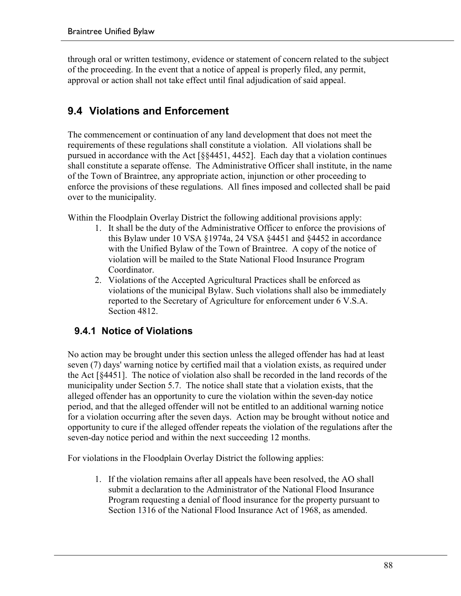through oral or written testimony, evidence or statement of concern related to the subject of the proceeding. In the event that a notice of appeal is properly filed, any permit, approval or action shall not take effect until final adjudication of said appeal.

# **9.4 Violations and Enforcement**

The commencement or continuation of any land development that does not meet the requirements of these regulations shall constitute a violation. All violations shall be pursued in accordance with the Act [§§4451, 4452]. Each day that a violation continues shall constitute a separate offense. The Administrative Officer shall institute, in the name of the Town of Braintree, any appropriate action, injunction or other proceeding to enforce the provisions of these regulations. All fines imposed and collected shall be paid over to the municipality.

Within the Floodplain Overlay District the following additional provisions apply:

- 1. It shall be the duty of the Administrative Officer to enforce the provisions of this Bylaw under 10 VSA §1974a, 24 VSA §4451 and §4452 in accordance with the Unified Bylaw of the Town of Braintree. A copy of the notice of violation will be mailed to the State National Flood Insurance Program Coordinator.
- 2. Violations of the Accepted Agricultural Practices shall be enforced as violations of the municipal Bylaw. Such violations shall also be immediately reported to the Secretary of Agriculture for enforcement under 6 V.S.A. Section 4812.

### **9.4.1 Notice of Violations**

No action may be brought under this section unless the alleged offender has had at least seven (7) days' warning notice by certified mail that a violation exists, as required under the Act [§4451]. The notice of violation also shall be recorded in the land records of the municipality under Section 5.7. The notice shall state that a violation exists, that the alleged offender has an opportunity to cure the violation within the seven-day notice period, and that the alleged offender will not be entitled to an additional warning notice for a violation occurring after the seven days. Action may be brought without notice and opportunity to cure if the alleged offender repeats the violation of the regulations after the seven-day notice period and within the next succeeding 12 months.

For violations in the Floodplain Overlay District the following applies:

1. If the violation remains after all appeals have been resolved, the AO shall submit a declaration to the Administrator of the National Flood Insurance Program requesting a denial of flood insurance for the property pursuant to Section 1316 of the National Flood Insurance Act of 1968, as amended.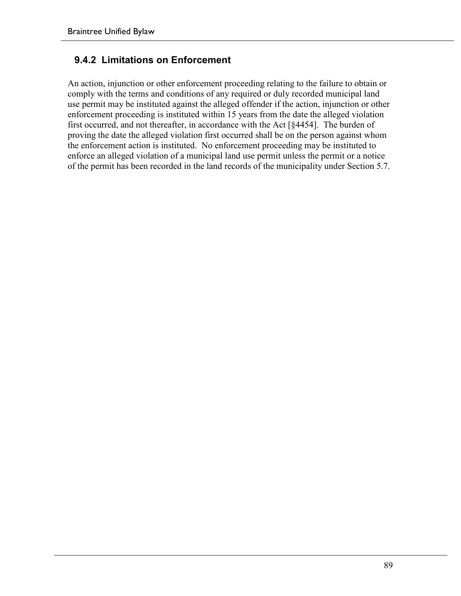#### **9.4.2 Limitations on Enforcement**

An action, injunction or other enforcement proceeding relating to the failure to obtain or comply with the terms and conditions of any required or duly recorded municipal land use permit may be instituted against the alleged offender if the action, injunction or other enforcement proceeding is instituted within 15 years from the date the alleged violation first occurred, and not thereafter, in accordance with the Act [§4454]. The burden of proving the date the alleged violation first occurred shall be on the person against whom the enforcement action is instituted. No enforcement proceeding may be instituted to enforce an alleged violation of a municipal land use permit unless the permit or a notice of the permit has been recorded in the land records of the municipality under Section 5.7.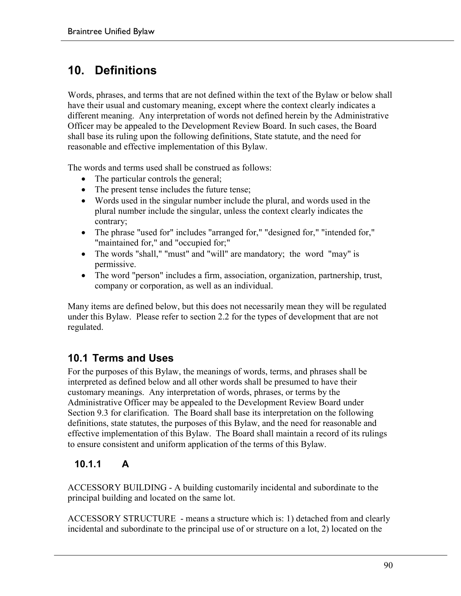# **10. Definitions**

Words, phrases, and terms that are not defined within the text of the Bylaw or below shall have their usual and customary meaning, except where the context clearly indicates a different meaning. Any interpretation of words not defined herein by the Administrative Officer may be appealed to the Development Review Board. In such cases, the Board shall base its ruling upon the following definitions, State statute, and the need for reasonable and effective implementation of this Bylaw.

The words and terms used shall be construed as follows:

- The particular controls the general;
- The present tense includes the future tense;
- Words used in the singular number include the plural, and words used in the plural number include the singular, unless the context clearly indicates the contrary;
- The phrase "used for" includes "arranged for," "designed for," "intended for," "maintained for," and "occupied for;"
- The words "shall," "must" and "will" are mandatory; the word "may" is permissive.
- The word "person" includes a firm, association, organization, partnership, trust, company or corporation, as well as an individual.

Many items are defined below, but this does not necessarily mean they will be regulated under this Bylaw. Please refer to section 2.2 for the types of development that are not regulated.

### **10.1 Terms and Uses**

For the purposes of this Bylaw, the meanings of words, terms, and phrases shall be interpreted as defined below and all other words shall be presumed to have their customary meanings. Any interpretation of words, phrases, or terms by the Administrative Officer may be appealed to the Development Review Board under Section 9.3 for clarification. The Board shall base its interpretation on the following definitions, state statutes, the purposes of this Bylaw, and the need for reasonable and effective implementation of this Bylaw. The Board shall maintain a record of its rulings to ensure consistent and uniform application of the terms of this Bylaw.

### **10.1.1 A**

ACCESSORY BUILDING - A building customarily incidental and subordinate to the principal building and located on the same lot.

ACCESSORY STRUCTURE - means a structure which is: 1) detached from and clearly incidental and subordinate to the principal use of or structure on a lot, 2) located on the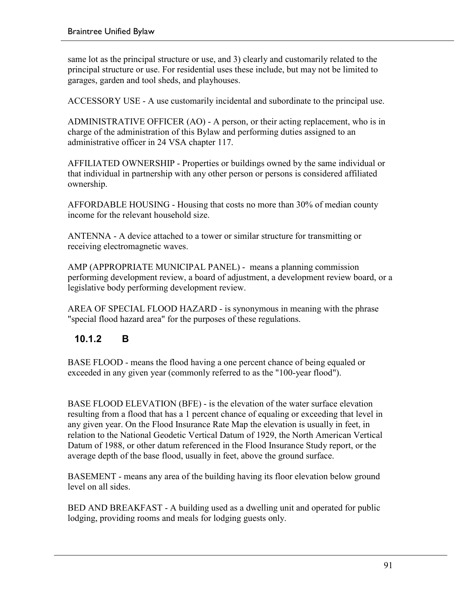same lot as the principal structure or use, and 3) clearly and customarily related to the principal structure or use. For residential uses these include, but may not be limited to garages, garden and tool sheds, and playhouses.

ACCESSORY USE - A use customarily incidental and subordinate to the principal use.

ADMINISTRATIVE OFFICER (AO) - A person, or their acting replacement, who is in charge of the administration of this Bylaw and performing duties assigned to an administrative officer in 24 VSA chapter 117.

AFFILIATED OWNERSHIP - Properties or buildings owned by the same individual or that individual in partnership with any other person or persons is considered affiliated ownership.

AFFORDABLE HOUSING - Housing that costs no more than 30% of median county income for the relevant household size.

ANTENNA - A device attached to a tower or similar structure for transmitting or receiving electromagnetic waves.

AMP (APPROPRIATE MUNICIPAL PANEL) - means a planning commission performing development review, a board of adjustment, a development review board, or a legislative body performing development review.

AREA OF SPECIAL FLOOD HAZARD - is synonymous in meaning with the phrase "special flood hazard area" for the purposes of these regulations.

### **10.1.2 B**

BASE FLOOD - means the flood having a one percent chance of being equaled or exceeded in any given year (commonly referred to as the "100-year flood").

BASE FLOOD ELEVATION (BFE) - is the elevation of the water surface elevation resulting from a flood that has a 1 percent chance of equaling or exceeding that level in any given year. On the Flood Insurance Rate Map the elevation is usually in feet, in relation to the National Geodetic Vertical Datum of 1929, the North American Vertical Datum of 1988, or other datum referenced in the Flood Insurance Study report, or the average depth of the base flood, usually in feet, above the ground surface.

BASEMENT - means any area of the building having its floor elevation below ground level on all sides.

BED AND BREAKFAST - A building used as a dwelling unit and operated for public lodging, providing rooms and meals for lodging guests only.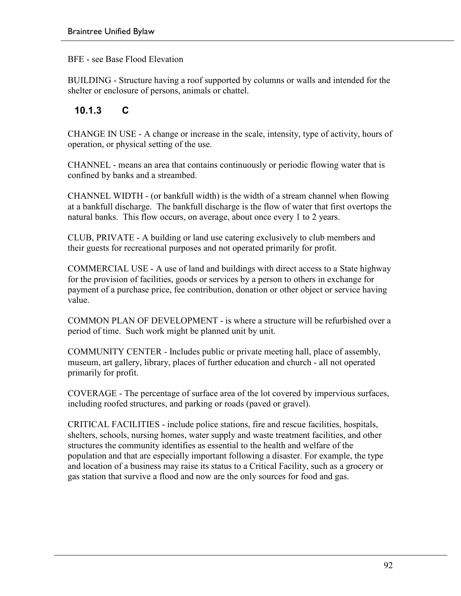BFE - see Base Flood Elevation

BUILDING - Structure having a roof supported by columns or walls and intended for the shelter or enclosure of persons, animals or chattel.

#### **10.1.3 C**

CHANGE IN USE - A change or increase in the scale, intensity, type of activity, hours of operation, or physical setting of the use.

CHANNEL - means an area that contains continuously or periodic flowing water that is confined by banks and a streambed.

CHANNEL WIDTH - (or bankfull width) is the width of a stream channel when flowing at a bankfull discharge. The bankfull discharge is the flow of water that first overtops the natural banks. This flow occurs, on average, about once every 1 to 2 years.

CLUB, PRIVATE - A building or land use catering exclusively to club members and their guests for recreational purposes and not operated primarily for profit.

COMMERCIAL USE - A use of land and buildings with direct access to a State highway for the provision of facilities, goods or services by a person to others in exchange for payment of a purchase price, fee contribution, donation or other object or service having value.

COMMON PLAN OF DEVELOPMENT - is where a structure will be refurbished over a period of time. Such work might be planned unit by unit.

COMMUNITY CENTER - Includes public or private meeting hall, place of assembly, museum, art gallery, library, places of further education and church - all not operated primarily for profit.

COVERAGE - The percentage of surface area of the lot covered by impervious surfaces, including roofed structures, and parking or roads (paved or gravel).

CRITICAL FACILITIES - include police stations, fire and rescue facilities, hospitals, shelters, schools, nursing homes, water supply and waste treatment facilities, and other structures the community identifies as essential to the health and welfare of the population and that are especially important following a disaster. For example, the type and location of a business may raise its status to a Critical Facility, such as a grocery or gas station that survive a flood and now are the only sources for food and gas.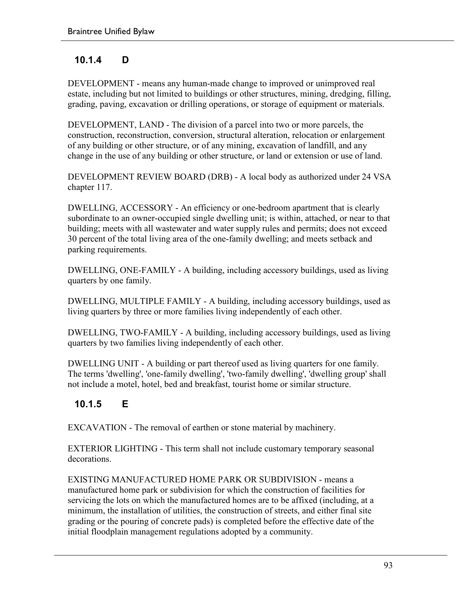### **10.1.4 D**

DEVELOPMENT - means any human-made change to improved or unimproved real estate, including but not limited to buildings or other structures, mining, dredging, filling, grading, paving, excavation or drilling operations, or storage of equipment or materials.

DEVELOPMENT, LAND - The division of a parcel into two or more parcels, the construction, reconstruction, conversion, structural alteration, relocation or enlargement of any building or other structure, or of any mining, excavation of landfill, and any change in the use of any building or other structure, or land or extension or use of land.

DEVELOPMENT REVIEW BOARD (DRB) - A local body as authorized under 24 VSA chapter 117.

DWELLING, ACCESSORY - An efficiency or one-bedroom apartment that is clearly subordinate to an owner-occupied single dwelling unit; is within, attached, or near to that building; meets with all wastewater and water supply rules and permits; does not exceed 30 percent of the total living area of the one-family dwelling; and meets setback and parking requirements.

DWELLING, ONE-FAMILY - A building, including accessory buildings, used as living quarters by one family.

DWELLING, MULTIPLE FAMILY - A building, including accessory buildings, used as living quarters by three or more families living independently of each other.

DWELLING, TWO-FAMILY - A building, including accessory buildings, used as living quarters by two families living independently of each other.

DWELLING UNIT - A building or part thereof used as living quarters for one family. The terms 'dwelling', 'one-family dwelling', 'two-family dwelling', 'dwelling group' shall not include a motel, hotel, bed and breakfast, tourist home or similar structure.

# **10.1.5 E**

EXCAVATION - The removal of earthen or stone material by machinery.

EXTERIOR LIGHTING - This term shall not include customary temporary seasonal decorations.

EXISTING MANUFACTURED HOME PARK OR SUBDIVISION - means a manufactured home park or subdivision for which the construction of facilities for servicing the lots on which the manufactured homes are to be affixed (including, at a minimum, the installation of utilities, the construction of streets, and either final site grading or the pouring of concrete pads) is completed before the effective date of the initial floodplain management regulations adopted by a community.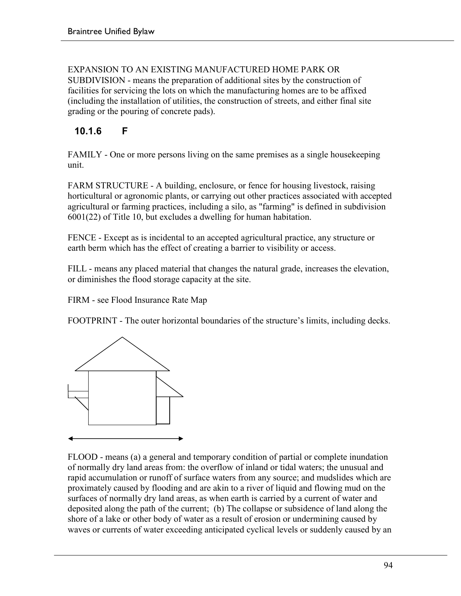EXPANSION TO AN EXISTING MANUFACTURED HOME PARK OR SUBDIVISION - means the preparation of additional sites by the construction of facilities for servicing the lots on which the manufacturing homes are to be affixed (including the installation of utilities, the construction of streets, and either final site grading or the pouring of concrete pads).

### **10.1.6 F**

FAMILY - One or more persons living on the same premises as a single housekeeping unit.

FARM STRUCTURE - A building, enclosure, or fence for housing livestock, raising horticultural or agronomic plants, or carrying out other practices associated with accepted agricultural or farming practices, including a silo, as "farming" is defined in subdivision 6001(22) of Title 10, but excludes a dwelling for human habitation.

FENCE - Except as is incidental to an accepted agricultural practice, any structure or earth berm which has the effect of creating a barrier to visibility or access.

FILL - means any placed material that changes the natural grade, increases the elevation, or diminishes the flood storage capacity at the site.

FIRM - see Flood Insurance Rate Map

FOOTPRINT - The outer horizontal boundaries of the structure's limits, including decks.



FLOOD - means (a) a general and temporary condition of partial or complete inundation of normally dry land areas from: the overflow of inland or tidal waters; the unusual and rapid accumulation or runoff of surface waters from any source; and mudslides which are proximately caused by flooding and are akin to a river of liquid and flowing mud on the surfaces of normally dry land areas, as when earth is carried by a current of water and deposited along the path of the current; (b) The collapse or subsidence of land along the shore of a lake or other body of water as a result of erosion or undermining caused by waves or currents of water exceeding anticipated cyclical levels or suddenly caused by an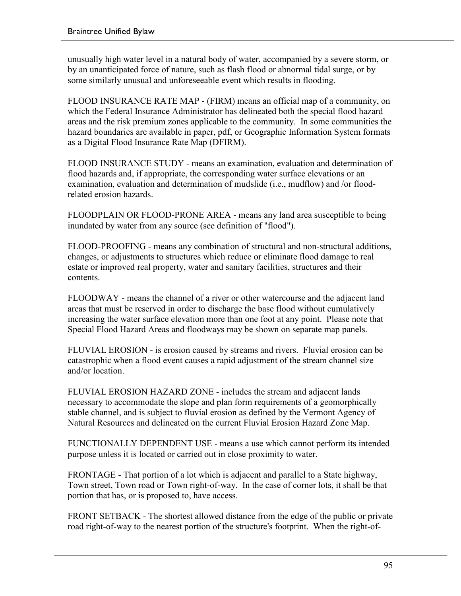unusually high water level in a natural body of water, accompanied by a severe storm, or by an unanticipated force of nature, such as flash flood or abnormal tidal surge, or by some similarly unusual and unforeseeable event which results in flooding.

FLOOD INSURANCE RATE MAP - (FIRM) means an official map of a community, on which the Federal Insurance Administrator has delineated both the special flood hazard areas and the risk premium zones applicable to the community. In some communities the hazard boundaries are available in paper, pdf, or Geographic Information System formats as a Digital Flood Insurance Rate Map (DFIRM).

FLOOD INSURANCE STUDY - means an examination, evaluation and determination of flood hazards and, if appropriate, the corresponding water surface elevations or an examination, evaluation and determination of mudslide (i.e., mudflow) and /or floodrelated erosion hazards.

FLOODPLAIN OR FLOOD-PRONE AREA - means any land area susceptible to being inundated by water from any source (see definition of "flood").

FLOOD-PROOFING - means any combination of structural and non-structural additions, changes, or adjustments to structures which reduce or eliminate flood damage to real estate or improved real property, water and sanitary facilities, structures and their contents.

FLOODWAY - means the channel of a river or other watercourse and the adjacent land areas that must be reserved in order to discharge the base flood without cumulatively increasing the water surface elevation more than one foot at any point. Please note that Special Flood Hazard Areas and floodways may be shown on separate map panels.

FLUVIAL EROSION - is erosion caused by streams and rivers. Fluvial erosion can be catastrophic when a flood event causes a rapid adjustment of the stream channel size and/or location.

FLUVIAL EROSION HAZARD ZONE - includes the stream and adjacent lands necessary to accommodate the slope and plan form requirements of a geomorphically stable channel, and is subject to fluvial erosion as defined by the Vermont Agency of Natural Resources and delineated on the current Fluvial Erosion Hazard Zone Map.

FUNCTIONALLY DEPENDENT USE - means a use which cannot perform its intended purpose unless it is located or carried out in close proximity to water.

FRONTAGE - That portion of a lot which is adjacent and parallel to a State highway, Town street, Town road or Town right-of-way. In the case of corner lots, it shall be that portion that has, or is proposed to, have access.

FRONT SETBACK - The shortest allowed distance from the edge of the public or private road right-of-way to the nearest portion of the structure's footprint. When the right-of-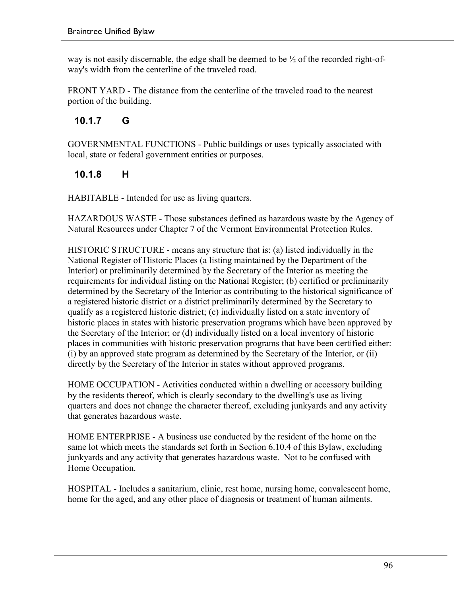way is not easily discernable, the edge shall be deemed to be  $\frac{1}{2}$  of the recorded right-ofway's width from the centerline of the traveled road.

FRONT YARD - The distance from the centerline of the traveled road to the nearest portion of the building.

### **10.1.7 G**

GOVERNMENTAL FUNCTIONS - Public buildings or uses typically associated with local, state or federal government entities or purposes.

### **10.1.8 H**

HABITABLE - Intended for use as living quarters.

HAZARDOUS WASTE - Those substances defined as hazardous waste by the Agency of Natural Resources under Chapter 7 of the Vermont Environmental Protection Rules.

HISTORIC STRUCTURE - means any structure that is: (a) listed individually in the National Register of Historic Places (a listing maintained by the Department of the Interior) or preliminarily determined by the Secretary of the Interior as meeting the requirements for individual listing on the National Register; (b) certified or preliminarily determined by the Secretary of the Interior as contributing to the historical significance of a registered historic district or a district preliminarily determined by the Secretary to qualify as a registered historic district; (c) individually listed on a state inventory of historic places in states with historic preservation programs which have been approved by the Secretary of the Interior; or (d) individually listed on a local inventory of historic places in communities with historic preservation programs that have been certified either: (i) by an approved state program as determined by the Secretary of the Interior, or (ii) directly by the Secretary of the Interior in states without approved programs.

HOME OCCUPATION - Activities conducted within a dwelling or accessory building by the residents thereof, which is clearly secondary to the dwelling's use as living quarters and does not change the character thereof, excluding junkyards and any activity that generates hazardous waste.

HOME ENTERPRISE - A business use conducted by the resident of the home on the same lot which meets the standards set forth in Section 6.10.4 of this Bylaw, excluding junkyards and any activity that generates hazardous waste. Not to be confused with Home Occupation.

HOSPITAL - Includes a sanitarium, clinic, rest home, nursing home, convalescent home, home for the aged, and any other place of diagnosis or treatment of human ailments.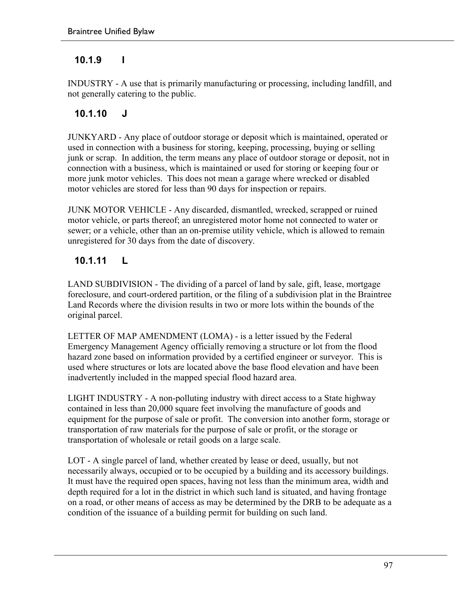#### **10.1.9 I**

INDUSTRY - A use that is primarily manufacturing or processing, including landfill, and not generally catering to the public.

#### **10.1.10 J**

JUNKYARD - Any place of outdoor storage or deposit which is maintained, operated or used in connection with a business for storing, keeping, processing, buying or selling junk or scrap. In addition, the term means any place of outdoor storage or deposit, not in connection with a business, which is maintained or used for storing or keeping four or more junk motor vehicles. This does not mean a garage where wrecked or disabled motor vehicles are stored for less than 90 days for inspection or repairs.

JUNK MOTOR VEHICLE - Any discarded, dismantled, wrecked, scrapped or ruined motor vehicle, or parts thereof; an unregistered motor home not connected to water or sewer; or a vehicle, other than an on-premise utility vehicle, which is allowed to remain unregistered for 30 days from the date of discovery.

### **10.1.11 L**

LAND SUBDIVISION - The dividing of a parcel of land by sale, gift, lease, mortgage foreclosure, and court-ordered partition, or the filing of a subdivision plat in the Braintree Land Records where the division results in two or more lots within the bounds of the original parcel.

LETTER OF MAP AMENDMENT (LOMA) - is a letter issued by the Federal Emergency Management Agency officially removing a structure or lot from the flood hazard zone based on information provided by a certified engineer or surveyor. This is used where structures or lots are located above the base flood elevation and have been inadvertently included in the mapped special flood hazard area.

LIGHT INDUSTRY - A non-polluting industry with direct access to a State highway contained in less than 20,000 square feet involving the manufacture of goods and equipment for the purpose of sale or profit. The conversion into another form, storage or transportation of raw materials for the purpose of sale or profit, or the storage or transportation of wholesale or retail goods on a large scale.

LOT - A single parcel of land, whether created by lease or deed, usually, but not necessarily always, occupied or to be occupied by a building and its accessory buildings. It must have the required open spaces, having not less than the minimum area, width and depth required for a lot in the district in which such land is situated, and having frontage on a road, or other means of access as may be determined by the DRB to be adequate as a condition of the issuance of a building permit for building on such land.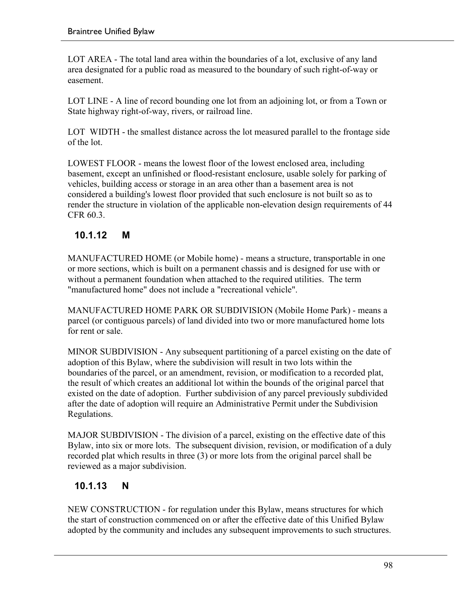LOT AREA - The total land area within the boundaries of a lot, exclusive of any land area designated for a public road as measured to the boundary of such right-of-way or easement.

LOT LINE - A line of record bounding one lot from an adjoining lot, or from a Town or State highway right-of-way, rivers, or railroad line.

LOT WIDTH - the smallest distance across the lot measured parallel to the frontage side of the lot.

LOWEST FLOOR - means the lowest floor of the lowest enclosed area, including basement, except an unfinished or flood-resistant enclosure, usable solely for parking of vehicles, building access or storage in an area other than a basement area is not considered a building's lowest floor provided that such enclosure is not built so as to render the structure in violation of the applicable non-elevation design requirements of 44 CFR 60.3.

### **10.1.12 M**

MANUFACTURED HOME (or Mobile home) - means a structure, transportable in one or more sections, which is built on a permanent chassis and is designed for use with or without a permanent foundation when attached to the required utilities. The term "manufactured home" does not include a "recreational vehicle".

MANUFACTURED HOME PARK OR SUBDIVISION (Mobile Home Park) - means a parcel (or contiguous parcels) of land divided into two or more manufactured home lots for rent or sale.

MINOR SUBDIVISION - Any subsequent partitioning of a parcel existing on the date of adoption of this Bylaw, where the subdivision will result in two lots within the boundaries of the parcel, or an amendment, revision, or modification to a recorded plat, the result of which creates an additional lot within the bounds of the original parcel that existed on the date of adoption. Further subdivision of any parcel previously subdivided after the date of adoption will require an Administrative Permit under the Subdivision Regulations.

MAJOR SUBDIVISION - The division of a parcel, existing on the effective date of this Bylaw, into six or more lots. The subsequent division, revision, or modification of a duly recorded plat which results in three (3) or more lots from the original parcel shall be reviewed as a major subdivision.

### **10.1.13 N**

NEW CONSTRUCTION - for regulation under this Bylaw, means structures for which the start of construction commenced on or after the effective date of this Unified Bylaw adopted by the community and includes any subsequent improvements to such structures.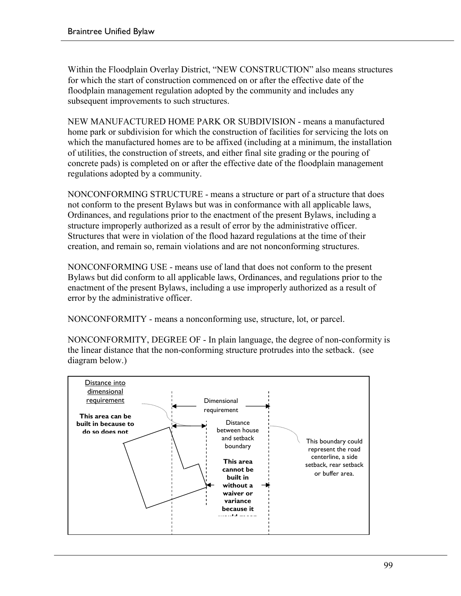Within the Floodplain Overlay District, "NEW CONSTRUCTION" also means structures for which the start of construction commenced on or after the effective date of the floodplain management regulation adopted by the community and includes any subsequent improvements to such structures.

NEW MANUFACTURED HOME PARK OR SUBDIVISION - means a manufactured home park or subdivision for which the construction of facilities for servicing the lots on which the manufactured homes are to be affixed (including at a minimum, the installation of utilities, the construction of streets, and either final site grading or the pouring of concrete pads) is completed on or after the effective date of the floodplain management regulations adopted by a community.

NONCONFORMING STRUCTURE - means a structure or part of a structure that does not conform to the present Bylaws but was in conformance with all applicable laws, Ordinances, and regulations prior to the enactment of the present Bylaws, including a structure improperly authorized as a result of error by the administrative officer. Structures that were in violation of the flood hazard regulations at the time of their creation, and remain so, remain violations and are not nonconforming structures.

NONCONFORMING USE - means use of land that does not conform to the present Bylaws but did conform to all applicable laws, Ordinances, and regulations prior to the enactment of the present Bylaws, including a use improperly authorized as a result of error by the administrative officer.

NONCONFORMITY - means a nonconforming use, structure, lot, or parcel.

NONCONFORMITY, DEGREE OF - In plain language, the degree of non-conformity is the linear distance that the non-conforming structure protrudes into the setback. (see diagram below.)

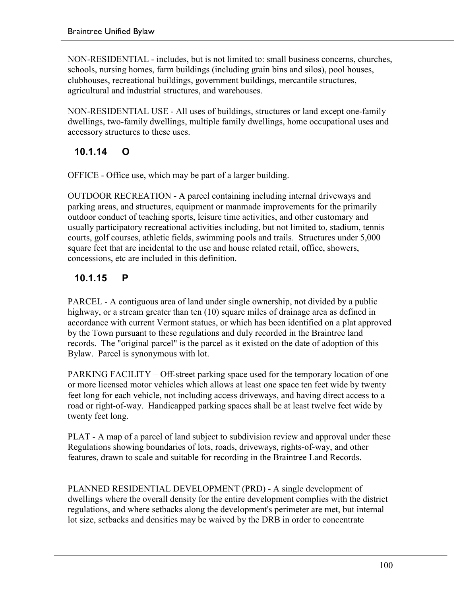NON-RESIDENTIAL - includes, but is not limited to: small business concerns, churches, schools, nursing homes, farm buildings (including grain bins and silos), pool houses, clubhouses, recreational buildings, government buildings, mercantile structures, agricultural and industrial structures, and warehouses.

NON-RESIDENTIAL USE - All uses of buildings, structures or land except one-family dwellings, two-family dwellings, multiple family dwellings, home occupational uses and accessory structures to these uses.

### **10.1.14 O**

OFFICE - Office use, which may be part of a larger building.

OUTDOOR RECREATION - A parcel containing including internal driveways and parking areas, and structures, equipment or manmade improvements for the primarily outdoor conduct of teaching sports, leisure time activities, and other customary and usually participatory recreational activities including, but not limited to, stadium, tennis courts, golf courses, athletic fields, swimming pools and trails. Structures under 5,000 square feet that are incidental to the use and house related retail, office, showers, concessions, etc are included in this definition.

### **10.1.15 P**

PARCEL - A contiguous area of land under single ownership, not divided by a public highway, or a stream greater than ten (10) square miles of drainage area as defined in accordance with current Vermont statues, or which has been identified on a plat approved by the Town pursuant to these regulations and duly recorded in the Braintree land records. The "original parcel" is the parcel as it existed on the date of adoption of this Bylaw. Parcel is synonymous with lot.

PARKING FACILITY – Off-street parking space used for the temporary location of one or more licensed motor vehicles which allows at least one space ten feet wide by twenty feet long for each vehicle, not including access driveways, and having direct access to a road or right-of-way. Handicapped parking spaces shall be at least twelve feet wide by twenty feet long.

PLAT - A map of a parcel of land subject to subdivision review and approval under these Regulations showing boundaries of lots, roads, driveways, rights-of-way, and other features, drawn to scale and suitable for recording in the Braintree Land Records.

PLANNED RESIDENTIAL DEVELOPMENT (PRD) - A single development of dwellings where the overall density for the entire development complies with the district regulations, and where setbacks along the development's perimeter are met, but internal lot size, setbacks and densities may be waived by the DRB in order to concentrate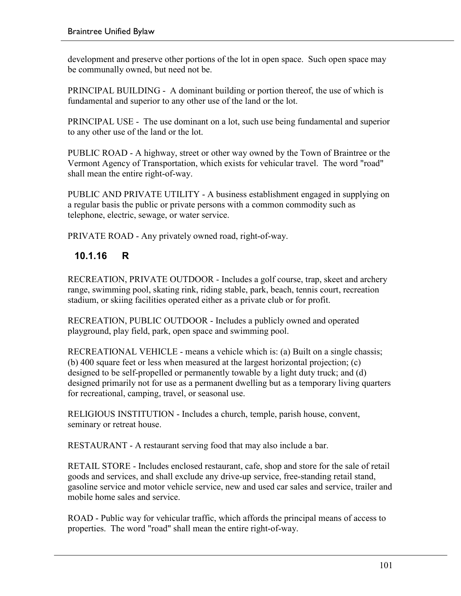development and preserve other portions of the lot in open space. Such open space may be communally owned, but need not be.

PRINCIPAL BUILDING - A dominant building or portion thereof, the use of which is fundamental and superior to any other use of the land or the lot.

PRINCIPAL USE - The use dominant on a lot, such use being fundamental and superior to any other use of the land or the lot.

PUBLIC ROAD - A highway, street or other way owned by the Town of Braintree or the Vermont Agency of Transportation, which exists for vehicular travel. The word "road" shall mean the entire right-of-way.

PUBLIC AND PRIVATE UTILITY - A business establishment engaged in supplying on a regular basis the public or private persons with a common commodity such as telephone, electric, sewage, or water service.

PRIVATE ROAD - Any privately owned road, right-of-way.

### **10.1.16 R**

RECREATION, PRIVATE OUTDOOR - Includes a golf course, trap, skeet and archery range, swimming pool, skating rink, riding stable, park, beach, tennis court, recreation stadium, or skiing facilities operated either as a private club or for profit.

RECREATION, PUBLIC OUTDOOR - Includes a publicly owned and operated playground, play field, park, open space and swimming pool.

RECREATIONAL VEHICLE - means a vehicle which is: (a) Built on a single chassis; (b) 400 square feet or less when measured at the largest horizontal projection; (c) designed to be self-propelled or permanently towable by a light duty truck; and (d) designed primarily not for use as a permanent dwelling but as a temporary living quarters for recreational, camping, travel, or seasonal use.

RELIGIOUS INSTITUTION - Includes a church, temple, parish house, convent, seminary or retreat house.

RESTAURANT - A restaurant serving food that may also include a bar.

RETAIL STORE - Includes enclosed restaurant, cafe, shop and store for the sale of retail goods and services, and shall exclude any drive-up service, free-standing retail stand, gasoline service and motor vehicle service, new and used car sales and service, trailer and mobile home sales and service.

ROAD - Public way for vehicular traffic, which affords the principal means of access to properties. The word "road" shall mean the entire right-of-way.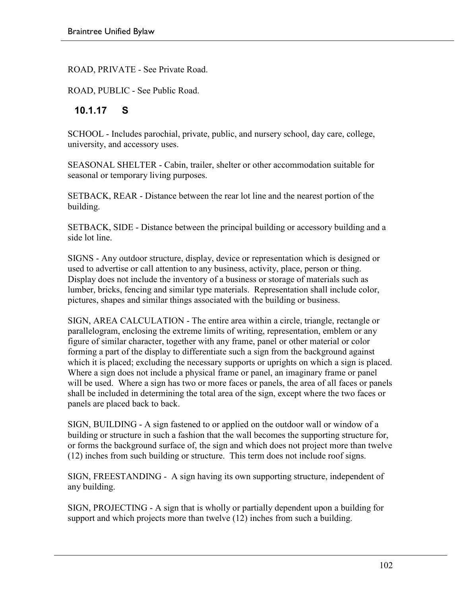ROAD, PRIVATE - See Private Road.

ROAD, PUBLIC - See Public Road.

#### **10.1.17 S**

SCHOOL - Includes parochial, private, public, and nursery school, day care, college, university, and accessory uses.

SEASONAL SHELTER - Cabin, trailer, shelter or other accommodation suitable for seasonal or temporary living purposes.

SETBACK, REAR - Distance between the rear lot line and the nearest portion of the building.

SETBACK, SIDE - Distance between the principal building or accessory building and a side lot line.

SIGNS - Any outdoor structure, display, device or representation which is designed or used to advertise or call attention to any business, activity, place, person or thing. Display does not include the inventory of a business or storage of materials such as lumber, bricks, fencing and similar type materials. Representation shall include color, pictures, shapes and similar things associated with the building or business.

SIGN, AREA CALCULATION - The entire area within a circle, triangle, rectangle or parallelogram, enclosing the extreme limits of writing, representation, emblem or any figure of similar character, together with any frame, panel or other material or color forming a part of the display to differentiate such a sign from the background against which it is placed; excluding the necessary supports or uprights on which a sign is placed. Where a sign does not include a physical frame or panel, an imaginary frame or panel will be used. Where a sign has two or more faces or panels, the area of all faces or panels shall be included in determining the total area of the sign, except where the two faces or panels are placed back to back.

SIGN, BUILDING - A sign fastened to or applied on the outdoor wall or window of a building or structure in such a fashion that the wall becomes the supporting structure for, or forms the background surface of, the sign and which does not project more than twelve (12) inches from such building or structure. This term does not include roof signs.

SIGN, FREESTANDING - A sign having its own supporting structure, independent of any building.

SIGN, PROJECTING - A sign that is wholly or partially dependent upon a building for support and which projects more than twelve (12) inches from such a building.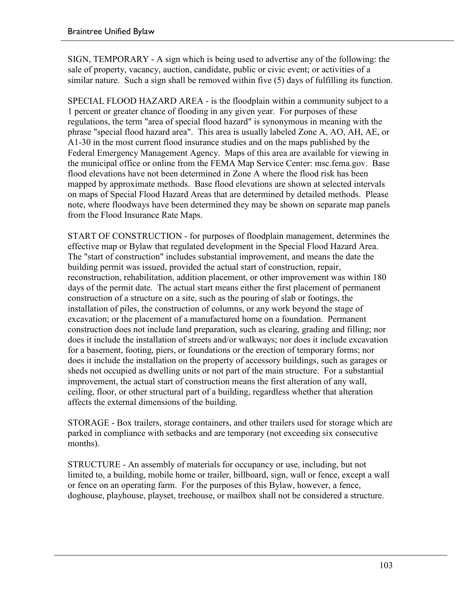SIGN, TEMPORARY - A sign which is being used to advertise any of the following: the sale of property, vacancy, auction, candidate, public or civic event; or activities of a similar nature. Such a sign shall be removed within five (5) days of fulfilling its function.

SPECIAL FLOOD HAZARD AREA - is the floodplain within a community subject to a 1 percent or greater chance of flooding in any given year. For purposes of these regulations, the term "area of special flood hazard" is synonymous in meaning with the phrase "special flood hazard area". This area is usually labeled Zone A, AO, AH, AE, or A1-30 in the most current flood insurance studies and on the maps published by the Federal Emergency Management Agency. Maps of this area are available for viewing in the municipal office or online from the FEMA Map Service Center: msc.fema.gov. Base flood elevations have not been determined in Zone A where the flood risk has been mapped by approximate methods. Base flood elevations are shown at selected intervals on maps of Special Flood Hazard Areas that are determined by detailed methods. Please note, where floodways have been determined they may be shown on separate map panels from the Flood Insurance Rate Maps.

START OF CONSTRUCTION - for purposes of floodplain management, determines the effective map or Bylaw that regulated development in the Special Flood Hazard Area. The "start of construction" includes substantial improvement, and means the date the building permit was issued, provided the actual start of construction, repair, reconstruction, rehabilitation, addition placement, or other improvement was within 180 days of the permit date. The actual start means either the first placement of permanent construction of a structure on a site, such as the pouring of slab or footings, the installation of piles, the construction of columns, or any work beyond the stage of excavation; or the placement of a manufactured home on a foundation. Permanent construction does not include land preparation, such as clearing, grading and filling; nor does it include the installation of streets and/or walkways; nor does it include excavation for a basement, footing, piers, or foundations or the erection of temporary forms; nor does it include the installation on the property of accessory buildings, such as garages or sheds not occupied as dwelling units or not part of the main structure. For a substantial improvement, the actual start of construction means the first alteration of any wall, ceiling, floor, or other structural part of a building, regardless whether that alteration affects the external dimensions of the building.

STORAGE - Box trailers, storage containers, and other trailers used for storage which are parked in compliance with setbacks and are temporary (not exceeding six consecutive months).

STRUCTURE - An assembly of materials for occupancy or use, including, but not limited to, a building, mobile home or trailer, billboard, sign, wall or fence, except a wall or fence on an operating farm. For the purposes of this Bylaw, however, a fence, doghouse, playhouse, playset, treehouse, or mailbox shall not be considered a structure.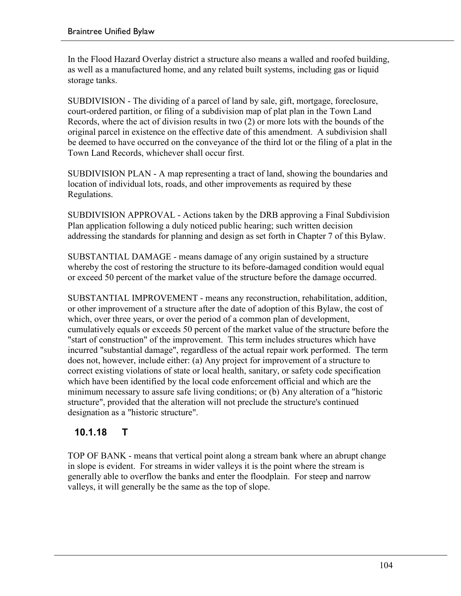In the Flood Hazard Overlay district a structure also means a walled and roofed building, as well as a manufactured home, and any related built systems, including gas or liquid storage tanks.

SUBDIVISION - The dividing of a parcel of land by sale, gift, mortgage, foreclosure, court-ordered partition, or filing of a subdivision map of plat plan in the Town Land Records, where the act of division results in two (2) or more lots with the bounds of the original parcel in existence on the effective date of this amendment. A subdivision shall be deemed to have occurred on the conveyance of the third lot or the filing of a plat in the Town Land Records, whichever shall occur first.

SUBDIVISION PLAN - A map representing a tract of land, showing the boundaries and location of individual lots, roads, and other improvements as required by these Regulations.

SUBDIVISION APPROVAL - Actions taken by the DRB approving a Final Subdivision Plan application following a duly noticed public hearing; such written decision addressing the standards for planning and design as set forth in Chapter 7 of this Bylaw.

SUBSTANTIAL DAMAGE - means damage of any origin sustained by a structure whereby the cost of restoring the structure to its before-damaged condition would equal or exceed 50 percent of the market value of the structure before the damage occurred.

SUBSTANTIAL IMPROVEMENT - means any reconstruction, rehabilitation, addition, or other improvement of a structure after the date of adoption of this Bylaw, the cost of which, over three years, or over the period of a common plan of development, cumulatively equals or exceeds 50 percent of the market value of the structure before the "start of construction" of the improvement. This term includes structures which have incurred "substantial damage", regardless of the actual repair work performed. The term does not, however, include either: (a) Any project for improvement of a structure to correct existing violations of state or local health, sanitary, or safety code specification which have been identified by the local code enforcement official and which are the minimum necessary to assure safe living conditions; or (b) Any alteration of a "historic structure", provided that the alteration will not preclude the structure's continued designation as a "historic structure".

### **10.1.18 T**

TOP OF BANK - means that vertical point along a stream bank where an abrupt change in slope is evident. For streams in wider valleys it is the point where the stream is generally able to overflow the banks and enter the floodplain. For steep and narrow valleys, it will generally be the same as the top of slope.